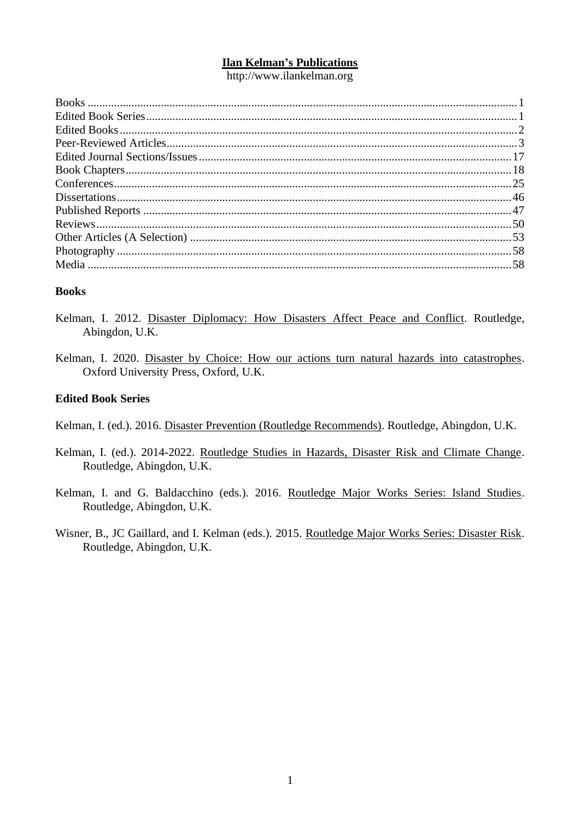## **Ilan Kelman's Publications**

[http://www.ilankelman.org](http://www.ilankelman.org/)

## <span id="page-0-0"></span>**Books**

- Kelman, I. 2012. Disaster Diplomacy: How Disasters Affect Peace and Conflict. Routledge, Abingdon, U.K.
- Kelman, I. 2020. Disaster by Choice: How our actions turn natural hazards into catastrophes. Oxford University Press, Oxford, U.K.

# <span id="page-0-1"></span>**Edited Book Series**

Kelman, I. (ed.). 2016. Disaster Prevention (Routledge Recommends). Routledge, Abingdon, U.K.

- Kelman, I. (ed.). 2014-2022. Routledge Studies in Hazards, Disaster Risk and Climate Change. Routledge, Abingdon, U.K.
- Kelman, I. and G. Baldacchino (eds.). 2016. Routledge Major Works Series: Island Studies. Routledge, Abingdon, U.K.
- Wisner, B., JC Gaillard, and I. Kelman (eds.). 2015. Routledge Major Works Series: Disaster Risk. Routledge, Abingdon, U.K.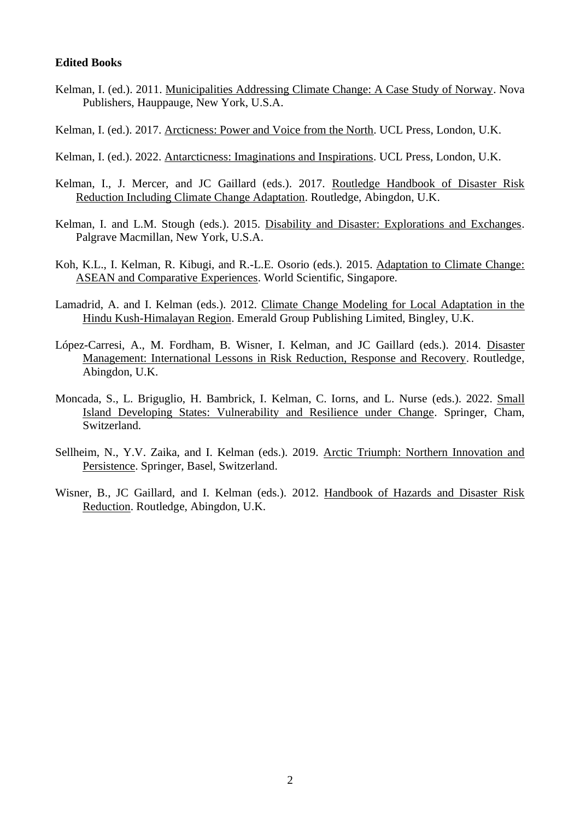### <span id="page-1-0"></span>**Edited Books**

- Kelman, I. (ed.). 2011. Municipalities Addressing Climate Change: A Case Study of Norway. Nova Publishers, Hauppauge, New York, U.S.A.
- Kelman, I. (ed.). 2017. Arcticness: Power and Voice from the North. UCL Press, London, U.K.
- Kelman, I. (ed.). 2022. Antarcticness: Imaginations and Inspirations. UCL Press, London, U.K.
- Kelman, I., J. Mercer, and JC Gaillard (eds.). 2017. Routledge Handbook of Disaster Risk Reduction Including Climate Change Adaptation. Routledge, Abingdon, U.K.
- Kelman, I. and L.M. Stough (eds.). 2015. Disability and Disaster: Explorations and Exchanges. Palgrave Macmillan, New York, U.S.A.
- Koh, K.L., I. Kelman, R. Kibugi, and R.-L.E. Osorio (eds.). 2015. Adaptation to Climate Change: ASEAN and Comparative Experiences. World Scientific, Singapore.
- Lamadrid, A. and I. Kelman (eds.). 2012. Climate Change Modeling for Local Adaptation in the Hindu Kush-Himalayan Region. Emerald Group Publishing Limited, Bingley, U.K.
- López-Carresi, A., M. Fordham, B. Wisner, I. Kelman, and JC Gaillard (eds.). 2014. Disaster Management: International Lessons in Risk Reduction, Response and Recovery. Routledge, Abingdon, U.K.
- Moncada, S., L. Briguglio, H. Bambrick, I. Kelman, C. Iorns, and L. Nurse (eds.). 2022. Small Island Developing States: Vulnerability and Resilience under Change. Springer, Cham, Switzerland.
- Sellheim, N., Y.V. Zaika, and I. Kelman (eds.). 2019. Arctic Triumph: Northern Innovation and Persistence. Springer, Basel, Switzerland.
- Wisner, B., JC Gaillard, and I. Kelman (eds.). 2012. Handbook of Hazards and Disaster Risk Reduction. Routledge, Abingdon, U.K.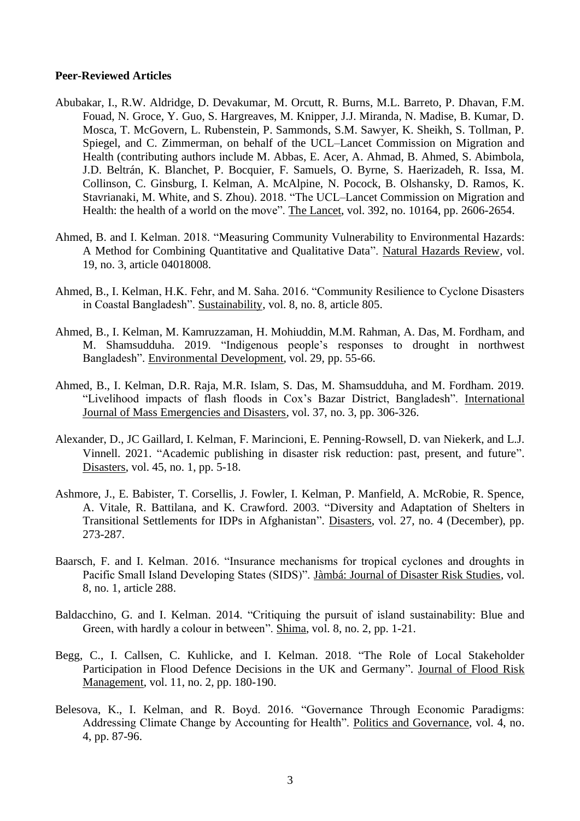### <span id="page-2-0"></span>**Peer-Reviewed Articles**

- Abubakar, I., R.W. Aldridge, D. Devakumar, M. Orcutt, R. Burns, M.L. Barreto, P. Dhavan, F.M. Fouad, N. Groce, Y. Guo, S. Hargreaves, M. Knipper, J.J. Miranda, N. Madise, B. Kumar, D. Mosca, T. McGovern, L. Rubenstein, P. Sammonds, S.M. Sawyer, K. Sheikh, S. Tollman, P. Spiegel, and C. Zimmerman, on behalf of the UCL–Lancet Commission on Migration and Health (contributing authors include M. Abbas, E. Acer, A. Ahmad, B. Ahmed, S. Abimbola, J.D. Beltrán, K. Blanchet, P. Bocquier, F. Samuels, O. Byrne, S. Haerizadeh, R. Issa, M. Collinson, C. Ginsburg, I. Kelman, A. McAlpine, N. Pocock, B. Olshansky, D. Ramos, K. Stavrianaki, M. White, and S. Zhou). 2018. "The UCL–Lancet Commission on Migration and Health: the health of a world on the move". The Lancet, vol. 392, no. 10164, pp. 2606-2654.
- Ahmed, B. and I. Kelman. 2018. "Measuring Community Vulnerability to Environmental Hazards: A Method for Combining Quantitative and Qualitative Data". Natural Hazards Review, vol. 19, no. 3, article 04018008.
- Ahmed, B., I. Kelman, H.K. Fehr, and M. Saha. 2016. "Community Resilience to Cyclone Disasters in Coastal Bangladesh". Sustainability, vol. 8, no. 8, article 805.
- Ahmed, B., I. Kelman, M. Kamruzzaman, H. Mohiuddin, M.M. Rahman, A. Das, M. Fordham, and M. Shamsudduha. 2019. "Indigenous people's responses to drought in northwest Bangladesh". Environmental Development, vol. 29, pp. 55-66.
- Ahmed, B., I. Kelman, D.R. Raja, M.R. Islam, S. Das, M. Shamsudduha, and M. Fordham. 2019. "Livelihood impacts of flash floods in Cox's Bazar District, Bangladesh". International Journal of Mass Emergencies and Disasters, vol. 37, no. 3, pp. 306-326.
- Alexander, D., JC Gaillard, I. Kelman, F. Marincioni, E. Penning-Rowsell, D. van Niekerk, and L.J. Vinnell. 2021. "Academic publishing in disaster risk reduction: past, present, and future". Disasters, vol. 45, no. 1, pp. 5-18.
- Ashmore, J., E. Babister, T. Corsellis, J. Fowler, I. Kelman, P. Manfield, A. McRobie, R. Spence, A. Vitale, R. Battilana, and K. Crawford. 2003. "Diversity and Adaptation of Shelters in Transitional Settlements for IDPs in Afghanistan". Disasters, vol. 27, no. 4 (December), pp. 273-287.
- Baarsch, F. and I. Kelman. 2016. "Insurance mechanisms for tropical cyclones and droughts in Pacific Small Island Developing States (SIDS)". Jàmbá: Journal of Disaster Risk Studies, vol. 8, no. 1, article 288.
- Baldacchino, G. and I. Kelman. 2014. "Critiquing the pursuit of island sustainability: Blue and Green, with hardly a colour in between". Shima, vol. 8, no. 2, pp. 1-21.
- Begg, C., I. Callsen, C. Kuhlicke, and I. Kelman. 2018. "The Role of Local Stakeholder Participation in Flood Defence Decisions in the UK and Germany". Journal of Flood Risk Management, vol. 11, no. 2, pp. 180-190.
- Belesova, K., I. Kelman, and R. Boyd. 2016. "Governance Through Economic Paradigms: Addressing Climate Change by Accounting for Health". Politics and Governance, vol. 4, no. 4, pp. 87-96.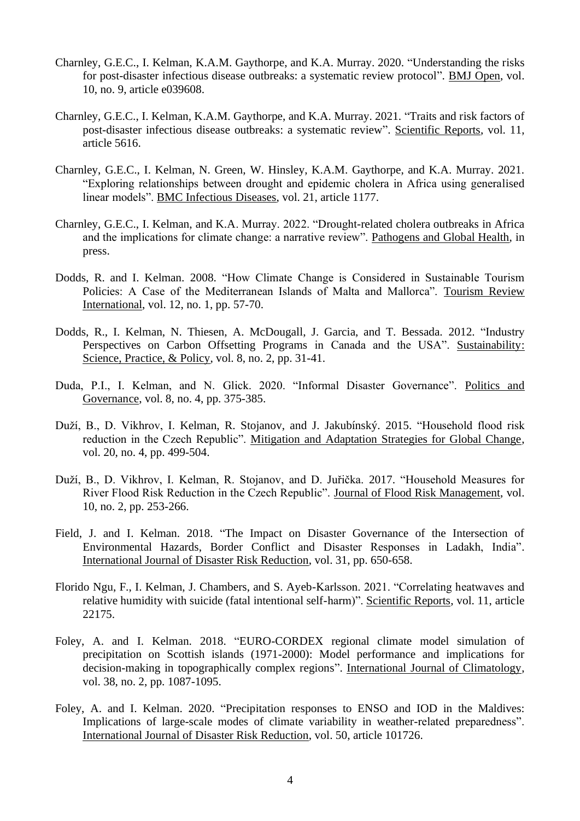- Charnley, G.E.C., I. Kelman, K.A.M. Gaythorpe, and K.A. Murray. 2020. "Understanding the risks for post-disaster infectious disease outbreaks: a systematic review protocol". BMJ Open, vol. 10, no. 9, article e039608.
- Charnley, G.E.C., I. Kelman, K.A.M. Gaythorpe, and K.A. Murray. 2021. "Traits and risk factors of post-disaster infectious disease outbreaks: a systematic review". Scientific Reports, vol. 11, article 5616.
- Charnley, G.E.C., I. Kelman, N. Green, W. Hinsley, K.A.M. Gaythorpe, and K.A. Murray. 2021. "Exploring relationships between drought and epidemic cholera in Africa using generalised linear models". BMC Infectious Diseases, vol. 21, article 1177.
- Charnley, G.E.C., I. Kelman, and K.A. Murray. 2022. "Drought-related cholera outbreaks in Africa and the implications for climate change: a narrative review". Pathogens and Global Health, in press.
- Dodds, R. and I. Kelman. 2008. "How Climate Change is Considered in Sustainable Tourism Policies: A Case of the Mediterranean Islands of Malta and Mallorca". Tourism Review International, vol. 12, no. 1, pp. 57-70.
- Dodds, R., I. Kelman, N. Thiesen, A. McDougall, J. Garcia, and T. Bessada. 2012. "Industry Perspectives on Carbon Offsetting Programs in Canada and the USA". Sustainability: Science, Practice, & Policy, vol. 8, no. 2, pp. 31-41.
- Duda, P.I., I. Kelman, and N. Glick. 2020. "Informal Disaster Governance". Politics and Governance, vol. 8, no. 4, pp. 375-385.
- Duží, B., D. Vikhrov, I. Kelman, R. Stojanov, and J. Jakubínský. 2015. "Household flood risk reduction in the Czech Republic". Mitigation and Adaptation Strategies for Global Change, vol. 20, no. 4, pp. 499-504.
- Duží, B., D. Vikhrov, I. Kelman, R. Stojanov, and D. Juřička. 2017. "Household Measures for River Flood Risk Reduction in the Czech Republic". Journal of Flood Risk Management, vol. 10, no. 2, pp. 253-266.
- Field, J. and I. Kelman. 2018. "The Impact on Disaster Governance of the Intersection of Environmental Hazards, Border Conflict and Disaster Responses in Ladakh, India". International Journal of Disaster Risk Reduction, vol. 31, pp. 650-658.
- Florido Ngu, F., I. Kelman, J. Chambers, and S. Ayeb-Karlsson. 2021. "Correlating heatwaves and relative humidity with suicide (fatal intentional self-harm)". Scientific Reports, vol. 11, article 22175.
- Foley, A. and I. Kelman. 2018. "EURO-CORDEX regional climate model simulation of precipitation on Scottish islands (1971-2000): Model performance and implications for decision-making in topographically complex regions". International Journal of Climatology, vol. 38, no. 2, pp. 1087-1095.
- Foley, A. and I. Kelman. 2020. "Precipitation responses to ENSO and IOD in the Maldives: Implications of large-scale modes of climate variability in weather-related preparedness". International Journal of Disaster Risk Reduction, vol. 50, article 101726.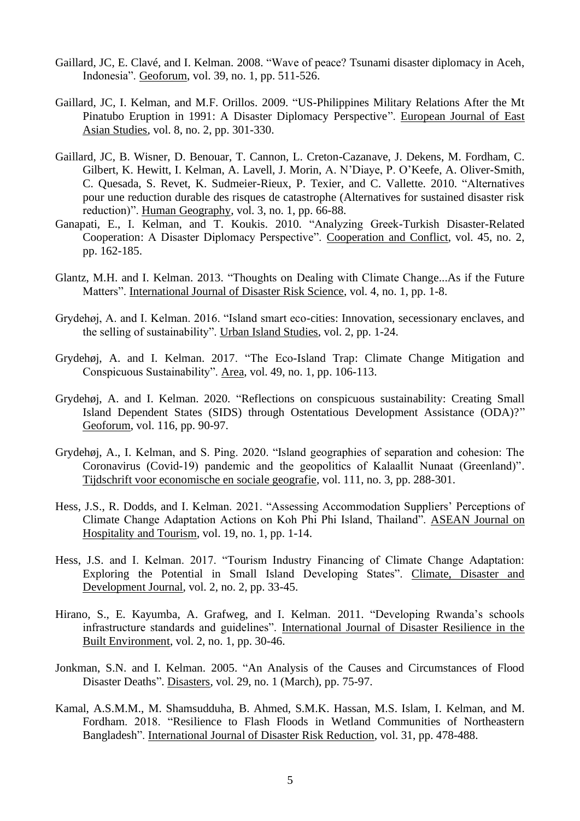- Gaillard, JC, E. Clavé, and I. Kelman. 2008. "Wave of peace? Tsunami disaster diplomacy in Aceh, Indonesia". Geoforum, vol. 39, no. 1, pp. 511-526.
- Gaillard, JC, I. Kelman, and M.F. Orillos. 2009. "US-Philippines Military Relations After the Mt Pinatubo Eruption in 1991: A Disaster Diplomacy Perspective". European Journal of East Asian Studies, vol. 8, no. 2, pp. 301-330.
- Gaillard, JC, B. Wisner, D. Benouar, T. Cannon, L. Creton-Cazanave, J. Dekens, M. Fordham, C. Gilbert, K. Hewitt, I. Kelman, A. Lavell, J. Morin, A. N'Diaye, P. O'Keefe, A. Oliver-Smith, C. Quesada, S. Revet, K. Sudmeier-Rieux, P. Texier, and C. Vallette. 2010. "Alternatives pour une reduction durable des risques de catastrophe (Alternatives for sustained disaster risk reduction)". Human Geography, vol. 3, no. 1, pp. 66-88.
- Ganapati, E., I. Kelman, and T. Koukis. 2010. "Analyzing Greek-Turkish Disaster-Related Cooperation: A Disaster Diplomacy Perspective". Cooperation and Conflict, vol. 45, no. 2, pp. 162-185.
- Glantz, M.H. and I. Kelman. 2013. "Thoughts on Dealing with Climate Change...As if the Future Matters". International Journal of Disaster Risk Science, vol. 4, no. 1, pp. 1-8.
- Grydehøj, A. and I. Kelman. 2016. "Island smart eco-cities: Innovation, secessionary enclaves, and the selling of sustainability". Urban Island Studies, vol. 2, pp. 1-24.
- Grydehøj, A. and I. Kelman. 2017. "The Eco-Island Trap: Climate Change Mitigation and Conspicuous Sustainability". Area, vol. 49, no. 1, pp. 106-113.
- Grydehøj, A. and I. Kelman. 2020. "Reflections on conspicuous sustainability: Creating Small Island Dependent States (SIDS) through Ostentatious Development Assistance (ODA)?" Geoforum, vol. 116, pp. 90-97.
- Grydehøj, A., I. Kelman, and S. Ping. 2020. "Island geographies of separation and cohesion: The Coronavirus (Covid-19) pandemic and the geopolitics of Kalaallit Nunaat (Greenland)". Tijdschrift voor economische en sociale geografie, vol. 111, no. 3, pp. 288-301.
- Hess, J.S., R. Dodds, and I. Kelman. 2021. "Assessing Accommodation Suppliers' Perceptions of Climate Change Adaptation Actions on Koh Phi Phi Island, Thailand". ASEAN Journal on Hospitality and Tourism, vol. 19, no. 1, pp. 1-14.
- Hess, J.S. and I. Kelman. 2017. "Tourism Industry Financing of Climate Change Adaptation: Exploring the Potential in Small Island Developing States". Climate, Disaster and Development Journal, vol. 2, no. 2, pp. 33-45.
- Hirano, S., E. Kayumba, A. Grafweg, and I. Kelman. 2011. "Developing Rwanda's schools infrastructure standards and guidelines". International Journal of Disaster Resilience in the Built Environment, vol. 2, no. 1, pp. 30-46.
- Jonkman, S.N. and I. Kelman. 2005. "An Analysis of the Causes and Circumstances of Flood Disaster Deaths". Disasters, vol. 29, no. 1 (March), pp. 75-97.
- Kamal, A.S.M.M., M. Shamsudduha, B. Ahmed, S.M.K. Hassan, M.S. Islam, I. Kelman, and M. Fordham. 2018. "Resilience to Flash Floods in Wetland Communities of Northeastern Bangladesh". International Journal of Disaster Risk Reduction, vol. 31, pp. 478-488.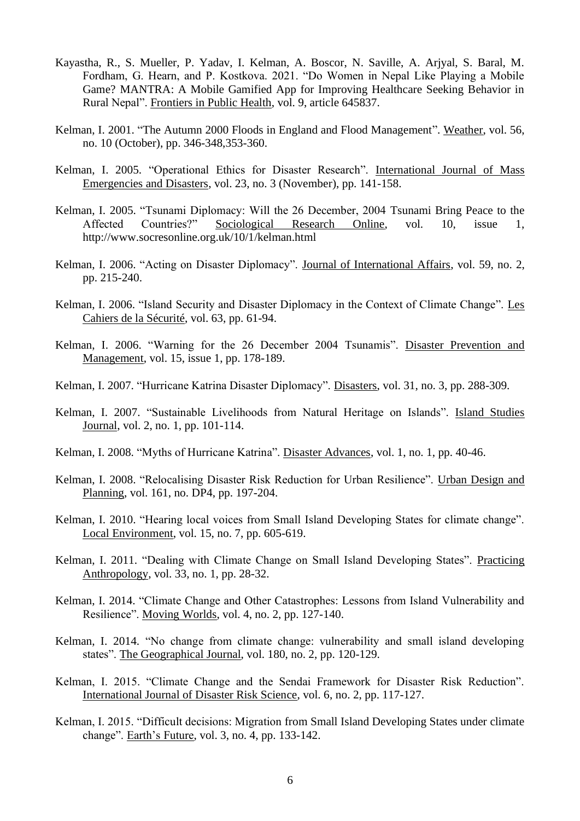- Kayastha, R., S. Mueller, P. Yadav, I. Kelman, A. Boscor, N. Saville, A. Arjyal, S. Baral, M. Fordham, G. Hearn, and P. Kostkova. 2021. "Do Women in Nepal Like Playing a Mobile Game? MANTRA: A Mobile Gamified App for Improving Healthcare Seeking Behavior in Rural Nepal". Frontiers in Public Health, vol. 9, article 645837.
- Kelman, I. 2001. "The Autumn 2000 Floods in England and Flood Management". Weather, vol. 56, no. 10 (October), pp. 346-348,353-360.
- Kelman, I. 2005. "Operational Ethics for Disaster Research". International Journal of Mass Emergencies and Disasters, vol. 23, no. 3 (November), pp. 141-158.
- Kelman, I. 2005. "Tsunami Diplomacy: Will the 26 December, 2004 Tsunami Bring Peace to the Affected Countries?" Sociological Research Online, vol. 10, issue 1, <http://www.socresonline.org.uk/10/1/kelman.html>
- Kelman, I. 2006. "Acting on Disaster Diplomacy". Journal of International Affairs, vol. 59, no. 2, pp. 215-240.
- Kelman, I. 2006. "Island Security and Disaster Diplomacy in the Context of Climate Change". Les Cahiers de la Sécurité, vol. 63, pp. 61-94.
- Kelman, I. 2006. "Warning for the 26 December 2004 Tsunamis". Disaster Prevention and Management, vol. 15, issue 1, pp. 178-189.
- Kelman, I. 2007. "Hurricane Katrina Disaster Diplomacy". Disasters, vol. 31, no. 3, pp. 288-309.
- Kelman, I. 2007. "Sustainable Livelihoods from Natural Heritage on Islands". Island Studies Journal, vol. 2, no. 1, pp. 101-114.
- Kelman, I. 2008. "Myths of Hurricane Katrina". Disaster Advances, vol. 1, no. 1, pp. 40-46.
- Kelman, I. 2008. "Relocalising Disaster Risk Reduction for Urban Resilience". Urban Design and Planning, vol. 161, no. DP4, pp. 197-204.
- Kelman, I. 2010. "Hearing local voices from Small Island Developing States for climate change". Local Environment, vol. 15, no. 7, pp. 605-619.
- Kelman, I. 2011. "Dealing with Climate Change on Small Island Developing States". Practicing Anthropology, vol. 33, no. 1, pp. 28-32.
- Kelman, I. 2014. "Climate Change and Other Catastrophes: Lessons from Island Vulnerability and Resilience". Moving Worlds, vol. 4, no. 2, pp. 127-140.
- Kelman, I. 2014. "No change from climate change: vulnerability and small island developing states". The Geographical Journal, vol. 180, no. 2, pp. 120-129.
- Kelman, I. 2015. "Climate Change and the Sendai Framework for Disaster Risk Reduction". International Journal of Disaster Risk Science, vol. 6, no. 2, pp. 117-127.
- Kelman, I. 2015. "Difficult decisions: Migration from Small Island Developing States under climate change". Earth's Future, vol. 3, no. 4, pp. 133-142.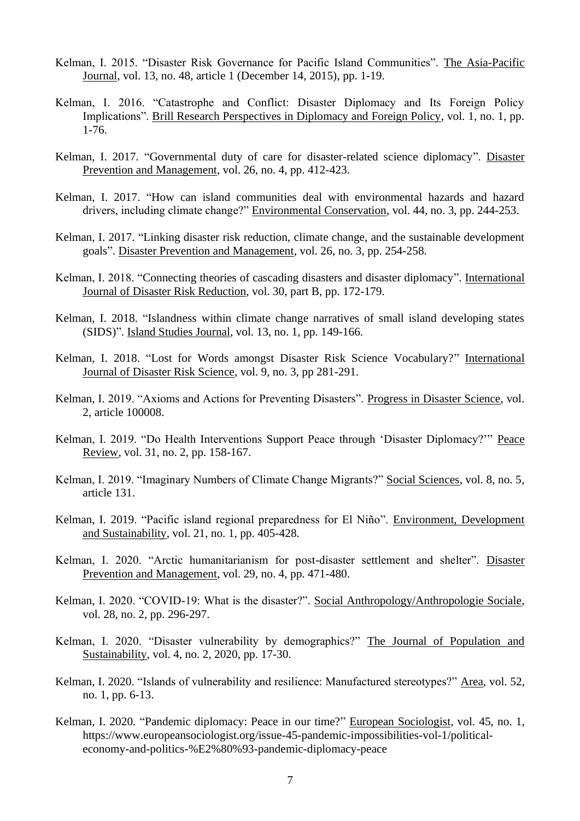- Kelman, I. 2015. "Disaster Risk Governance for Pacific Island Communities". The Asia-Pacific Journal, vol. 13, no. 48, article 1 (December 14, 2015), pp. 1-19.
- Kelman, I. 2016. "Catastrophe and Conflict: Disaster Diplomacy and Its Foreign Policy Implications". Brill Research Perspectives in Diplomacy and Foreign Policy, vol. 1, no. 1, pp. 1-76.
- Kelman, I. 2017. "Governmental duty of care for disaster-related science diplomacy". Disaster Prevention and Management, vol. 26, no. 4, pp. 412-423.
- Kelman, I. 2017. "How can island communities deal with environmental hazards and hazard drivers, including climate change?" Environmental Conservation, vol. 44, no. 3, pp. 244-253.
- Kelman, I. 2017. "Linking disaster risk reduction, climate change, and the sustainable development goals". Disaster Prevention and Management, vol. 26, no. 3, pp. 254-258.
- Kelman, I. 2018. "Connecting theories of cascading disasters and disaster diplomacy". International Journal of Disaster Risk Reduction, vol. 30, part B, pp. 172-179.
- Kelman, I. 2018. "Islandness within climate change narratives of small island developing states (SIDS)". Island Studies Journal, vol. 13, no. 1, pp. 149-166.
- Kelman, I. 2018. "Lost for Words amongst Disaster Risk Science Vocabulary?" International Journal of Disaster Risk Science, vol. 9, no. 3, pp 281-291.
- Kelman, I. 2019. "Axioms and Actions for Preventing Disasters". Progress in Disaster Science, vol. 2, article 100008.
- Kelman, I. 2019. "Do Health Interventions Support Peace through 'Disaster Diplomacy?'" Peace Review, vol. 31, no. 2, pp. 158-167.
- Kelman, I. 2019. "Imaginary Numbers of Climate Change Migrants?" Social Sciences, vol. 8, no. 5, article 131.
- Kelman, I. 2019. "Pacific island regional preparedness for El Niño". Environment, Development and Sustainability, vol. 21, no. 1, pp. 405-428.
- Kelman, I. 2020. "Arctic humanitarianism for post-disaster settlement and shelter". Disaster Prevention and Management, vol. 29, no. 4, pp. 471-480.
- Kelman, I. 2020. "COVID-19: What is the disaster?". Social Anthropology/Anthropologie Sociale, vol. 28, no. 2, pp. 296-297.
- Kelman, I. 2020. "Disaster vulnerability by demographics?" The Journal of Population and Sustainability, vol. 4, no. 2, 2020, pp. 17-30.
- Kelman, I. 2020. "Islands of vulnerability and resilience: Manufactured stereotypes?" Area, vol. 52, no. 1, pp. 6-13.
- Kelman, I. 2020. "Pandemic diplomacy: Peace in our time?" European Sociologist, vol. 45, no. 1, https://www.europeansociologist.org/issue-45-pandemic-impossibilities-vol-1/politicaleconomy-and-politics-%E2%80%93-pandemic-diplomacy-peace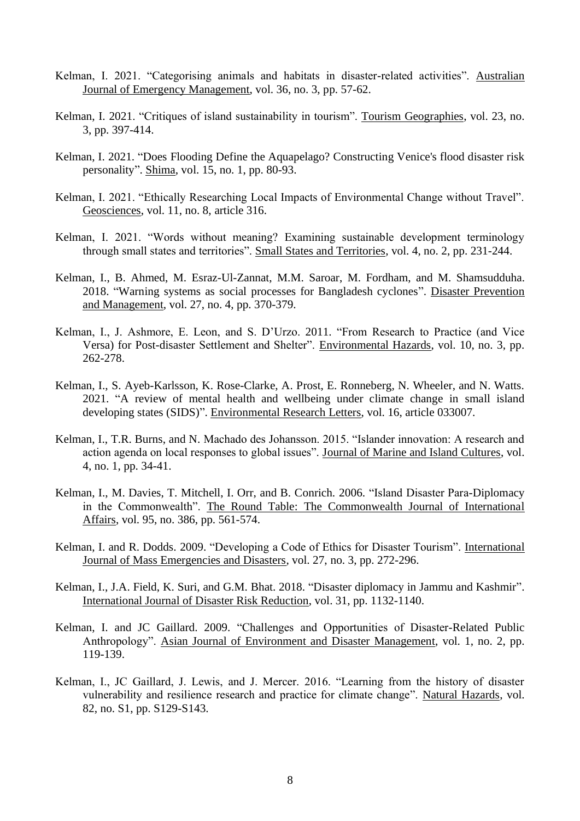- Kelman, I. 2021. "Categorising animals and habitats in disaster-related activities". Australian Journal of Emergency Management, vol. 36, no. 3, pp. 57-62.
- Kelman, I. 2021. "Critiques of island sustainability in tourism". Tourism Geographies, vol. 23, no. 3, pp. 397-414.
- Kelman, I. 2021. "Does Flooding Define the Aquapelago? Constructing Venice's flood disaster risk personality". Shima, vol. 15, no. 1, pp. 80-93.
- Kelman, I. 2021. "Ethically Researching Local Impacts of Environmental Change without Travel". Geosciences, vol. 11, no. 8, article 316.
- Kelman, I. 2021. "Words without meaning? Examining sustainable development terminology through small states and territories". Small States and Territories, vol. 4, no. 2, pp. 231-244.
- Kelman, I., B. Ahmed, M. Esraz-Ul-Zannat, M.M. Saroar, M. Fordham, and M. Shamsudduha. 2018. "Warning systems as social processes for Bangladesh cyclones". Disaster Prevention and Management, vol. 27, no. 4, pp. 370-379.
- Kelman, I., J. Ashmore, E. Leon, and S. D'Urzo. 2011. "From Research to Practice (and Vice Versa) for Post-disaster Settlement and Shelter". Environmental Hazards, vol. 10, no. 3, pp. 262-278.
- Kelman, I., S. Ayeb-Karlsson, K. Rose-Clarke, A. Prost, E. Ronneberg, N. Wheeler, and N. Watts. 2021. "A review of mental health and wellbeing under climate change in small island developing states (SIDS)". Environmental Research Letters, vol. 16, article 033007.
- Kelman, I., T.R. Burns, and N. Machado des Johansson. 2015. "Islander innovation: A research and action agenda on local responses to global issues". Journal of Marine and Island Cultures, vol. 4, no. 1, pp. 34-41.
- Kelman, I., M. Davies, T. Mitchell, I. Orr, and B. Conrich. 2006. "Island Disaster Para-Diplomacy in the Commonwealth". The Round Table: The Commonwealth Journal of International Affairs, vol. 95, no. 386, pp. 561-574.
- Kelman, I. and R. Dodds. 2009. "Developing a Code of Ethics for Disaster Tourism". International Journal of Mass Emergencies and Disasters, vol. 27, no. 3, pp. 272-296.
- Kelman, I., J.A. Field, K. Suri, and G.M. Bhat. 2018. "Disaster diplomacy in Jammu and Kashmir". International Journal of Disaster Risk Reduction, vol. 31, pp. 1132-1140.
- Kelman, I. and JC Gaillard. 2009. "Challenges and Opportunities of Disaster-Related Public Anthropology". Asian Journal of Environment and Disaster Management, vol. 1, no. 2, pp. 119-139.
- Kelman, I., JC Gaillard, J. Lewis, and J. Mercer. 2016. "Learning from the history of disaster vulnerability and resilience research and practice for climate change". Natural Hazards, vol. 82, no. S1, pp. S129-S143.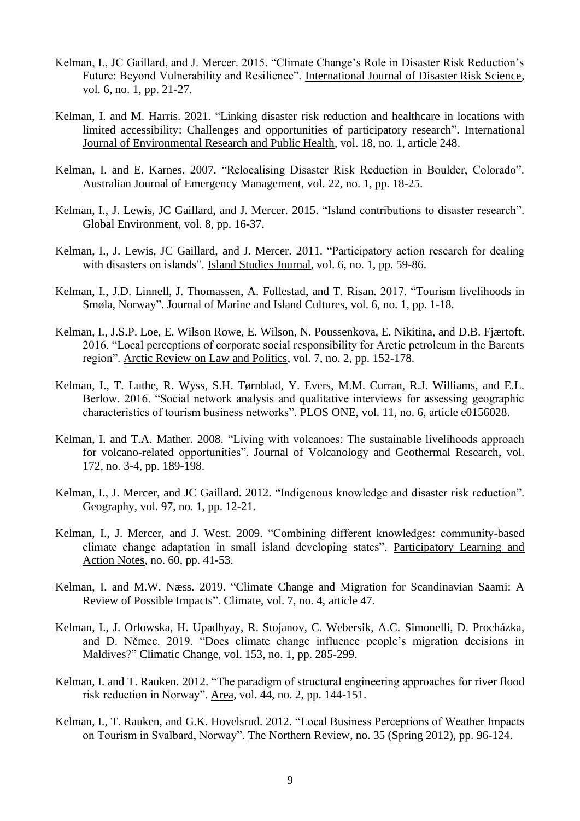- Kelman, I., JC Gaillard, and J. Mercer. 2015. "Climate Change's Role in Disaster Risk Reduction's Future: Beyond Vulnerability and Resilience". International Journal of Disaster Risk Science, vol. 6, no. 1, pp. 21-27.
- Kelman, I. and M. Harris. 2021. "Linking disaster risk reduction and healthcare in locations with limited accessibility: Challenges and opportunities of participatory research". International Journal of Environmental Research and Public Health, vol. 18, no. 1, article 248.
- Kelman, I. and E. Karnes. 2007. "Relocalising Disaster Risk Reduction in Boulder, Colorado". Australian Journal of Emergency Management, vol. 22, no. 1, pp. 18-25.
- Kelman, I., J. Lewis, JC Gaillard, and J. Mercer. 2015. "Island contributions to disaster research". Global Environment, vol. 8, pp. 16-37.
- Kelman, I., J. Lewis, JC Gaillard, and J. Mercer. 2011. "Participatory action research for dealing with disasters on islands". Island Studies Journal, vol. 6, no. 1, pp. 59-86.
- Kelman, I., J.D. Linnell, J. Thomassen, A. Follestad, and T. Risan. 2017. "Tourism livelihoods in Smøla, Norway". Journal of Marine and Island Cultures, vol. 6, no. 1, pp. 1-18.
- Kelman, I., J.S.P. Loe, E. Wilson Rowe, E. Wilson, N. Poussenkova, E. Nikitina, and D.B. Fjærtoft. 2016. "Local perceptions of corporate social responsibility for Arctic petroleum in the Barents region". Arctic Review on Law and Politics, vol. 7, no. 2, pp. 152-178.
- Kelman, I., T. Luthe, R. Wyss, S.H. Tørnblad, Y. Evers, M.M. Curran, R.J. Williams, and E.L. Berlow. 2016. "Social network analysis and qualitative interviews for assessing geographic characteristics of tourism business networks". PLOS ONE, vol. 11, no. 6, article e0156028.
- Kelman, I. and T.A. Mather. 2008. "Living with volcanoes: The sustainable livelihoods approach for volcano-related opportunities". Journal of Volcanology and Geothermal Research, vol. 172, no. 3-4, pp. 189-198.
- Kelman, I., J. Mercer, and JC Gaillard. 2012. "Indigenous knowledge and disaster risk reduction". Geography, vol. 97, no. 1, pp. 12-21.
- Kelman, I., J. Mercer, and J. West. 2009. "Combining different knowledges: community-based climate change adaptation in small island developing states". Participatory Learning and Action Notes, no. 60, pp. 41-53.
- Kelman, I. and M.W. Næss. 2019. "Climate Change and Migration for Scandinavian Saami: A Review of Possible Impacts". Climate, vol. 7, no. 4, article 47.
- Kelman, I., J. Orlowska, H. Upadhyay, R. Stojanov, C. Webersik, A.C. Simonelli, D. Procházka, and D. Němec. 2019. "Does climate change influence people's migration decisions in Maldives?" Climatic Change, vol. 153, no. 1, pp. 285-299.
- Kelman, I. and T. Rauken. 2012. "The paradigm of structural engineering approaches for river flood risk reduction in Norway". Area, vol. 44, no. 2, pp. 144-151.
- Kelman, I., T. Rauken, and G.K. Hovelsrud. 2012. "Local Business Perceptions of Weather Impacts on Tourism in Svalbard, Norway". The Northern Review, no. 35 (Spring 2012), pp. 96-124.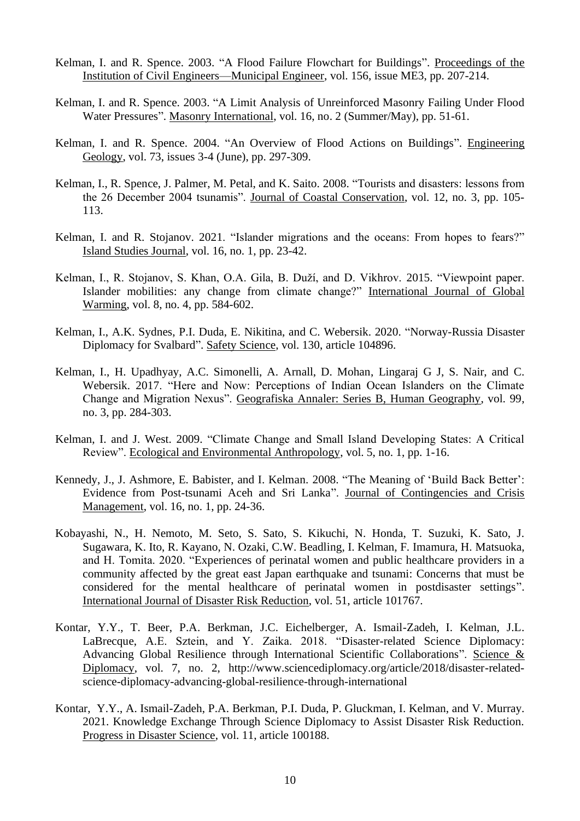- Kelman, I. and R. Spence. 2003. "A Flood Failure Flowchart for Buildings". Proceedings of the Institution of Civil Engineers—Municipal Engineer, vol. 156, issue ME3, pp. 207-214.
- Kelman, I. and R. Spence. 2003. "A Limit Analysis of Unreinforced Masonry Failing Under Flood Water Pressures". Masonry International, vol. 16, no. 2 (Summer/May), pp. 51-61.
- Kelman, I. and R. Spence. 2004. "An Overview of Flood Actions on Buildings". Engineering Geology, vol. 73, issues 3-4 (June), pp. 297-309.
- Kelman, I., R. Spence, J. Palmer, M. Petal, and K. Saito. 2008. "Tourists and disasters: lessons from the 26 December 2004 tsunamis". Journal of Coastal Conservation, vol. 12, no. 3, pp. 105- 113.
- Kelman, I. and R. Stojanov. 2021. "Islander migrations and the oceans: From hopes to fears?" Island Studies Journal, vol. 16, no. 1, pp. 23-42.
- Kelman, I., R. Stojanov, S. Khan, O.A. Gila, B. Duží, and D. Vikhrov. 2015. "Viewpoint paper. Islander mobilities: any change from climate change?" International Journal of Global Warming, vol. 8, no. 4, pp. 584-602.
- Kelman, I., A.K. Sydnes, P.I. Duda, E. Nikitina, and C. Webersik. 2020. "Norway-Russia Disaster Diplomacy for Svalbard". Safety Science, vol. 130, article 104896.
- Kelman, I., H. Upadhyay, A.C. Simonelli, A. Arnall, D. Mohan, Lingaraj G J, S. Nair, and C. Webersik. 2017. "Here and Now: Perceptions of Indian Ocean Islanders on the Climate Change and Migration Nexus". Geografiska Annaler: Series B, Human Geography, vol. 99, no. 3, pp. 284-303.
- Kelman, I. and J. West. 2009. "Climate Change and Small Island Developing States: A Critical Review". Ecological and Environmental Anthropology, vol. 5, no. 1, pp. 1-16.
- Kennedy, J., J. Ashmore, E. Babister, and I. Kelman. 2008. "The Meaning of 'Build Back Better': Evidence from Post-tsunami Aceh and Sri Lanka". Journal of Contingencies and Crisis Management, vol. 16, no. 1, pp. 24-36.
- Kobayashi, N., H. Nemoto, M. Seto, S. Sato, S. Kikuchi, N. Honda, T. Suzuki, K. Sato, J. Sugawara, K. Ito, R. Kayano, N. Ozaki, C.W. Beadling, I. Kelman, F. Imamura, H. Matsuoka, and H. Tomita. 2020. "Experiences of perinatal women and public healthcare providers in a community affected by the great east Japan earthquake and tsunami: Concerns that must be considered for the mental healthcare of perinatal women in postdisaster settings". International Journal of Disaster Risk Reduction, vol. 51, article 101767.
- Kontar, Y.Y., T. Beer, P.A. Berkman, J.C. Eichelberger, A. Ismail-Zadeh, I. Kelman, J.L. LaBrecque, A.E. Sztein, and Y. Zaika. 2018. "Disaster-related Science Diplomacy: Advancing Global Resilience through International Scientific Collaborations". Science & Diplomacy, vol. 7, no. 2, http://www.sciencediplomacy.org/article/2018/disaster-relatedscience-diplomacy-advancing-global-resilience-through-international
- Kontar, Y.Y., A. Ismail-Zadeh, P.A. Berkman, P.I. Duda, P. Gluckman, I. Kelman, and V. Murray. 2021. Knowledge Exchange Through Science Diplomacy to Assist Disaster Risk Reduction. Progress in Disaster Science, vol. 11, article 100188.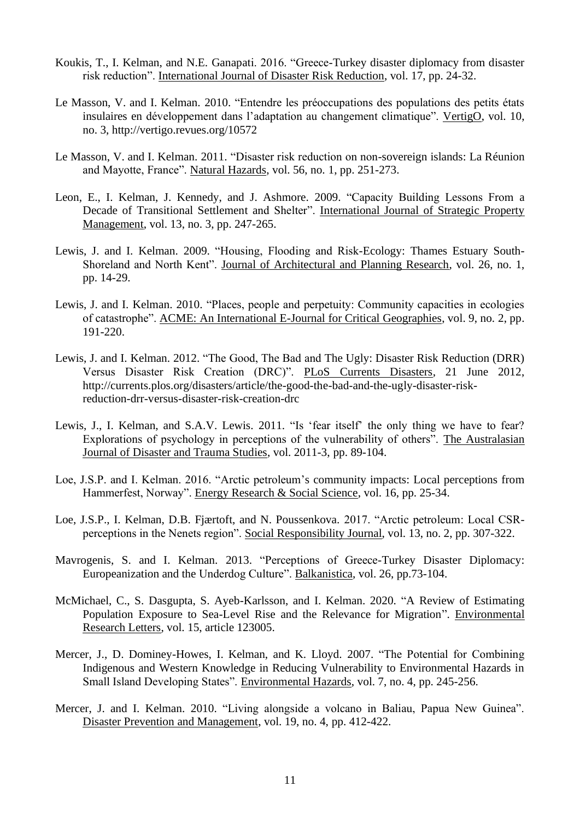- Koukis, T., I. Kelman, and N.E. Ganapati. 2016. "Greece-Turkey disaster diplomacy from disaster risk reduction". International Journal of Disaster Risk Reduction, vol. 17, pp. 24-32.
- Le Masson, V. and I. Kelman. 2010. "Entendre les préoccupations des populations des petits états insulaires en développement dans l'adaptation au changement climatique". VertigO, vol. 10, no. 3,<http://vertigo.revues.org/10572>
- Le Masson, V. and I. Kelman. 2011. "Disaster risk reduction on non-sovereign islands: La Réunion and Mayotte, France". Natural Hazards, vol. 56, no. 1, pp. 251-273.
- Leon, E., I. Kelman, J. Kennedy, and J. Ashmore. 2009. "Capacity Building Lessons From a Decade of Transitional Settlement and Shelter". International Journal of Strategic Property Management, vol. 13, no. 3, pp. 247-265.
- Lewis, J. and I. Kelman. 2009. "Housing, Flooding and Risk-Ecology: Thames Estuary South-Shoreland and North Kent". Journal of Architectural and Planning Research, vol. 26, no. 1, pp. 14-29.
- Lewis, J. and I. Kelman. 2010. "Places, people and perpetuity: Community capacities in ecologies of catastrophe". ACME: An International E-Journal for Critical Geographies, vol. 9, no. 2, pp. 191-220.
- Lewis, J. and I. Kelman. 2012. "The Good, The Bad and The Ugly: Disaster Risk Reduction (DRR) Versus Disaster Risk Creation (DRC)". PLoS Currents Disasters, 21 June 2012, [http://currents.plos.org/disasters/article/the-good-the-bad-and-the-ugly-disaster-risk](http://currents.plos.org/disasters/article/the-good-the-bad-and-the-ugly-disaster-risk-reduction-drr-versus-disaster-risk-creation-drc)[reduction-drr-versus-disaster-risk-creation-drc](http://currents.plos.org/disasters/article/the-good-the-bad-and-the-ugly-disaster-risk-reduction-drr-versus-disaster-risk-creation-drc)
- Lewis, J., I. Kelman, and S.A.V. Lewis. 2011. "Is 'fear itself' the only thing we have to fear? Explorations of psychology in perceptions of the vulnerability of others". The Australasian Journal of Disaster and Trauma Studies, vol. 2011-3, pp. 89-104.
- Loe, J.S.P. and I. Kelman. 2016. "Arctic petroleum's community impacts: Local perceptions from Hammerfest, Norway". Energy Research & Social Science, vol. 16, pp. 25-34.
- Loe, J.S.P., I. Kelman, D.B. Fjærtoft, and N. Poussenkova. 2017. "Arctic petroleum: Local CSRperceptions in the Nenets region". Social Responsibility Journal, vol. 13, no. 2, pp. 307-322.
- Mavrogenis, S. and I. Kelman. 2013. "Perceptions of Greece-Turkey Disaster Diplomacy: Europeanization and the Underdog Culture". Balkanistica, vol. 26, pp.73-104.
- McMichael, C., S. Dasgupta, S. Ayeb-Karlsson, and I. Kelman. 2020. "A Review of Estimating Population Exposure to Sea-Level Rise and the Relevance for Migration". Environmental Research Letters, vol. 15, article 123005.
- Mercer, J., D. Dominey-Howes, I. Kelman, and K. Lloyd. 2007. "The Potential for Combining Indigenous and Western Knowledge in Reducing Vulnerability to Environmental Hazards in Small Island Developing States". Environmental Hazards, vol. 7, no. 4, pp. 245-256.
- Mercer, J. and I. Kelman. 2010. "Living alongside a volcano in Baliau, Papua New Guinea". Disaster Prevention and Management, vol. 19, no. 4, pp. 412-422.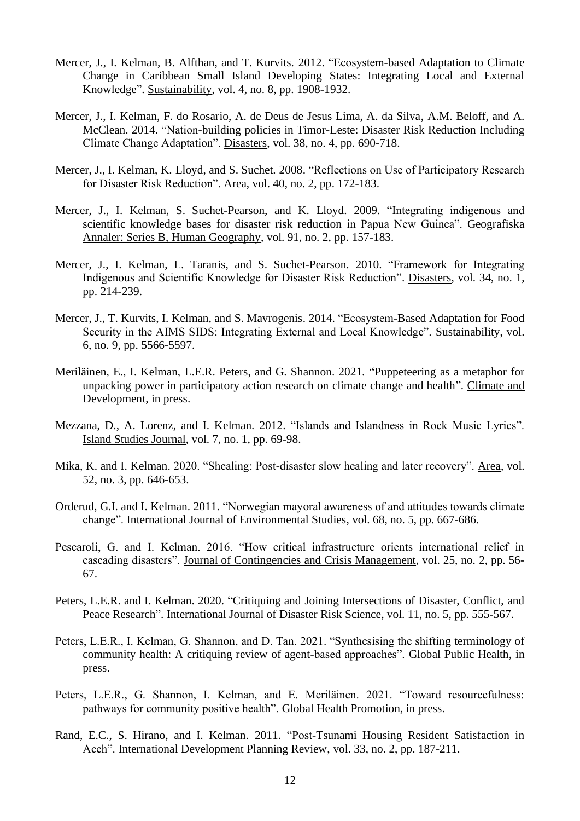- Mercer, J., I. Kelman, B. Alfthan, and T. Kurvits. 2012. "Ecosystem-based Adaptation to Climate Change in Caribbean Small Island Developing States: Integrating Local and External Knowledge". Sustainability, vol. 4, no. 8, pp. 1908-1932.
- Mercer, J., I. Kelman, F. do Rosario, A. de Deus de Jesus Lima, A. da Silva, A.M. Beloff, and A. McClean. 2014. "Nation-building policies in Timor-Leste: Disaster Risk Reduction Including Climate Change Adaptation". Disasters, vol. 38, no. 4, pp. 690-718.
- Mercer, J., I. Kelman, K. Lloyd, and S. Suchet. 2008. "Reflections on Use of Participatory Research for Disaster Risk Reduction". Area, vol. 40, no. 2, pp. 172-183.
- Mercer, J., I. Kelman, S. Suchet-Pearson, and K. Lloyd. 2009. "Integrating indigenous and scientific knowledge bases for disaster risk reduction in Papua New Guinea". Geografiska Annaler: Series B, Human Geography, vol. 91, no. 2, pp. 157-183.
- Mercer, J., I. Kelman, L. Taranis, and S. Suchet-Pearson. 2010. "Framework for Integrating Indigenous and Scientific Knowledge for Disaster Risk Reduction". Disasters, vol. 34, no. 1, pp. 214-239.
- Mercer, J., T. Kurvits, I. Kelman, and S. Mavrogenis. 2014. "Ecosystem-Based Adaptation for Food Security in the AIMS SIDS: Integrating External and Local Knowledge". Sustainability, vol. 6, no. 9, pp. 5566-5597.
- Meriläinen, E., I. Kelman, L.E.R. Peters, and G. Shannon. 2021. "Puppeteering as a metaphor for unpacking power in participatory action research on climate change and health". Climate and Development, in press.
- Mezzana, D., A. Lorenz, and I. Kelman. 2012. "Islands and Islandness in Rock Music Lyrics". Island Studies Journal, vol. 7, no. 1, pp. 69-98.
- Mika, K. and I. Kelman. 2020. "Shealing: Post-disaster slow healing and later recovery". Area, vol. 52, no. 3, pp. 646-653.
- Orderud, G.I. and I. Kelman. 2011. "Norwegian mayoral awareness of and attitudes towards climate change". International Journal of Environmental Studies, vol. 68, no. 5, pp. 667-686.
- Pescaroli, G. and I. Kelman. 2016. "How critical infrastructure orients international relief in cascading disasters". Journal of Contingencies and Crisis Management, vol. 25, no. 2, pp. 56- 67.
- Peters, L.E.R. and I. Kelman. 2020. "Critiquing and Joining Intersections of Disaster, Conflict, and Peace Research". International Journal of Disaster Risk Science, vol. 11, no. 5, pp. 555-567.
- Peters, L.E.R., I. Kelman, G. Shannon, and D. Tan. 2021. "Synthesising the shifting terminology of community health: A critiquing review of agent-based approaches". Global Public Health, in press.
- Peters, L.E.R., G. Shannon, I. Kelman, and E. Meriläinen. 2021. "Toward resourcefulness: pathways for community positive health". Global Health Promotion, in press.
- Rand, E.C., S. Hirano, and I. Kelman. 2011. "Post-Tsunami Housing Resident Satisfaction in Aceh". International Development Planning Review, vol. 33, no. 2, pp. 187-211.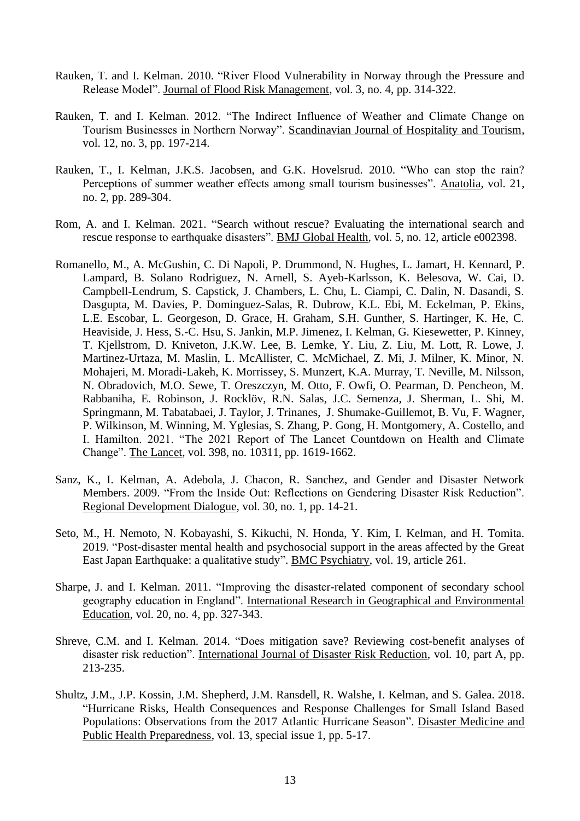- Rauken, T. and I. Kelman. 2010. "River Flood Vulnerability in Norway through the Pressure and Release Model". Journal of Flood Risk Management, vol. 3, no. 4, pp. 314-322.
- Rauken, T. and I. Kelman. 2012. "The Indirect Influence of Weather and Climate Change on Tourism Businesses in Northern Norway". Scandinavian Journal of Hospitality and Tourism, vol. 12, no. 3, pp. 197-214.
- Rauken, T., I. Kelman, J.K.S. Jacobsen, and G.K. Hovelsrud. 2010. "Who can stop the rain? Perceptions of summer weather effects among small tourism businesses". Anatolia, vol. 21, no. 2, pp. 289-304.
- Rom, A. and I. Kelman. 2021. "Search without rescue? Evaluating the international search and rescue response to earthquake disasters". BMJ Global Health, vol. 5, no. 12, article e002398.
- Romanello, M., A. McGushin, C. Di Napoli, P. Drummond, N. Hughes, L. Jamart, H. Kennard, P. Lampard, B. Solano Rodriguez, N. Arnell, S. Ayeb-Karlsson, K. Belesova, W. Cai, D. Campbell-Lendrum, S. Capstick, J. Chambers, L. Chu, L. Ciampi, C. Dalin, N. Dasandi, S. Dasgupta, M. Davies, P. Dominguez-Salas, R. Dubrow, K.L. Ebi, M. Eckelman, P. Ekins, L.E. Escobar, L. Georgeson, D. Grace, H. Graham, S.H. Gunther, S. Hartinger, K. He, C. Heaviside, J. Hess, S.-C. Hsu, S. Jankin, M.P. Jimenez, I. Kelman, G. Kiesewetter, P. Kinney, T. Kjellstrom, D. Kniveton, J.K.W. Lee, B. Lemke, Y. Liu, Z. Liu, M. Lott, R. Lowe, J. Martinez-Urtaza, M. Maslin, L. McAllister, C. McMichael, Z. Mi, J. Milner, K. Minor, N. Mohajeri, M. Moradi-Lakeh, K. Morrissey, S. Munzert, K.A. Murray, T. Neville, M. Nilsson, N. Obradovich, M.O. Sewe, T. Oreszczyn, M. Otto, F. Owfi, O. Pearman, D. Pencheon, M. Rabbaniha, E. Robinson, J. Rocklöv, R.N. Salas, J.C. Semenza, J. Sherman, L. Shi, M. Springmann, M. Tabatabaei, J. Taylor, J. Trinanes, J. Shumake-Guillemot, B. Vu, F. Wagner, P. Wilkinson, M. Winning, M. Yglesias, S. Zhang, P. Gong, H. Montgomery, A. Costello, and I. Hamilton. 2021. "The 2021 Report of The Lancet Countdown on Health and Climate Change". The Lancet, vol. 398, no. 10311, pp. 1619-1662.
- Sanz, K., I. Kelman, A. Adebola, J. Chacon, R. Sanchez, and Gender and Disaster Network Members. 2009. "From the Inside Out: Reflections on Gendering Disaster Risk Reduction". Regional Development Dialogue, vol. 30, no. 1, pp. 14-21.
- Seto, M., H. Nemoto, N. Kobayashi, S. Kikuchi, N. Honda, Y. Kim, I. Kelman, and H. Tomita. 2019. "Post-disaster mental health and psychosocial support in the areas affected by the Great East Japan Earthquake: a qualitative study". BMC Psychiatry, vol. 19, article 261.
- Sharpe, J. and I. Kelman. 2011. "Improving the disaster-related component of secondary school geography education in England". International Research in Geographical and Environmental Education, vol. 20, no. 4, pp. 327-343.
- Shreve, C.M. and I. Kelman. 2014. "Does mitigation save? Reviewing cost-benefit analyses of disaster risk reduction". International Journal of Disaster Risk Reduction, vol. 10, part A, pp. 213-235.
- Shultz, J.M., J.P. Kossin, J.M. Shepherd, J.M. Ransdell, R. Walshe, I. Kelman, and S. Galea. 2018. "Hurricane Risks, Health Consequences and Response Challenges for Small Island Based Populations: Observations from the 2017 Atlantic Hurricane Season". Disaster Medicine and Public Health Preparedness, vol. 13, special issue 1, pp. 5-17.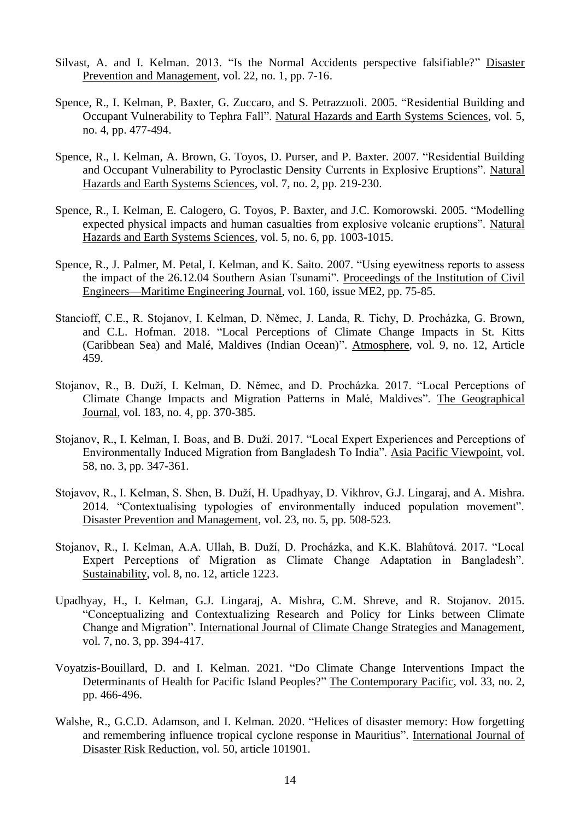- Silvast, A. and I. Kelman. 2013. "Is the Normal Accidents perspective falsifiable?" Disaster Prevention and Management, vol. 22, no. 1, pp. 7-16.
- Spence, R., I. Kelman, P. Baxter, G. Zuccaro, and S. Petrazzuoli. 2005. "Residential Building and Occupant Vulnerability to Tephra Fall". Natural Hazards and Earth Systems Sciences, vol. 5, no. 4, pp. 477-494.
- Spence, R., I. Kelman, A. Brown, G. Toyos, D. Purser, and P. Baxter. 2007. "Residential Building and Occupant Vulnerability to Pyroclastic Density Currents in Explosive Eruptions". Natural Hazards and Earth Systems Sciences, vol. 7, no. 2, pp. 219-230.
- Spence, R., I. Kelman, E. Calogero, G. Toyos, P. Baxter, and J.C. Komorowski. 2005. "Modelling expected physical impacts and human casualties from explosive volcanic eruptions". Natural Hazards and Earth Systems Sciences, vol. 5, no. 6, pp. 1003-1015.
- Spence, R., J. Palmer, M. Petal, I. Kelman, and K. Saito. 2007. "Using eyewitness reports to assess the impact of the 26.12.04 Southern Asian Tsunami". Proceedings of the Institution of Civil Engineers—Maritime Engineering Journal, vol. 160, issue ME2, pp. 75-85.
- Stancioff, C.E., R. Stojanov, I. Kelman, D. Němec, J. Landa, R. Tichy, D. Procházka, G. Brown, and C.L. Hofman. 2018. "Local Perceptions of Climate Change Impacts in St. Kitts (Caribbean Sea) and Malé, Maldives (Indian Ocean)". Atmosphere, vol. 9, no. 12, Article 459.
- Stojanov, R., B. Duží, I. Kelman, D. Němec, and D. Procházka. 2017. "Local Perceptions of Climate Change Impacts and Migration Patterns in Malé, Maldives". The Geographical Journal, vol. 183, no. 4, pp. 370-385.
- Stojanov, R., I. Kelman, I. Boas, and B. Duží. 2017. "Local Expert Experiences and Perceptions of Environmentally Induced Migration from Bangladesh To India". Asia Pacific Viewpoint, vol. 58, no. 3, pp. 347-361.
- Stojavov, R., I. Kelman, S. Shen, B. Duží, H. Upadhyay, D. Vikhrov, G.J. Lingaraj, and A. Mishra. 2014. "Contextualising typologies of environmentally induced population movement". Disaster Prevention and Management, vol. 23, no. 5, pp. 508-523.
- Stojanov, R., I. Kelman, A.A. Ullah, B. Duží, D. Procházka, and K.K. Blahůtová. 2017. "Local Expert Perceptions of Migration as Climate Change Adaptation in Bangladesh". Sustainability, vol. 8, no. 12, article 1223.
- Upadhyay, H., I. Kelman, G.J. Lingaraj, A. Mishra, C.M. Shreve, and R. Stojanov. 2015. "Conceptualizing and Contextualizing Research and Policy for Links between Climate Change and Migration". International Journal of Climate Change Strategies and Management, vol. 7, no. 3, pp. 394-417.
- Voyatzis-Bouillard, D. and I. Kelman. 2021. "Do Climate Change Interventions Impact the Determinants of Health for Pacific Island Peoples?" The Contemporary Pacific, vol. 33, no. 2, pp. 466-496.
- Walshe, R., G.C.D. Adamson, and I. Kelman. 2020. "Helices of disaster memory: How forgetting and remembering influence tropical cyclone response in Mauritius". International Journal of Disaster Risk Reduction, vol. 50, article 101901.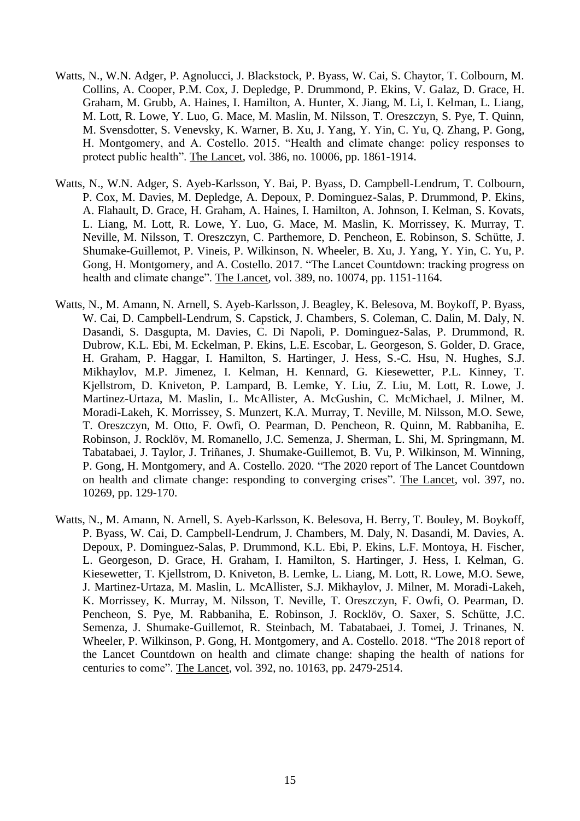- Watts, N., W.N. Adger, P. Agnolucci, J. Blackstock, P. Byass, W. Cai, S. Chaytor, T. Colbourn, M. Collins, A. Cooper, P.M. Cox, J. Depledge, P. Drummond, P. Ekins, V. Galaz, D. Grace, H. Graham, M. Grubb, A. Haines, I. Hamilton, A. Hunter, X. Jiang, M. Li, I. Kelman, L. Liang, M. Lott, R. Lowe, Y. Luo, G. Mace, M. Maslin, M. Nilsson, T. Oreszczyn, S. Pye, T. Quinn, M. Svensdotter, S. Venevsky, K. Warner, B. Xu, J. Yang, Y. Yin, C. Yu, Q. Zhang, P. Gong, H. Montgomery, and A. Costello. 2015. "Health and climate change: policy responses to protect public health". The Lancet, vol. 386, no. 10006, pp. 1861-1914.
- Watts, N., W.N. Adger, S. Ayeb-Karlsson, Y. Bai, P. Byass, D. Campbell-Lendrum, T. Colbourn, P. Cox, M. Davies, M. Depledge, A. Depoux, P. Dominguez-Salas, P. Drummond, P. Ekins, A. Flahault, D. Grace, H. Graham, A. Haines, I. Hamilton, A. Johnson, I. Kelman, S. Kovats, L. Liang, M. Lott, R. Lowe, Y. Luo, G. Mace, M. Maslin, K. Morrissey, K. Murray, T. Neville, M. Nilsson, T. Oreszczyn, C. Parthemore, D. Pencheon, E. Robinson, S. Schütte, J. Shumake-Guillemot, P. Vineis, P. Wilkinson, N. Wheeler, B. Xu, J. Yang, Y. Yin, C. Yu, P. Gong, H. Montgomery, and A. Costello. 2017. "The Lancet Countdown: tracking progress on health and climate change". The Lancet, vol. 389, no. 10074, pp. 1151-1164.
- Watts, N., M. Amann, N. Arnell, S. Ayeb-Karlsson, J. Beagley, K. Belesova, M. Boykoff, P. Byass, W. Cai, D. Campbell-Lendrum, S. Capstick, J. Chambers, S. Coleman, C. Dalin, M. Daly, N. Dasandi, S. Dasgupta, M. Davies, C. Di Napoli, P. Dominguez-Salas, P. Drummond, R. Dubrow, K.L. Ebi, M. Eckelman, P. Ekins, L.E. Escobar, L. Georgeson, S. Golder, D. Grace, H. Graham, P. Haggar, I. Hamilton, S. Hartinger, J. Hess, S.-C. Hsu, N. Hughes, S.J. Mikhaylov, M.P. Jimenez, I. Kelman, H. Kennard, G. Kiesewetter, P.L. Kinney, T. Kjellstrom, D. Kniveton, P. Lampard, B. Lemke, Y. Liu, Z. Liu, M. Lott, R. Lowe, J. Martinez-Urtaza, M. Maslin, L. McAllister, A. McGushin, C. McMichael, J. Milner, M. Moradi-Lakeh, K. Morrissey, S. Munzert, K.A. Murray, T. Neville, M. Nilsson, M.O. Sewe, T. Oreszczyn, M. Otto, F. Owfi, O. Pearman, D. Pencheon, R. Quinn, M. Rabbaniha, E. Robinson, J. Rocklöv, M. Romanello, J.C. Semenza, J. Sherman, L. Shi, M. Springmann, M. Tabatabaei, J. Taylor, J. Triñanes, J. Shumake-Guillemot, B. Vu, P. Wilkinson, M. Winning, P. Gong, H. Montgomery, and A. Costello. 2020. "The 2020 report of The Lancet Countdown on health and climate change: responding to converging crises". The Lancet, vol. 397, no. 10269, pp. 129-170.
- Watts, N., M. Amann, N. Arnell, S. Ayeb-Karlsson, K. Belesova, H. Berry, T. Bouley, M. Boykoff, P. Byass, W. Cai, D. Campbell-Lendrum, J. Chambers, M. Daly, N. Dasandi, M. Davies, A. Depoux, P. Dominguez-Salas, P. Drummond, K.L. Ebi, P. Ekins, L.F. Montoya, H. Fischer, L. Georgeson, D. Grace, H. Graham, I. Hamilton, S. Hartinger, J. Hess, I. Kelman, G. Kiesewetter, T. Kjellstrom, D. Kniveton, B. Lemke, L. Liang, M. Lott, R. Lowe, M.O. Sewe, J. Martinez-Urtaza, M. Maslin, L. McAllister, S.J. Mikhaylov, J. Milner, M. Moradi-Lakeh, K. Morrissey, K. Murray, M. Nilsson, T. Neville, T. Oreszczyn, F. Owfi, O. Pearman, D. Pencheon, S. Pye, M. Rabbaniha, E. Robinson, J. Rocklöv, O. Saxer, S. Schütte, J.C. Semenza, J. Shumake-Guillemot, R. Steinbach, M. Tabatabaei, J. Tomei, J. Trinanes, N. Wheeler, P. Wilkinson, P. Gong, H. Montgomery, and A. Costello. 2018. "The 2018 report of the Lancet Countdown on health and climate change: shaping the health of nations for centuries to come". The Lancet, vol. 392, no. 10163, pp. 2479-2514.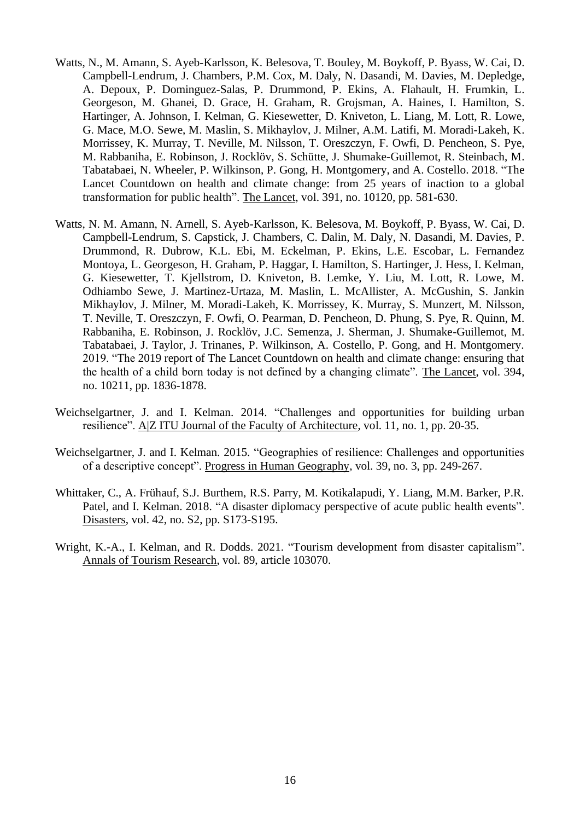- Watts, N., M. Amann, S. Ayeb-Karlsson, K. Belesova, T. Bouley, M. Boykoff, P. Byass, W. Cai, D. Campbell-Lendrum, J. Chambers, P.M. Cox, M. Daly, N. Dasandi, M. Davies, M. Depledge, A. Depoux, P. Dominguez-Salas, P. Drummond, P. Ekins, A. Flahault, H. Frumkin, L. Georgeson, M. Ghanei, D. Grace, H. Graham, R. Grojsman, A. Haines, I. Hamilton, S. Hartinger, A. Johnson, I. Kelman, G. Kiesewetter, D. Kniveton, L. Liang, M. Lott, R. Lowe, G. Mace, M.O. Sewe, M. Maslin, S. Mikhaylov, J. Milner, A.M. Latifi, M. Moradi-Lakeh, K. Morrissey, K. Murray, T. Neville, M. Nilsson, T. Oreszczyn, F. Owfi, D. Pencheon, S. Pye, M. Rabbaniha, E. Robinson, J. Rocklöv, S. Schütte, J. Shumake-Guillemot, R. Steinbach, M. Tabatabaei, N. Wheeler, P. Wilkinson, P. Gong, H. Montgomery, and A. Costello. 2018. "The Lancet Countdown on health and climate change: from 25 years of inaction to a global transformation for public health". The Lancet, vol. 391, no. 10120, pp. 581-630.
- Watts, N. M. Amann, N. Arnell, S. Ayeb-Karlsson, K. Belesova, M. Boykoff, P. Byass, W. Cai, D. Campbell-Lendrum, S. Capstick, J. Chambers, C. Dalin, M. Daly, N. Dasandi, M. Davies, P. Drummond, R. Dubrow, K.L. Ebi, M. Eckelman, P. Ekins, L.E. Escobar, L. Fernandez Montoya, L. Georgeson, H. Graham, P. Haggar, I. Hamilton, S. Hartinger, J. Hess, I. Kelman, G. Kiesewetter, T. Kjellstrom, D. Kniveton, B. Lemke, Y. Liu, M. Lott, R. Lowe, M. Odhiambo Sewe, J. Martinez-Urtaza, M. Maslin, L. McAllister, A. McGushin, S. Jankin Mikhaylov, J. Milner, M. Moradi-Lakeh, K. Morrissey, K. Murray, S. Munzert, M. Nilsson, T. Neville, T. Oreszczyn, F. Owfi, O. Pearman, D. Pencheon, D. Phung, S. Pye, R. Quinn, M. Rabbaniha, E. Robinson, J. Rocklöv, J.C. Semenza, J. Sherman, J. Shumake-Guillemot, M. Tabatabaei, J. Taylor, J. Trinanes, P. Wilkinson, A. Costello, P. Gong, and H. Montgomery. 2019. "The 2019 report of The Lancet Countdown on health and climate change: ensuring that the health of a child born today is not defined by a changing climate". The Lancet, vol. 394, no. 10211, pp. 1836-1878.
- Weichselgartner, J. and I. Kelman. 2014. "Challenges and opportunities for building urban resilience". A|Z ITU Journal of the Faculty of Architecture, vol. 11, no. 1, pp. 20-35.
- Weichselgartner, J. and I. Kelman. 2015. "Geographies of resilience: Challenges and opportunities of a descriptive concept". Progress in Human Geography, vol. 39, no. 3, pp. 249-267.
- Whittaker, C., A. Frühauf, S.J. Burthem, R.S. Parry, M. Kotikalapudi, Y. Liang, M.M. Barker, P.R. Patel, and I. Kelman. 2018. "A disaster diplomacy perspective of acute public health events". Disasters, vol. 42, no. S2, pp. S173-S195.
- Wright, K.-A., I. Kelman, and R. Dodds. 2021. "Tourism development from disaster capitalism". Annals of Tourism Research, vol. 89, article 103070.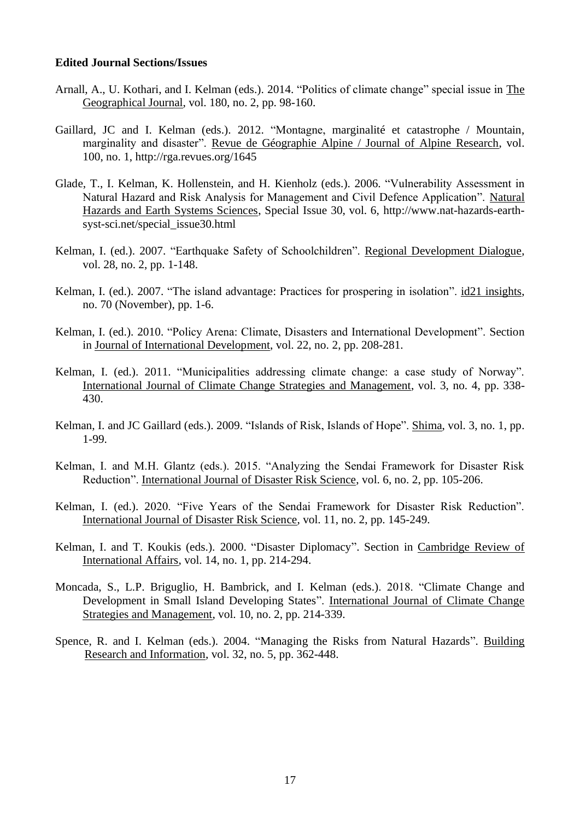#### <span id="page-16-0"></span>**Edited Journal Sections/Issues**

- Arnall, A., U. Kothari, and I. Kelman (eds.). 2014. "Politics of climate change" special issue in The Geographical Journal, vol. 180, no. 2, pp. 98-160.
- Gaillard, JC and I. Kelman (eds.). 2012. "Montagne, marginalité et catastrophe / Mountain, marginality and disaster". Revue de Géographie Alpine / Journal of Alpine Research, vol. 100, no. 1,<http://rga.revues.org/1645>
- Glade, T., I. Kelman, K. Hollenstein, and H. Kienholz (eds.). 2006. "Vulnerability Assessment in Natural Hazard and Risk Analysis for Management and Civil Defence Application". Natural Hazards and Earth Systems Sciences, Special Issue 30, vol. 6, [http://www.nat-hazards-earth](http://www.nat-hazards-earth-syst-sci.net/special_issue30.html)[syst-sci.net/special\\_issue30.html](http://www.nat-hazards-earth-syst-sci.net/special_issue30.html)
- Kelman, I. (ed.). 2007. "Earthquake Safety of Schoolchildren". Regional Development Dialogue, vol. 28, no. 2, pp. 1-148.
- Kelman, I. (ed.). 2007. "The island advantage: Practices for prospering in isolation". id21 insights, no. 70 (November), pp. 1-6.
- Kelman, I. (ed.). 2010. "Policy Arena: Climate, Disasters and International Development". Section in Journal of International Development, vol. 22, no. 2, pp. 208-281.
- Kelman, I. (ed.). 2011. "Municipalities addressing climate change: a case study of Norway". International Journal of Climate Change Strategies and Management, vol. 3, no. 4, pp. 338- 430.
- Kelman, I. and JC Gaillard (eds.). 2009. "Islands of Risk, Islands of Hope". Shima, vol. 3, no. 1, pp. 1-99.
- Kelman, I. and M.H. Glantz (eds.). 2015. "Analyzing the Sendai Framework for Disaster Risk Reduction". International Journal of Disaster Risk Science, vol. 6, no. 2, pp. 105-206.
- Kelman, I. (ed.). 2020. "Five Years of the Sendai Framework for Disaster Risk Reduction". International Journal of Disaster Risk Science, vol. 11, no. 2, pp. 145-249.
- Kelman, I. and T. Koukis (eds.). 2000. "Disaster Diplomacy". Section in Cambridge Review of International Affairs, vol. 14, no. 1, pp. 214-294.
- Moncada, S., L.P. Briguglio, H. Bambrick, and I. Kelman (eds.). 2018. "Climate Change and Development in Small Island Developing States". International Journal of Climate Change Strategies and Management, vol. 10, no. 2, pp. 214-339.
- Spence, R. and I. Kelman (eds.). 2004. "Managing the Risks from Natural Hazards". Building Research and Information, vol. 32, no. 5, pp. 362-448.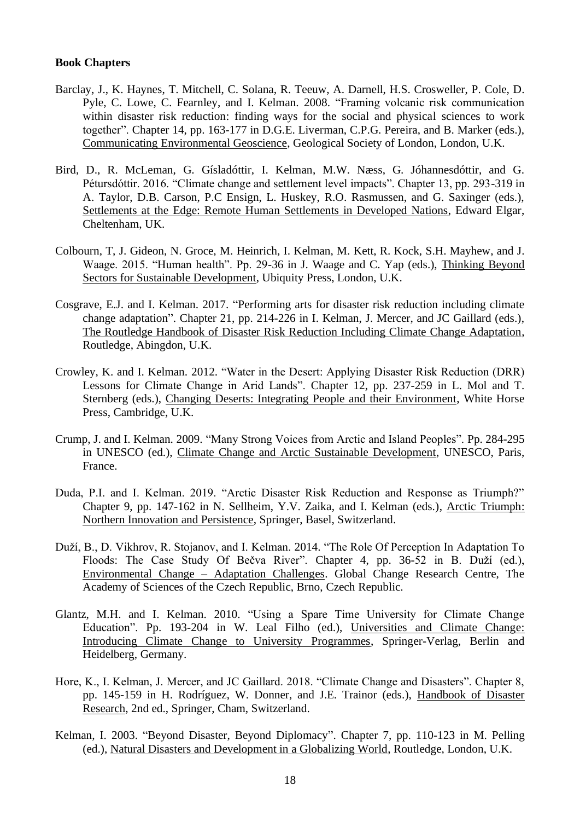### <span id="page-17-0"></span>**Book Chapters**

- Barclay, J., K. Haynes, T. Mitchell, C. Solana, R. Teeuw, A. Darnell, H.S. Crosweller, P. Cole, D. Pyle, C. Lowe, C. Fearnley, and I. Kelman. 2008. "Framing volcanic risk communication within disaster risk reduction: finding ways for the social and physical sciences to work together". Chapter 14, pp. 163-177 in D.G.E. Liverman, C.P.G. Pereira, and B. Marker (eds.), Communicating Environmental Geoscience, Geological Society of London, London, U.K.
- Bird, D., R. McLeman, G. Gísladóttir, I. Kelman, M.W. Næss, G. Jóhannesdóttir, and G. Pétursdóttir. 2016. "Climate change and settlement level impacts". Chapter 13, pp. 293-319 in A. Taylor, D.B. Carson, P.C Ensign, L. Huskey, R.O. Rasmussen, and G. Saxinger (eds.), Settlements at the Edge: Remote Human Settlements in Developed Nations, Edward Elgar, Cheltenham, UK.
- Colbourn, T, J. Gideon, N. Groce, M. Heinrich, I. Kelman, M. Kett, R. Kock, S.H. Mayhew, and J. Waage. 2015. "Human health". Pp. 29-36 in J. Waage and C. Yap (eds.), Thinking Beyond Sectors for Sustainable Development, Ubiquity Press, London, U.K.
- Cosgrave, E.J. and I. Kelman. 2017. "Performing arts for disaster risk reduction including climate change adaptation". Chapter 21, pp. 214-226 in I. Kelman, J. Mercer, and JC Gaillard (eds.), The Routledge Handbook of Disaster Risk Reduction Including Climate Change Adaptation, Routledge, Abingdon, U.K.
- Crowley, K. and I. Kelman. 2012. "Water in the Desert: Applying Disaster Risk Reduction (DRR) Lessons for Climate Change in Arid Lands". Chapter 12, pp. 237-259 in L. Mol and T. Sternberg (eds.), Changing Deserts: Integrating People and their Environment, White Horse Press, Cambridge, U.K.
- Crump, J. and I. Kelman. 2009. "Many Strong Voices from Arctic and Island Peoples". Pp. 284-295 in UNESCO (ed.), Climate Change and Arctic Sustainable Development, UNESCO, Paris, France.
- Duda, P.I. and I. Kelman. 2019. "Arctic Disaster Risk Reduction and Response as Triumph?" Chapter 9, pp. 147-162 in N. Sellheim, Y.V. Zaika, and I. Kelman (eds.), Arctic Triumph: Northern Innovation and Persistence, Springer, Basel, Switzerland.
- Duží, B., D. Vikhrov, R. Stojanov, and I. Kelman. 2014. "The Role Of Perception In Adaptation To Floods: The Case Study Of Bečva River". Chapter 4, pp. 36-52 in B. Duží (ed.), Environmental Change – Adaptation Challenges. Global Change Research Centre, The Academy of Sciences of the Czech Republic, Brno, Czech Republic.
- Glantz, M.H. and I. Kelman. 2010. "Using a Spare Time University for Climate Change Education". Pp. 193-204 in W. Leal Filho (ed.), Universities and Climate Change: Introducing Climate Change to University Programmes, Springer-Verlag, Berlin and Heidelberg, Germany.
- Hore, K., I. Kelman, J. Mercer, and JC Gaillard. 2018. "Climate Change and Disasters". Chapter 8, pp. 145-159 in H. Rodríguez, W. Donner, and J.E. Trainor (eds.), Handbook of Disaster Research, 2nd ed., Springer, Cham, Switzerland.
- Kelman, I. 2003. "Beyond Disaster, Beyond Diplomacy". Chapter 7, pp. 110-123 in M. Pelling (ed.), Natural Disasters and Development in a Globalizing World, Routledge, London, U.K.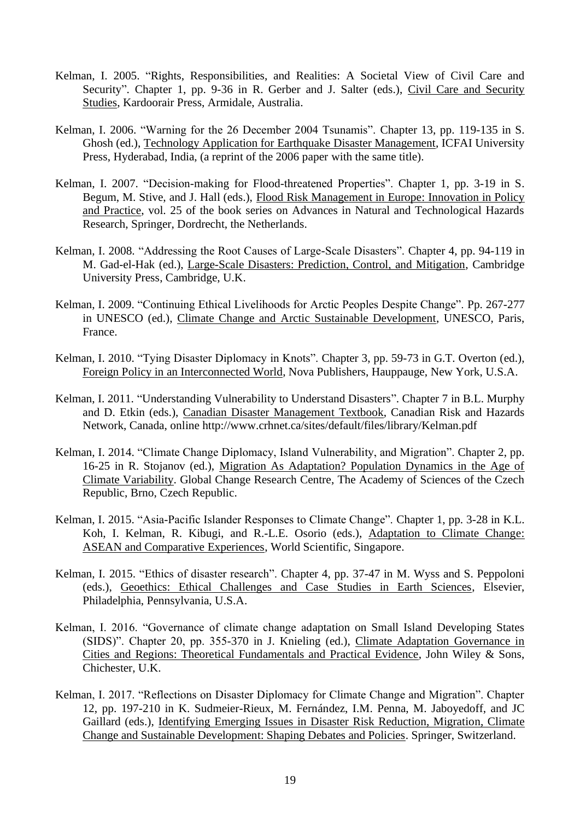- Kelman, I. 2005. "Rights, Responsibilities, and Realities: A Societal View of Civil Care and Security". Chapter 1, pp. 9-36 in R. Gerber and J. Salter (eds.), Civil Care and Security Studies, Kardoorair Press, Armidale, Australia.
- Kelman, I. 2006. "Warning for the 26 December 2004 Tsunamis". Chapter 13, pp. 119-135 in S. Ghosh (ed.), Technology Application for Earthquake Disaster Management, ICFAI University Press, Hyderabad, India, (a reprint of the 2006 paper with the same title).
- Kelman, I. 2007. "Decision-making for Flood-threatened Properties". Chapter 1, pp. 3-19 in S. Begum, M. Stive, and J. Hall (eds.), Flood Risk Management in Europe: Innovation in Policy and Practice, vol. 25 of the book series on Advances in Natural and Technological Hazards Research, Springer, Dordrecht, the Netherlands.
- Kelman, I. 2008. "Addressing the Root Causes of Large-Scale Disasters". Chapter 4, pp. 94-119 in M. Gad-el-Hak (ed.), Large-Scale Disasters: Prediction, Control, and Mitigation, Cambridge University Press, Cambridge, U.K.
- Kelman, I. 2009. "Continuing Ethical Livelihoods for Arctic Peoples Despite Change". Pp. 267-277 in UNESCO (ed.), Climate Change and Arctic Sustainable Development, UNESCO, Paris, France.
- Kelman, I. 2010. "Tying Disaster Diplomacy in Knots". Chapter 3, pp. 59-73 in G.T. Overton (ed.), Foreign Policy in an Interconnected World, Nova Publishers, Hauppauge, New York, U.S.A.
- Kelman, I. 2011. "Understanding Vulnerability to Understand Disasters". Chapter 7 in B.L. Murphy and D. Etkin (eds.), Canadian Disaster Management Textbook, Canadian Risk and Hazards Network, Canada, online <http://www.crhnet.ca/sites/default/files/library/Kelman.pdf>
- Kelman, I. 2014. "Climate Change Diplomacy, Island Vulnerability, and Migration". Chapter 2, pp. 16-25 in R. Stojanov (ed.), Migration As Adaptation? Population Dynamics in the Age of Climate Variability. Global Change Research Centre, The Academy of Sciences of the Czech Republic, Brno, Czech Republic.
- Kelman, I. 2015. "Asia-Pacific Islander Responses to Climate Change". Chapter 1, pp. 3-28 in K.L. Koh, I. Kelman, R. Kibugi, and R.-L.E. Osorio (eds.), Adaptation to Climate Change: ASEAN and Comparative Experiences, World Scientific, Singapore.
- Kelman, I. 2015. "Ethics of disaster research". Chapter 4, pp. 37-47 in M. Wyss and S. Peppoloni (eds.), Geoethics: Ethical Challenges and Case Studies in Earth Sciences, Elsevier, Philadelphia, Pennsylvania, U.S.A.
- Kelman, I. 2016. "Governance of climate change adaptation on Small Island Developing States (SIDS)". Chapter 20, pp. 355-370 in J. Knieling (ed.), Climate Adaptation Governance in Cities and Regions: Theoretical Fundamentals and Practical Evidence, John Wiley & Sons, Chichester, U.K.
- Kelman, I. 2017. "Reflections on Disaster Diplomacy for Climate Change and Migration". Chapter 12, pp. 197-210 in K. Sudmeier-Rieux, M. Fernández, I.M. Penna, M. Jaboyedoff, and JC Gaillard (eds.), Identifying Emerging Issues in Disaster Risk Reduction, Migration, Climate Change and Sustainable Development: Shaping Debates and Policies. Springer, Switzerland.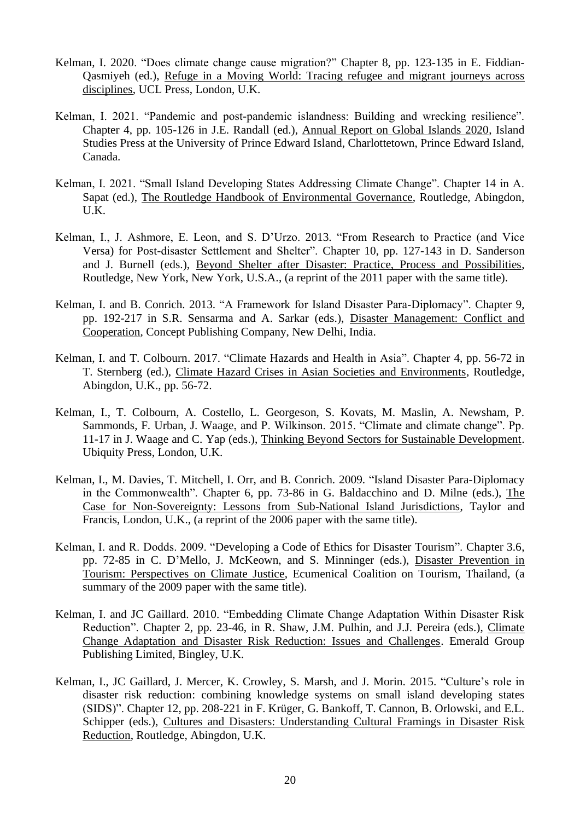- Kelman, I. 2020. "Does climate change cause migration?" Chapter 8, pp. 123-135 in E. Fiddian-Qasmiyeh (ed.), Refuge in a Moving World: Tracing refugee and migrant journeys across disciplines, UCL Press, London, U.K.
- Kelman, I. 2021. "Pandemic and post-pandemic islandness: Building and wrecking resilience". Chapter 4, pp. 105-126 in J.E. Randall (ed.), Annual Report on Global Islands 2020, Island Studies Press at the University of Prince Edward Island, Charlottetown, Prince Edward Island, Canada.
- Kelman, I. 2021. "Small Island Developing States Addressing Climate Change". Chapter 14 in A. Sapat (ed.), The Routledge Handbook of Environmental Governance, Routledge, Abingdon, U.K.
- Kelman, I., J. Ashmore, E. Leon, and S. D'Urzo. 2013. "From Research to Practice (and Vice Versa) for Post-disaster Settlement and Shelter". Chapter 10, pp. 127-143 in D. Sanderson and J. Burnell (eds.), Beyond Shelter after Disaster: Practice, Process and Possibilities, Routledge, New York, New York, U.S.A., (a reprint of the 2011 paper with the same title).
- Kelman, I. and B. Conrich. 2013. "A Framework for Island Disaster Para-Diplomacy". Chapter 9, pp. 192-217 in S.R. Sensarma and A. Sarkar (eds.), Disaster Management: Conflict and Cooperation, Concept Publishing Company, New Delhi, India.
- Kelman, I. and T. Colbourn. 2017. "Climate Hazards and Health in Asia". Chapter 4, pp. 56-72 in T. Sternberg (ed.), Climate Hazard Crises in Asian Societies and Environments, Routledge, Abingdon, U.K., pp. 56-72.
- Kelman, I., T. Colbourn, A. Costello, L. Georgeson, S. Kovats, M. Maslin, A. Newsham, P. Sammonds, F. Urban, J. Waage, and P. Wilkinson. 2015. "Climate and climate change". Pp. 11-17 in J. Waage and C. Yap (eds.), Thinking Beyond Sectors for Sustainable Development. Ubiquity Press, London, U.K.
- Kelman, I., M. Davies, T. Mitchell, I. Orr, and B. Conrich. 2009. "Island Disaster Para-Diplomacy in the Commonwealth". Chapter 6, pp. 73-86 in G. Baldacchino and D. Milne (eds.), The Case for Non-Sovereignty: Lessons from Sub-National Island Jurisdictions, Taylor and Francis, London, U.K., (a reprint of the 2006 paper with the same title).
- Kelman, I. and R. Dodds. 2009. "Developing a Code of Ethics for Disaster Tourism". Chapter 3.6, pp. 72-85 in C. D'Mello, J. McKeown, and S. Minninger (eds.), Disaster Prevention in Tourism: Perspectives on Climate Justice, Ecumenical Coalition on Tourism, Thailand, (a summary of the 2009 paper with the same title).
- Kelman, I. and JC Gaillard. 2010. "Embedding Climate Change Adaptation Within Disaster Risk Reduction". Chapter 2, pp. 23-46, in R. Shaw, J.M. Pulhin, and J.J. Pereira (eds.), Climate Change Adaptation and Disaster Risk Reduction: Issues and Challenges. Emerald Group Publishing Limited, Bingley, U.K.
- Kelman, I., JC Gaillard, J. Mercer, K. Crowley, S. Marsh, and J. Morin. 2015. "Culture's role in disaster risk reduction: combining knowledge systems on small island developing states (SIDS)". Chapter 12, pp. 208-221 in F. Krüger, G. Bankoff, T. Cannon, B. Orlowski, and E.L. Schipper (eds.), Cultures and Disasters: Understanding Cultural Framings in Disaster Risk Reduction, Routledge, Abingdon, U.K.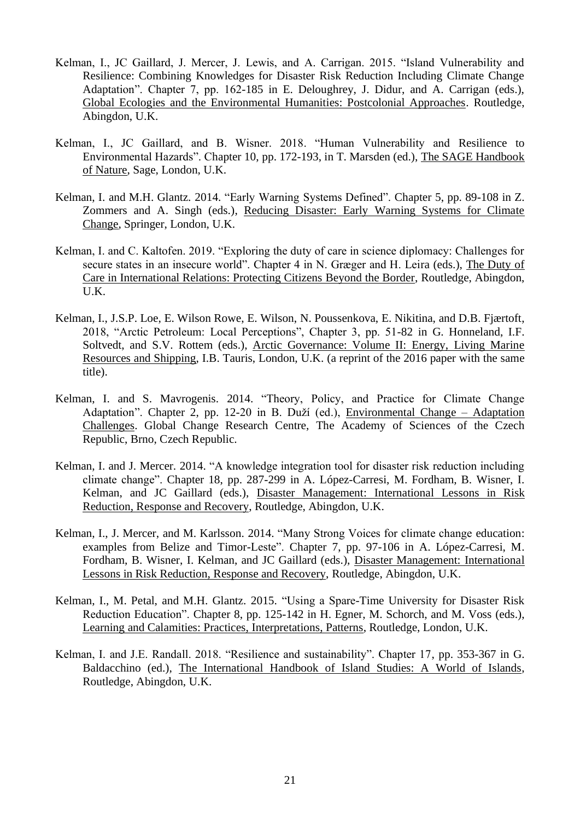- Kelman, I., JC Gaillard, J. Mercer, J. Lewis, and A. Carrigan. 2015. "Island Vulnerability and Resilience: Combining Knowledges for Disaster Risk Reduction Including Climate Change Adaptation". Chapter 7, pp. 162-185 in E. Deloughrey, J. Didur, and A. Carrigan (eds.), Global Ecologies and the Environmental Humanities: Postcolonial Approaches. Routledge, Abingdon, U.K.
- Kelman, I., JC Gaillard, and B. Wisner. 2018. "Human Vulnerability and Resilience to Environmental Hazards". Chapter 10, pp. 172-193, in T. Marsden (ed.), The SAGE Handbook of Nature, Sage, London, U.K.
- Kelman, I. and M.H. Glantz. 2014. "Early Warning Systems Defined". Chapter 5, pp. 89-108 in Z. Zommers and A. Singh (eds.), Reducing Disaster: Early Warning Systems for Climate Change, Springer, London, U.K.
- Kelman, I. and C. Kaltofen. 2019. "Exploring the duty of care in science diplomacy: Challenges for secure states in an insecure world". Chapter 4 in N. Græger and H. Leira (eds.), The Duty of Care in International Relations: Protecting Citizens Beyond the Border, Routledge, Abingdon, U.K.
- Kelman, I., J.S.P. Loe, E. Wilson Rowe, E. Wilson, N. Poussenkova, E. Nikitina, and D.B. Fjærtoft, 2018, "Arctic Petroleum: Local Perceptions", Chapter 3, pp. 51-82 in G. Honneland, I.F. Soltvedt, and S.V. Rottem (eds.), Arctic Governance: Volume II: Energy, Living Marine Resources and Shipping, I.B. Tauris, London, U.K. (a reprint of the 2016 paper with the same title).
- Kelman, I. and S. Mavrogenis. 2014. "Theory, Policy, and Practice for Climate Change Adaptation". Chapter 2, pp. 12-20 in B. Duží (ed.), Environmental Change – Adaptation Challenges. Global Change Research Centre, The Academy of Sciences of the Czech Republic, Brno, Czech Republic.
- Kelman, I. and J. Mercer. 2014. "A knowledge integration tool for disaster risk reduction including climate change". Chapter 18, pp. 287-299 in A. López-Carresi, M. Fordham, B. Wisner, I. Kelman, and JC Gaillard (eds.), Disaster Management: International Lessons in Risk Reduction, Response and Recovery, Routledge, Abingdon, U.K.
- Kelman, I., J. Mercer, and M. Karlsson. 2014. "Many Strong Voices for climate change education: examples from Belize and Timor-Leste". Chapter 7, pp. 97-106 in A. López-Carresi, M. Fordham, B. Wisner, I. Kelman, and JC Gaillard (eds.), Disaster Management: International Lessons in Risk Reduction, Response and Recovery, Routledge, Abingdon, U.K.
- Kelman, I., M. Petal, and M.H. Glantz. 2015. "Using a Spare-Time University for Disaster Risk Reduction Education". Chapter 8, pp. 125-142 in H. Egner, M. Schorch, and M. Voss (eds.), Learning and Calamities: Practices, Interpretations, Patterns, Routledge, London, U.K.
- Kelman, I. and J.E. Randall. 2018. "Resilience and sustainability". Chapter 17, pp. 353-367 in G. Baldacchino (ed.), The International Handbook of Island Studies: A World of Islands, Routledge, Abingdon, U.K.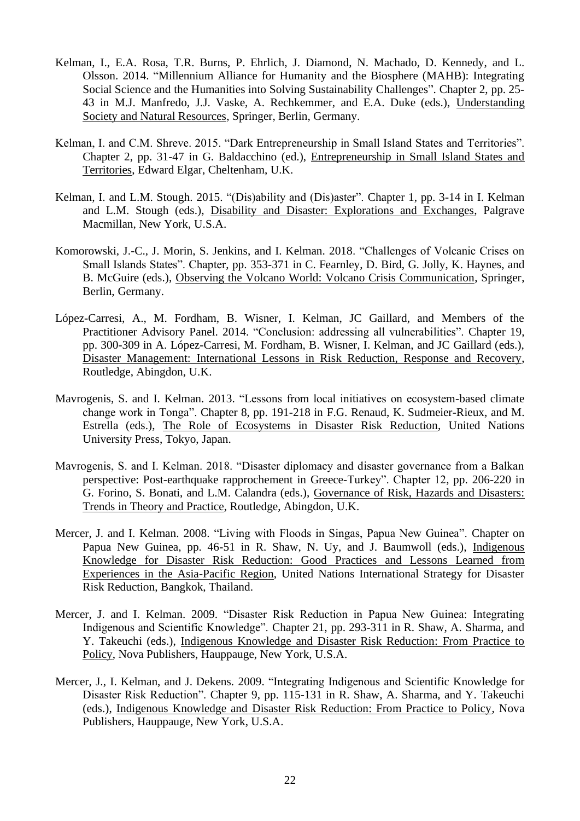- Kelman, I., E.A. Rosa, T.R. Burns, P. Ehrlich, J. Diamond, N. Machado, D. Kennedy, and L. Olsson. 2014. "Millennium Alliance for Humanity and the Biosphere (MAHB): Integrating Social Science and the Humanities into Solving Sustainability Challenges". Chapter 2, pp. 25- 43 in M.J. Manfredo, J.J. Vaske, A. Rechkemmer, and E.A. Duke (eds.), Understanding Society and Natural Resources, Springer, Berlin, Germany.
- Kelman, I. and C.M. Shreve. 2015. "Dark Entrepreneurship in Small Island States and Territories". Chapter 2, pp. 31-47 in G. Baldacchino (ed.), Entrepreneurship in Small Island States and Territories, Edward Elgar, Cheltenham, U.K.
- Kelman, I. and L.M. Stough. 2015. "(Dis)ability and (Dis)aster". Chapter 1, pp. 3-14 in I. Kelman and L.M. Stough (eds.), Disability and Disaster: Explorations and Exchanges, Palgrave Macmillan, New York, U.S.A.
- Komorowski, J.-C., J. Morin, S. Jenkins, and I. Kelman. 2018. "Challenges of Volcanic Crises on Small Islands States". Chapter, pp. 353-371 in C. Fearnley, D. Bird, G. Jolly, K. Haynes, and B. McGuire (eds.), Observing the Volcano World: Volcano Crisis Communication, Springer, Berlin, Germany.
- López-Carresi, A., M. Fordham, B. Wisner, I. Kelman, JC Gaillard, and Members of the Practitioner Advisory Panel. 2014. "Conclusion: addressing all vulnerabilities". Chapter 19, pp. 300-309 in A. López-Carresi, M. Fordham, B. Wisner, I. Kelman, and JC Gaillard (eds.), Disaster Management: International Lessons in Risk Reduction, Response and Recovery, Routledge, Abingdon, U.K.
- Mavrogenis, S. and I. Kelman. 2013. "Lessons from local initiatives on ecosystem-based climate change work in Tonga". Chapter 8, pp. 191-218 in F.G. Renaud, K. Sudmeier-Rieux, and M. Estrella (eds.), The Role of Ecosystems in Disaster Risk Reduction, United Nations University Press, Tokyo, Japan.
- Mavrogenis, S. and I. Kelman. 2018. "Disaster diplomacy and disaster governance from a Balkan perspective: Post-earthquake rapprochement in Greece-Turkey". Chapter 12, pp. 206-220 in G. Forino, S. Bonati, and L.M. Calandra (eds.), Governance of Risk, Hazards and Disasters: Trends in Theory and Practice, Routledge, Abingdon, U.K.
- Mercer, J. and I. Kelman. 2008. "Living with Floods in Singas, Papua New Guinea". Chapter on Papua New Guinea, pp. 46-51 in R. Shaw, N. Uy, and J. Baumwoll (eds.), Indigenous Knowledge for Disaster Risk Reduction: Good Practices and Lessons Learned from Experiences in the Asia-Pacific Region, United Nations International Strategy for Disaster Risk Reduction, Bangkok, Thailand.
- Mercer, J. and I. Kelman. 2009. "Disaster Risk Reduction in Papua New Guinea: Integrating Indigenous and Scientific Knowledge". Chapter 21, pp. 293-311 in R. Shaw, A. Sharma, and Y. Takeuchi (eds.), Indigenous Knowledge and Disaster Risk Reduction: From Practice to Policy, Nova Publishers, Hauppauge, New York, U.S.A.
- Mercer, J., I. Kelman, and J. Dekens. 2009. "Integrating Indigenous and Scientific Knowledge for Disaster Risk Reduction". Chapter 9, pp. 115-131 in R. Shaw, A. Sharma, and Y. Takeuchi (eds.), Indigenous Knowledge and Disaster Risk Reduction: From Practice to Policy, Nova Publishers, Hauppauge, New York, U.S.A.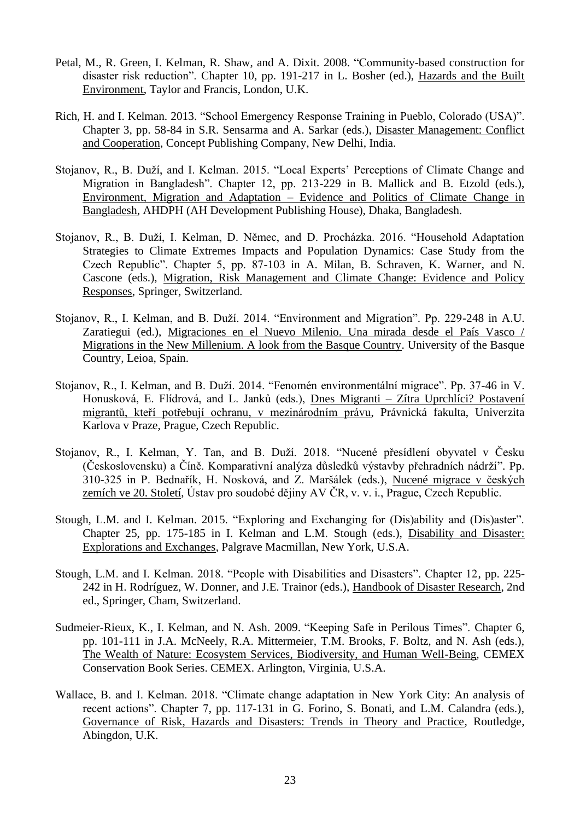- Petal, M., R. Green, I. Kelman, R. Shaw, and A. Dixit. 2008. "Community-based construction for disaster risk reduction". Chapter 10, pp. 191-217 in L. Bosher (ed.), Hazards and the Built Environment, Taylor and Francis, London, U.K.
- Rich, H. and I. Kelman. 2013. "School Emergency Response Training in Pueblo, Colorado (USA)". Chapter 3, pp. 58-84 in S.R. Sensarma and A. Sarkar (eds.), Disaster Management: Conflict and Cooperation, Concept Publishing Company, New Delhi, India.
- Stojanov, R., B. Duží, and I. Kelman. 2015. "Local Experts' Perceptions of Climate Change and Migration in Bangladesh". Chapter 12, pp. 213-229 in B. Mallick and B. Etzold (eds.), Environment, Migration and Adaptation – Evidence and Politics of Climate Change in Bangladesh, AHDPH (AH Development Publishing House), Dhaka, Bangladesh.
- Stojanov, R., B. Duží, I. Kelman, D. Němec, and D. Procházka. 2016. "Household Adaptation Strategies to Climate Extremes Impacts and Population Dynamics: Case Study from the Czech Republic". Chapter 5, pp. 87-103 in A. Milan, B. Schraven, K. Warner, and N. Cascone (eds.), Migration, Risk Management and Climate Change: Evidence and Policy Responses, Springer, Switzerland.
- Stojanov, R., I. Kelman, and B. Duží. 2014. "Environment and Migration". Pp. 229-248 in A.U. Zaratiegui (ed.), Migraciones en el Nuevo Milenio. Una mirada desde el País Vasco / Migrations in the New Millenium. A look from the Basque Country. University of the Basque Country, Leioa, Spain.
- Stojanov, R., I. Kelman, and B. Duží. 2014. "Fenomén environmentální migrace". Pp. 37-46 in V. Honusková, E. Flídrová, and L. Janků (eds.), Dnes Migranti – Zítra Uprchlíci? Postavení migrantů, kteří potřebují ochranu, v mezinárodním právu, Právnická fakulta, Univerzita Karlova v Praze, Prague, Czech Republic.
- Stojanov, R., I. Kelman, Y. Tan, and B. Duží. 2018. "Nucené přesídlení obyvatel v Česku (Československu) a Číně. Komparativní analýza důsledků výstavby přehradních nádrží". Pp. 310-325 in P. Bednařík, H. Nosková, and Z. Maršálek (eds.), Nucené migrace v českých zemích ve 20. Století, Ústav pro soudobé dějiny AV ČR, v. v. i., Prague, Czech Republic.
- Stough, L.M. and I. Kelman. 2015. "Exploring and Exchanging for (Dis)ability and (Dis)aster". Chapter 25, pp. 175-185 in I. Kelman and L.M. Stough (eds.), Disability and Disaster: Explorations and Exchanges, Palgrave Macmillan, New York, U.S.A.
- Stough, L.M. and I. Kelman. 2018. "People with Disabilities and Disasters". Chapter 12, pp. 225- 242 in H. Rodríguez, W. Donner, and J.E. Trainor (eds.), Handbook of Disaster Research, 2nd ed., Springer, Cham, Switzerland.
- Sudmeier-Rieux, K., I. Kelman, and N. Ash. 2009. "Keeping Safe in Perilous Times". Chapter 6, pp. 101-111 in J.A. McNeely, R.A. Mittermeier, T.M. Brooks, F. Boltz, and N. Ash (eds.), The Wealth of Nature: Ecosystem Services, Biodiversity, and Human Well-Being, CEMEX Conservation Book Series. CEMEX. Arlington, Virginia, U.S.A.
- Wallace, B. and I. Kelman. 2018. "Climate change adaptation in New York City: An analysis of recent actions". Chapter 7, pp. 117-131 in G. Forino, S. Bonati, and L.M. Calandra (eds.), Governance of Risk, Hazards and Disasters: Trends in Theory and Practice, Routledge, Abingdon, U.K.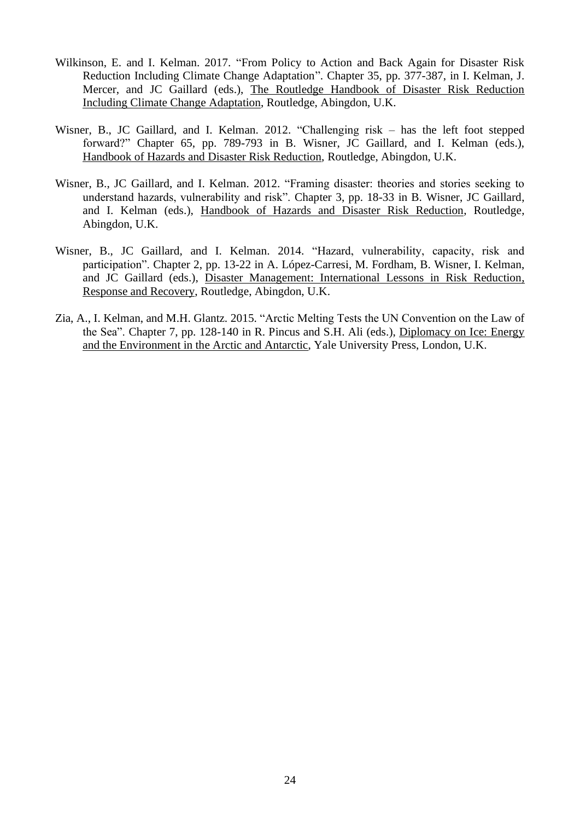- Wilkinson, E. and I. Kelman. 2017. "From Policy to Action and Back Again for Disaster Risk Reduction Including Climate Change Adaptation". Chapter 35, pp. 377-387, in I. Kelman, J. Mercer, and JC Gaillard (eds.), The Routledge Handbook of Disaster Risk Reduction Including Climate Change Adaptation, Routledge, Abingdon, U.K.
- Wisner, B., JC Gaillard, and I. Kelman. 2012. "Challenging risk has the left foot stepped forward?" Chapter 65, pp. 789-793 in B. Wisner, JC Gaillard, and I. Kelman (eds.), Handbook of Hazards and Disaster Risk Reduction, Routledge, Abingdon, U.K.
- Wisner, B., JC Gaillard, and I. Kelman. 2012. "Framing disaster: theories and stories seeking to understand hazards, vulnerability and risk". Chapter 3, pp. 18-33 in B. Wisner, JC Gaillard, and I. Kelman (eds.), Handbook of Hazards and Disaster Risk Reduction, Routledge, Abingdon, U.K.
- Wisner, B., JC Gaillard, and I. Kelman. 2014. "Hazard, vulnerability, capacity, risk and participation". Chapter 2, pp. 13-22 in A. López-Carresi, M. Fordham, B. Wisner, I. Kelman, and JC Gaillard (eds.), Disaster Management: International Lessons in Risk Reduction, Response and Recovery, Routledge, Abingdon, U.K.
- Zia, A., I. Kelman, and M.H. Glantz. 2015. "Arctic Melting Tests the UN Convention on the Law of the Sea". Chapter 7, pp. 128-140 in R. Pincus and S.H. Ali (eds.), Diplomacy on Ice: Energy and the Environment in the Arctic and Antarctic, Yale University Press, London, U.K.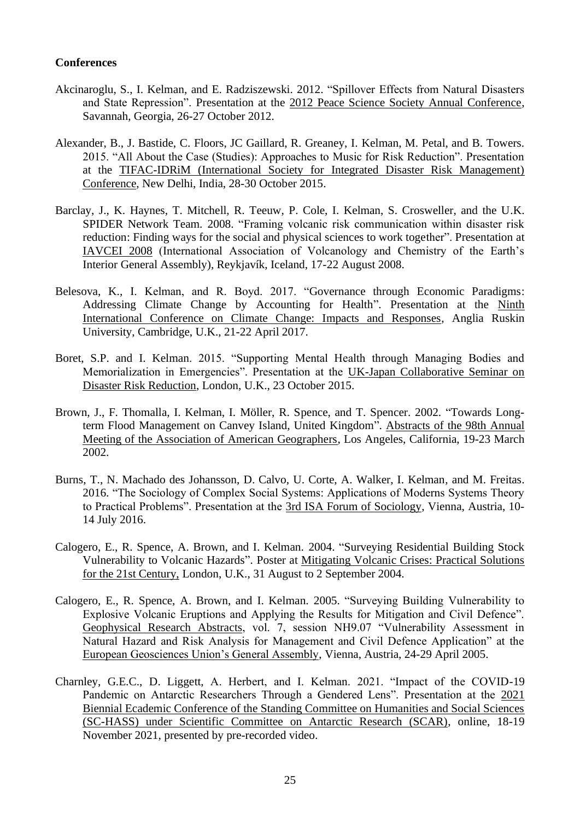# <span id="page-24-0"></span>**Conferences**

- Akcinaroglu, S., I. Kelman, and E. Radziszewski. 2012. "Spillover Effects from Natural Disasters and State Repression". Presentation at the 2012 Peace Science Society Annual Conference, Savannah, Georgia, 26-27 October 2012.
- Alexander, B., J. Bastide, C. Floors, JC Gaillard, R. Greaney, I. Kelman, M. Petal, and B. Towers. 2015. "All About the Case (Studies): Approaches to Music for Risk Reduction". Presentation at the TIFAC-IDRiM (International Society for Integrated Disaster Risk Management) Conference, New Delhi, India, 28-30 October 2015.
- Barclay, J., K. Haynes, T. Mitchell, R. Teeuw, P. Cole, I. Kelman, S. Crosweller, and the U.K. SPIDER Network Team. 2008. "Framing volcanic risk communication within disaster risk reduction: Finding ways for the social and physical sciences to work together". Presentation at IAVCEI 2008 (International Association of Volcanology and Chemistry of the Earth's Interior General Assembly), Reykjavík, Iceland, 17-22 August 2008.
- Belesova, K., I. Kelman, and R. Boyd. 2017. "Governance through Economic Paradigms: Addressing Climate Change by Accounting for Health". Presentation at the Ninth International Conference on Climate Change: Impacts and Responses, Anglia Ruskin University, Cambridge, U.K., 21-22 April 2017.
- Boret, S.P. and I. Kelman. 2015. "Supporting Mental Health through Managing Bodies and Memorialization in Emergencies". Presentation at the UK-Japan Collaborative Seminar on Disaster Risk Reduction, London, U.K., 23 October 2015.
- Brown, J., F. Thomalla, I. Kelman, I. Möller, R. Spence, and T. Spencer. 2002. "Towards Longterm Flood Management on Canvey Island, United Kingdom". Abstracts of the 98th Annual Meeting of the Association of American Geographers, Los Angeles, California, 19-23 March 2002.
- Burns, T., N. Machado des Johansson, D. Calvo, U. Corte, A. Walker, I. Kelman, and M. Freitas. 2016. "The Sociology of Complex Social Systems: Applications of Moderns Systems Theory to Practical Problems". Presentation at the 3rd ISA Forum of Sociology, Vienna, Austria, 10- 14 July 2016.
- Calogero, E., R. Spence, A. Brown, and I. Kelman. 2004. "Surveying Residential Building Stock Vulnerability to Volcanic Hazards". Poster at Mitigating Volcanic Crises: Practical Solutions for the 21st Century, London, U.K., 31 August to 2 September 2004.
- Calogero, E., R. Spence, A. Brown, and I. Kelman. 2005. "Surveying Building Vulnerability to Explosive Volcanic Eruptions and Applying the Results for Mitigation and Civil Defence". Geophysical Research Abstracts, vol. 7, session NH9.07 "Vulnerability Assessment in Natural Hazard and Risk Analysis for Management and Civil Defence Application" at the European Geosciences Union's General Assembly, Vienna, Austria, 24-29 April 2005.
- Charnley, G.E.C., D. Liggett, A. Herbert, and I. Kelman. 2021. "Impact of the COVID-19 Pandemic on Antarctic Researchers Through a Gendered Lens". Presentation at the 2021 Biennial Ecademic Conference of the Standing Committee on Humanities and Social Sciences (SC-HASS) under Scientific Committee on Antarctic Research (SCAR), online, 18-19 November 2021, presented by pre-recorded video.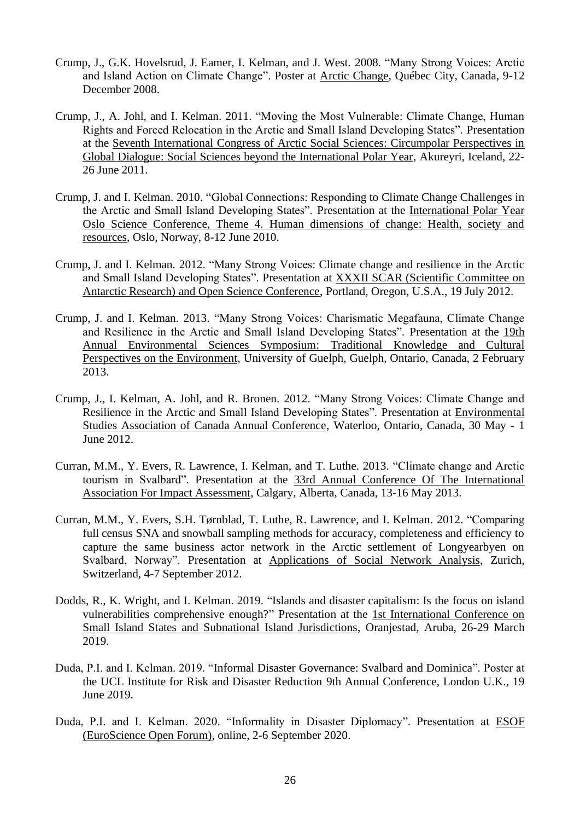- Crump, J., G.K. Hovelsrud, J. Eamer, I. Kelman, and J. West. 2008. "Many Strong Voices: Arctic and Island Action on Climate Change". Poster at Arctic Change, Québec City, Canada, 9-12 December 2008.
- Crump, J., A. Johl, and I. Kelman. 2011. "Moving the Most Vulnerable: Climate Change, Human Rights and Forced Relocation in the Arctic and Small Island Developing States". Presentation at the Seventh International Congress of Arctic Social Sciences: Circumpolar Perspectives in Global Dialogue: Social Sciences beyond the International Polar Year, Akureyri, Iceland, 22- 26 June 2011.
- Crump, J. and I. Kelman. 2010. "Global Connections: Responding to Climate Change Challenges in the Arctic and Small Island Developing States". Presentation at the International Polar Year Oslo Science Conference, Theme 4. Human dimensions of change: Health, society and resources, Oslo, Norway, 8-12 June 2010.
- Crump, J. and I. Kelman. 2012. "Many Strong Voices: Climate change and resilience in the Arctic and Small Island Developing States". Presentation at XXXII SCAR (Scientific Committee on Antarctic Research) and Open Science Conference, Portland, Oregon, U.S.A., 19 July 2012.
- Crump, J. and I. Kelman. 2013. "Many Strong Voices: Charismatic Megafauna, Climate Change and Resilience in the Arctic and Small Island Developing States". Presentation at the 19th Annual Environmental Sciences Symposium: Traditional Knowledge and Cultural Perspectives on the Environment, University of Guelph, Guelph, Ontario, Canada, 2 February 2013.
- Crump, J., I. Kelman, A. Johl, and R. Bronen. 2012. "Many Strong Voices: Climate Change and Resilience in the Arctic and Small Island Developing States". Presentation at Environmental Studies Association of Canada Annual Conference, Waterloo, Ontario, Canada, 30 May - 1 June 2012.
- Curran, M.M., Y. Evers, R. Lawrence, I. Kelman, and T. Luthe. 2013. "Climate change and Arctic tourism in Svalbard". Presentation at the 33rd Annual Conference Of The International Association For Impact Assessment, Calgary, Alberta, Canada, 13-16 May 2013.
- Curran, M.M., Y. Evers, S.H. Tørnblad, T. Luthe, R. Lawrence, and I. Kelman. 2012. "Comparing full census SNA and snowball sampling methods for accuracy, completeness and efficiency to capture the same business actor network in the Arctic settlement of Longyearbyen on Svalbard, Norway". Presentation at Applications of Social Network Analysis, Zurich, Switzerland, 4-7 September 2012.
- Dodds, R., K. Wright, and I. Kelman. 2019. "Islands and disaster capitalism: Is the focus on island vulnerabilities comprehensive enough?" Presentation at the 1st International Conference on Small Island States and Subnational Island Jurisdictions, Oranjestad, Aruba, 26-29 March 2019.
- Duda, P.I. and I. Kelman. 2019. "Informal Disaster Governance: Svalbard and Dominica". Poster at the UCL Institute for Risk and Disaster Reduction 9th Annual Conference, London U.K., 19 June 2019.
- Duda, P.I. and I. Kelman. 2020. "Informality in Disaster Diplomacy". Presentation at **ESOF** (EuroScience Open Forum), online, 2-6 September 2020.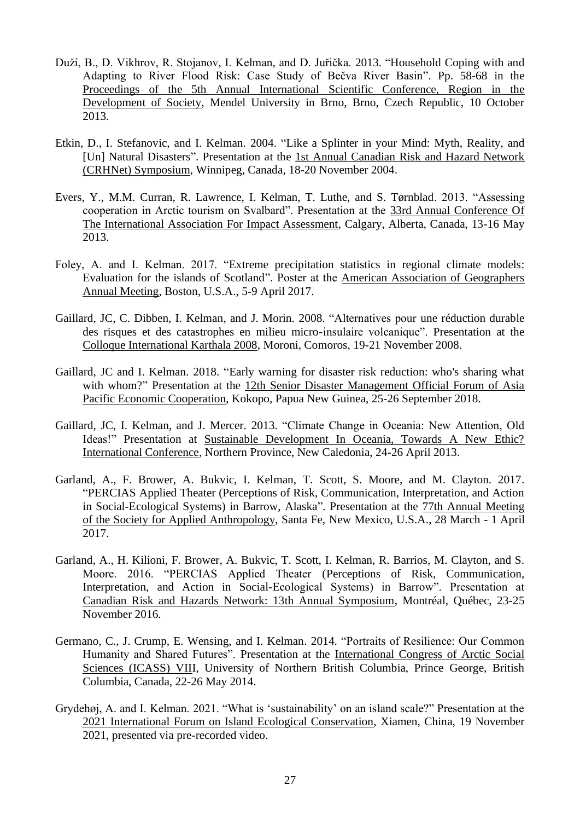- Duží, B., D. Vikhrov, R. Stojanov, I. Kelman, and D. Juřička. 2013. "Household Coping with and Adapting to River Flood Risk: Case Study of Bečva River Basin". Pp. 58-68 in the Proceedings of the 5th Annual International Scientific Conference, Region in the Development of Society, Mendel University in Brno, Brno, Czech Republic, 10 October 2013.
- Etkin, D., I. Stefanovic, and I. Kelman. 2004. "Like a Splinter in your Mind: Myth, Reality, and [Un] Natural Disasters". Presentation at the 1st Annual Canadian Risk and Hazard Network (CRHNet) Symposium, Winnipeg, Canada, 18-20 November 2004.
- Evers, Y., M.M. Curran, R. Lawrence, I. Kelman, T. Luthe, and S. Tørnblad. 2013. "Assessing cooperation in Arctic tourism on Svalbard". Presentation at the 33rd Annual Conference Of The International Association For Impact Assessment, Calgary, Alberta, Canada, 13-16 May 2013.
- Foley, A. and I. Kelman. 2017. "Extreme precipitation statistics in regional climate models: Evaluation for the islands of Scotland". Poster at the American Association of Geographers Annual Meeting, Boston, U.S.A., 5-9 April 2017.
- Gaillard, JC, C. Dibben, I. Kelman, and J. Morin. 2008. "Alternatives pour une réduction durable des risques et des catastrophes en milieu micro-insulaire volcanique". Presentation at the Colloque International Karthala 2008, Moroni, Comoros, 19-21 November 2008.
- Gaillard, JC and I. Kelman. 2018. "Early warning for disaster risk reduction: who's sharing what with whom?" Presentation at the 12th Senior Disaster Management Official Forum of Asia Pacific Economic Cooperation, Kokopo, Papua New Guinea, 25-26 September 2018.
- Gaillard, JC, I. Kelman, and J. Mercer. 2013. "Climate Change in Oceania: New Attention, Old Ideas!" Presentation at Sustainable Development In Oceania, Towards A New Ethic? International Conference, Northern Province, New Caledonia, 24-26 April 2013.
- Garland, A., F. Brower, A. Bukvic, I. Kelman, T. Scott, S. Moore, and M. Clayton. 2017. "PERCIAS Applied Theater (Perceptions of Risk, Communication, Interpretation, and Action in Social-Ecological Systems) in Barrow, Alaska". Presentation at the 77th Annual Meeting of the Society for Applied Anthropology, Santa Fe, New Mexico, U.S.A., 28 March - 1 April 2017.
- Garland, A., H. Kilioni, F. Brower, A. Bukvic, T. Scott, I. Kelman, R. Barrios, M. Clayton, and S. Moore. 2016. "PERCIAS Applied Theater (Perceptions of Risk, Communication, Interpretation, and Action in Social-Ecological Systems) in Barrow". Presentation at Canadian Risk and Hazards Network: 13th Annual Symposium, Montréal, Québec, 23-25 November 2016.
- Germano, C., J. Crump, E. Wensing, and I. Kelman. 2014. "Portraits of Resilience: Our Common Humanity and Shared Futures". Presentation at the International Congress of Arctic Social Sciences (ICASS) VIII, University of Northern British Columbia, Prince George, British Columbia, Canada, 22-26 May 2014.
- Grydehøj, A. and I. Kelman. 2021. "What is 'sustainability' on an island scale?" Presentation at the 2021 International Forum on Island Ecological Conservation, Xiamen, China, 19 November 2021, presented via pre-recorded video.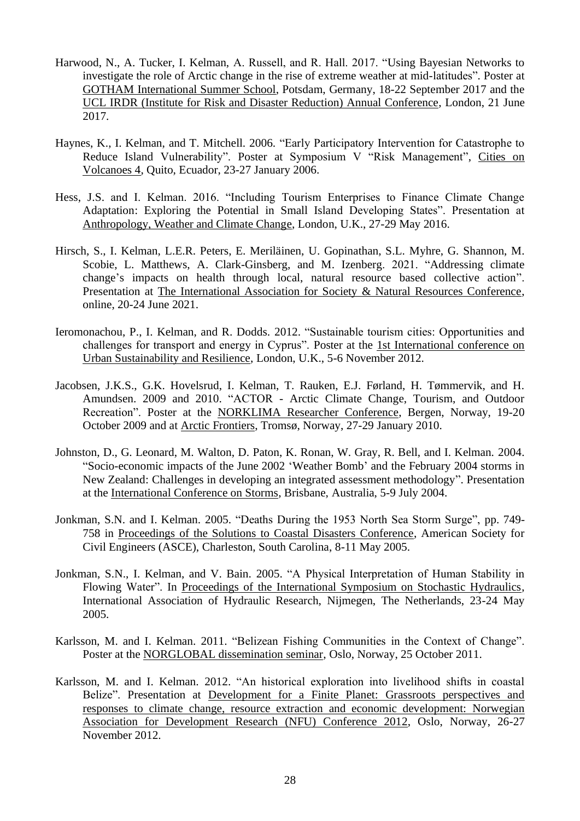- Harwood, N., A. Tucker, I. Kelman, A. Russell, and R. Hall. 2017. "Using Bayesian Networks to investigate the role of Arctic change in the rise of extreme weather at mid-latitudes". Poster at GOTHAM International Summer School, Potsdam, Germany, 18-22 September 2017 and the UCL IRDR (Institute for Risk and Disaster Reduction) Annual Conference, London, 21 June 2017.
- Haynes, K., I. Kelman, and T. Mitchell. 2006. "Early Participatory Intervention for Catastrophe to Reduce Island Vulnerability". Poster at Symposium V "Risk Management", Cities on Volcanoes 4, Quito, Ecuador, 23-27 January 2006.
- Hess, J.S. and I. Kelman. 2016. "Including Tourism Enterprises to Finance Climate Change Adaptation: Exploring the Potential in Small Island Developing States". Presentation at Anthropology, Weather and Climate Change, London, U.K., 27-29 May 2016.
- Hirsch, S., I. Kelman, L.E.R. Peters, E. Meriläinen, U. Gopinathan, S.L. Myhre, G. Shannon, M. Scobie, L. Matthews, A. Clark-Ginsberg, and M. Izenberg. 2021. "Addressing climate change's impacts on health through local, natural resource based collective action". Presentation at The International Association for Society & Natural Resources Conference, online, 20-24 June 2021.
- Ieromonachou, P., I. Kelman, and R. Dodds. 2012. "Sustainable tourism cities: Opportunities and challenges for transport and energy in Cyprus". Poster at the 1st International conference on Urban Sustainability and Resilience, London, U.K., 5-6 November 2012.
- Jacobsen, J.K.S., G.K. Hovelsrud, I. Kelman, T. Rauken, E.J. Førland, H. Tømmervik, and H. Amundsen. 2009 and 2010. "ACTOR - Arctic Climate Change, Tourism, and Outdoor Recreation". Poster at the NORKLIMA Researcher Conference, Bergen, Norway, 19-20 October 2009 and at Arctic Frontiers, Tromsø, Norway, 27-29 January 2010.
- Johnston, D., G. Leonard, M. Walton, D. Paton, K. Ronan, W. Gray, R. Bell, and I. Kelman. 2004. "Socio-economic impacts of the June 2002 'Weather Bomb' and the February 2004 storms in New Zealand: Challenges in developing an integrated assessment methodology". Presentation at the International Conference on Storms, Brisbane, Australia, 5-9 July 2004.
- Jonkman, S.N. and I. Kelman. 2005. "Deaths During the 1953 North Sea Storm Surge", pp. 749- 758 in Proceedings of the Solutions to Coastal Disasters Conference, American Society for Civil Engineers (ASCE), Charleston, South Carolina, 8-11 May 2005.
- Jonkman, S.N., I. Kelman, and V. Bain. 2005. "A Physical Interpretation of Human Stability in Flowing Water". In Proceedings of the International Symposium on Stochastic Hydraulics, International Association of Hydraulic Research, Nijmegen, The Netherlands, 23-24 May 2005.
- Karlsson, M. and I. Kelman. 2011. "Belizean Fishing Communities in the Context of Change". Poster at the NORGLOBAL dissemination seminar, Oslo, Norway, 25 October 2011.
- Karlsson, M. and I. Kelman. 2012. "An historical exploration into livelihood shifts in coastal Belize". Presentation at Development for a Finite Planet: Grassroots perspectives and responses to climate change, resource extraction and economic development: Norwegian Association for Development Research (NFU) Conference 2012, Oslo, Norway, 26-27 November 2012.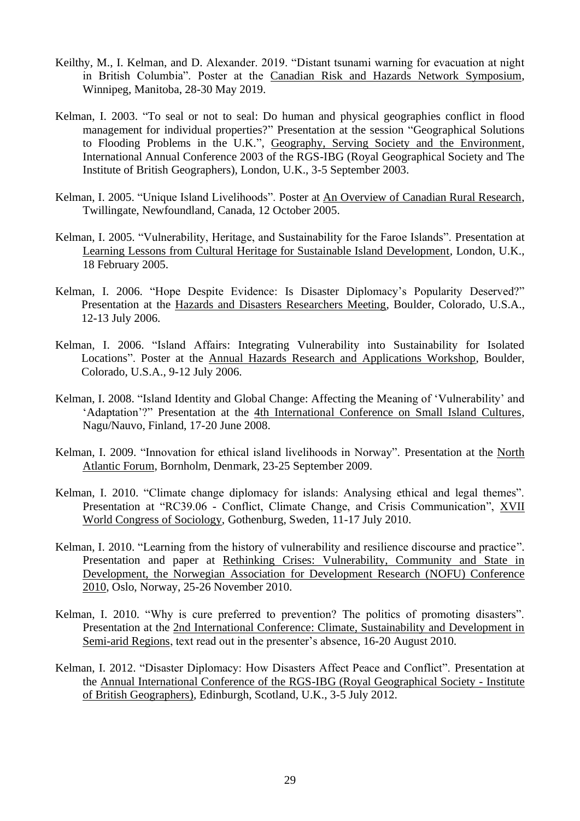- Keilthy, M., I. Kelman, and D. Alexander. 2019. "Distant tsunami warning for evacuation at night in British Columbia". Poster at the Canadian Risk and Hazards Network Symposium, Winnipeg, Manitoba, 28-30 May 2019.
- Kelman, I. 2003. "To seal or not to seal: Do human and physical geographies conflict in flood management for individual properties?" Presentation at the session "Geographical Solutions to Flooding Problems in the U.K.", Geography, Serving Society and the Environment, International Annual Conference 2003 of the RGS-IBG (Royal Geographical Society and The Institute of British Geographers), London, U.K., 3-5 September 2003.
- Kelman, I. 2005. "Unique Island Livelihoods". Poster at An Overview of Canadian Rural Research, Twillingate, Newfoundland, Canada, 12 October 2005.
- Kelman, I. 2005. "Vulnerability, Heritage, and Sustainability for the Faroe Islands". Presentation at Learning Lessons from Cultural Heritage for Sustainable Island Development, London, U.K., 18 February 2005.
- Kelman, I. 2006. "Hope Despite Evidence: Is Disaster Diplomacy's Popularity Deserved?" Presentation at the Hazards and Disasters Researchers Meeting, Boulder, Colorado, U.S.A., 12-13 July 2006.
- Kelman, I. 2006. "Island Affairs: Integrating Vulnerability into Sustainability for Isolated Locations". Poster at the Annual Hazards Research and Applications Workshop, Boulder, Colorado, U.S.A., 9-12 July 2006.
- Kelman, I. 2008. "Island Identity and Global Change: Affecting the Meaning of 'Vulnerability' and 'Adaptation'?" Presentation at the 4th International Conference on Small Island Cultures, Nagu/Nauvo, Finland, 17-20 June 2008.
- Kelman, I. 2009. "Innovation for ethical island livelihoods in Norway". Presentation at the North Atlantic Forum, Bornholm, Denmark, 23-25 September 2009.
- Kelman, I. 2010. "Climate change diplomacy for islands: Analysing ethical and legal themes". Presentation at "RC39.06 - Conflict, Climate Change, and Crisis Communication", XVII World Congress of Sociology, Gothenburg, Sweden, 11-17 July 2010.
- Kelman, I. 2010. "Learning from the history of vulnerability and resilience discourse and practice". Presentation and paper at Rethinking Crises: Vulnerability, Community and State in Development, the Norwegian Association for Development Research (NOFU) Conference 2010, Oslo, Norway, 25-26 November 2010.
- Kelman, I. 2010. "Why is cure preferred to prevention? The politics of promoting disasters". Presentation at the 2nd International Conference: Climate, Sustainability and Development in Semi-arid Regions, text read out in the presenter's absence, 16-20 August 2010.
- Kelman, I. 2012. "Disaster Diplomacy: How Disasters Affect Peace and Conflict". Presentation at the Annual International Conference of the RGS-IBG (Royal Geographical Society - Institute of British Geographers), Edinburgh, Scotland, U.K., 3-5 July 2012.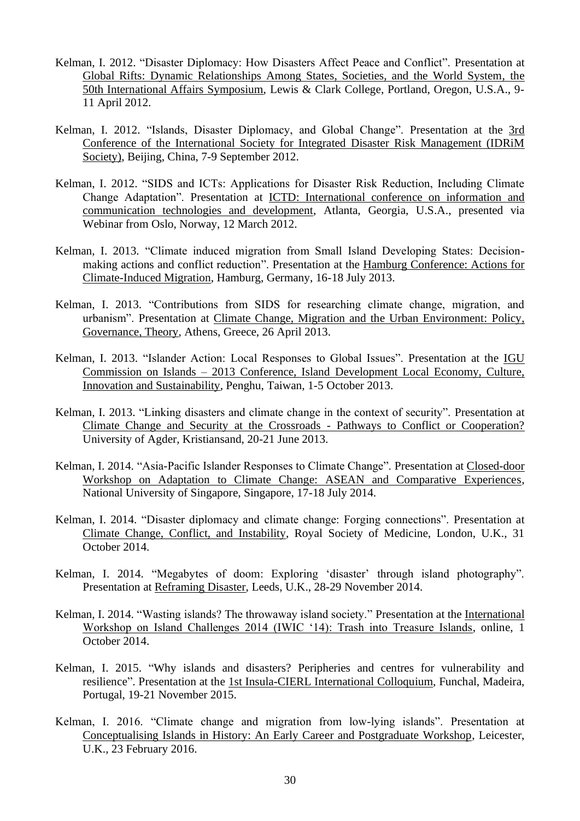- Kelman, I. 2012. "Disaster Diplomacy: How Disasters Affect Peace and Conflict". Presentation at Global Rifts: Dynamic Relationships Among States, Societies, and the World System, the 50th International Affairs Symposium, Lewis & Clark College, Portland, Oregon, U.S.A., 9- 11 April 2012.
- Kelman, I. 2012. "Islands, Disaster Diplomacy, and Global Change". Presentation at the 3rd Conference of the International Society for Integrated Disaster Risk Management (IDRiM Society), Beijing, China, 7-9 September 2012.
- Kelman, I. 2012. "SIDS and ICTs: Applications for Disaster Risk Reduction, Including Climate Change Adaptation". Presentation at ICTD: International conference on information and communication technologies and development, Atlanta, Georgia, U.S.A., presented via Webinar from Oslo, Norway, 12 March 2012.
- Kelman, I. 2013. "Climate induced migration from Small Island Developing States: Decisionmaking actions and conflict reduction". Presentation at the Hamburg Conference: Actions for Climate-Induced Migration, Hamburg, Germany, 16-18 July 2013.
- Kelman, I. 2013. "Contributions from SIDS for researching climate change, migration, and urbanism". Presentation at Climate Change, Migration and the Urban Environment: Policy, Governance, Theory, Athens, Greece, 26 April 2013.
- Kelman, I. 2013. "Islander Action: Local Responses to Global Issues". Presentation at the IGU Commission on Islands – 2013 Conference, Island Development Local Economy, Culture, Innovation and Sustainability, Penghu, Taiwan, 1-5 October 2013.
- Kelman, I. 2013. "Linking disasters and climate change in the context of security". Presentation at Climate Change and Security at the Crossroads - Pathways to Conflict or Cooperation? University of Agder, Kristiansand, 20-21 June 2013.
- Kelman, I. 2014. "Asia-Pacific Islander Responses to Climate Change". Presentation at Closed-door Workshop on Adaptation to Climate Change: ASEAN and Comparative Experiences, National University of Singapore, Singapore, 17-18 July 2014.
- Kelman, I. 2014. "Disaster diplomacy and climate change: Forging connections". Presentation at Climate Change, Conflict, and Instability, Royal Society of Medicine, London, U.K., 31 October 2014.
- Kelman, I. 2014. "Megabytes of doom: Exploring 'disaster' through island photography". Presentation at Reframing Disaster, Leeds, U.K., 28-29 November 2014.
- Kelman, I. 2014. "Wasting islands? The throwaway island society." Presentation at the International Workshop on Island Challenges 2014 (IWIC '14): Trash into Treasure Islands, online, 1 October 2014.
- Kelman, I. 2015. "Why islands and disasters? Peripheries and centres for vulnerability and resilience". Presentation at the 1st Insula-CIERL International Colloquium, Funchal, Madeira, Portugal, 19-21 November 2015.
- Kelman, I. 2016. "Climate change and migration from low-lying islands". Presentation at Conceptualising Islands in History: An Early Career and Postgraduate Workshop, Leicester, U.K., 23 February 2016.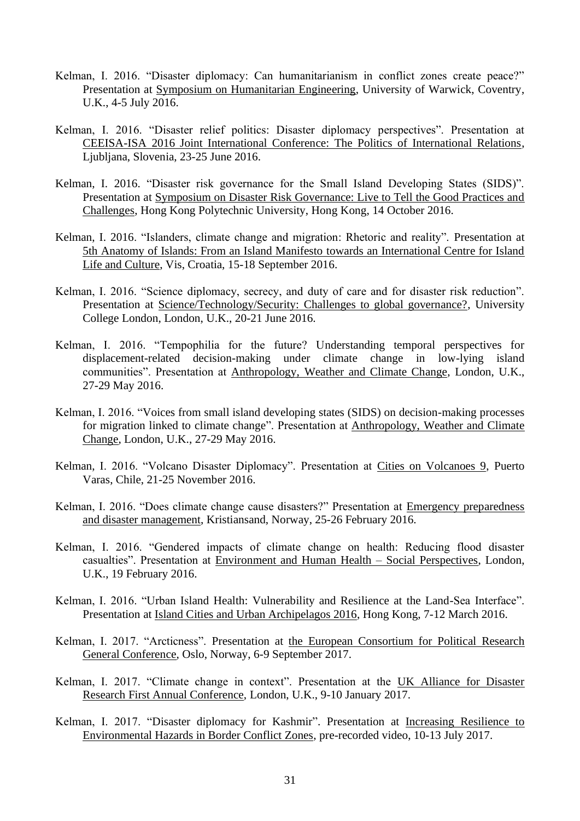- Kelman, I. 2016. "Disaster diplomacy: Can humanitarianism in conflict zones create peace?" Presentation at Symposium on Humanitarian Engineering, University of Warwick, Coventry, U.K., 4-5 July 2016.
- Kelman, I. 2016. "Disaster relief politics: Disaster diplomacy perspectives". Presentation at CEEISA-ISA 2016 Joint International Conference: The Politics of International Relations, Ljubljana, Slovenia, 23-25 June 2016.
- Kelman, I. 2016. "Disaster risk governance for the Small Island Developing States (SIDS)". Presentation at Symposium on Disaster Risk Governance: Live to Tell the Good Practices and Challenges, Hong Kong Polytechnic University, Hong Kong, 14 October 2016.
- Kelman, I. 2016. "Islanders, climate change and migration: Rhetoric and reality". Presentation at 5th Anatomy of Islands: From an Island Manifesto towards an International Centre for Island Life and Culture, Vis, Croatia, 15-18 September 2016.
- Kelman, I. 2016. "Science diplomacy, secrecy, and duty of care and for disaster risk reduction". Presentation at Science/Technology/Security: Challenges to global governance?, University College London, London, U.K., 20-21 June 2016.
- Kelman, I. 2016. "Tempophilia for the future? Understanding temporal perspectives for displacement-related decision-making under climate change in low-lying island communities". Presentation at Anthropology, Weather and Climate Change, London, U.K., 27-29 May 2016.
- Kelman, I. 2016. "Voices from small island developing states (SIDS) on decision-making processes for migration linked to climate change". Presentation at Anthropology, Weather and Climate Change, London, U.K., 27-29 May 2016.
- Kelman, I. 2016. "Volcano Disaster Diplomacy". Presentation at Cities on Volcanoes 9, Puerto Varas, Chile, 21-25 November 2016.
- Kelman, I. 2016. "Does climate change cause disasters?" Presentation at Emergency preparedness and disaster management, Kristiansand, Norway, 25-26 February 2016.
- Kelman, I. 2016. "Gendered impacts of climate change on health: Reducing flood disaster casualties". Presentation at Environment and Human Health – Social Perspectives, London, U.K., 19 February 2016.
- Kelman, I. 2016. "Urban Island Health: Vulnerability and Resilience at the Land-Sea Interface". Presentation at Island Cities and Urban Archipelagos 2016, Hong Kong, 7-12 March 2016.
- Kelman, I. 2017. "Arcticness". Presentation at the European Consortium for Political Research General Conference, Oslo, Norway, 6-9 September 2017.
- Kelman, I. 2017. "Climate change in context". Presentation at the UK Alliance for Disaster Research First Annual Conference, London, U.K., 9-10 January 2017.
- Kelman, I. 2017. "Disaster diplomacy for Kashmir". Presentation at Increasing Resilience to Environmental Hazards in Border Conflict Zones, pre-recorded video, 10-13 July 2017.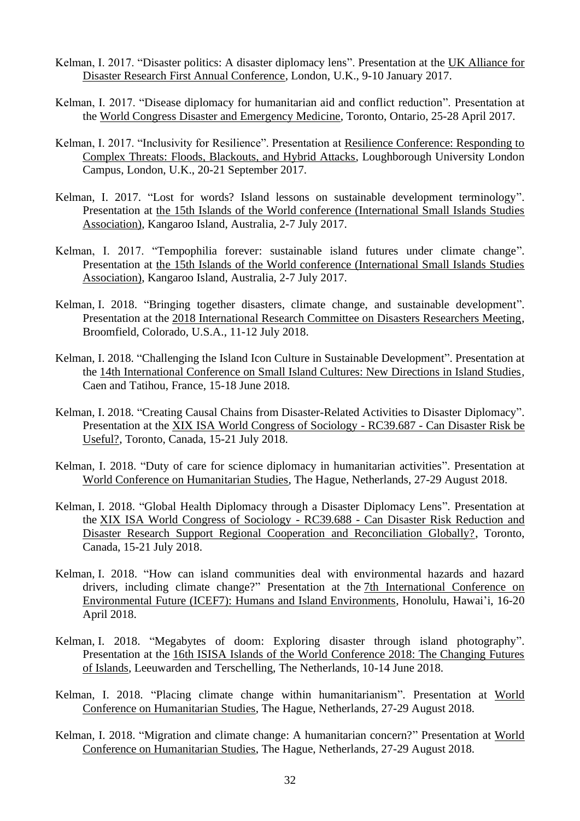- Kelman, I. 2017. "Disaster politics: A disaster diplomacy lens". Presentation at the UK Alliance for Disaster Research First Annual Conference, London, U.K., 9-10 January 2017.
- Kelman, I. 2017. "Disease diplomacy for humanitarian aid and conflict reduction". Presentation at the World Congress Disaster and Emergency Medicine, Toronto, Ontario, 25-28 April 2017.
- Kelman, I. 2017. "Inclusivity for Resilience". Presentation at Resilience Conference: Responding to Complex Threats: Floods, Blackouts, and Hybrid Attacks, Loughborough University London Campus, London, U.K., 20-21 September 2017.
- Kelman, I. 2017. "Lost for words? Island lessons on sustainable development terminology". Presentation at the 15th Islands of the World conference (International Small Islands Studies Association), Kangaroo Island, Australia, 2-7 July 2017.
- Kelman, I. 2017. "Tempophilia forever: sustainable island futures under climate change". Presentation at the 15th Islands of the World conference (International Small Islands Studies Association), Kangaroo Island, Australia, 2-7 July 2017.
- Kelman, I. 2018. "Bringing together disasters, climate change, and sustainable development". Presentation at the 2018 International Research Committee on Disasters Researchers Meeting, Broomfield, Colorado, U.S.A., 11-12 July 2018.
- Kelman, I. 2018. "Challenging the Island Icon Culture in Sustainable Development". Presentation at the 14th International Conference on Small Island Cultures: New Directions in Island Studies, Caen and Tatihou, France, 15-18 June 2018.
- Kelman, I. 2018. "Creating Causal Chains from Disaster-Related Activities to Disaster Diplomacy". Presentation at the XIX ISA World Congress of Sociology - RC39.687 - Can Disaster Risk be Useful?, Toronto, Canada, 15-21 July 2018.
- Kelman, I. 2018. "Duty of care for science diplomacy in humanitarian activities". Presentation at World Conference on Humanitarian Studies, The Hague, Netherlands, 27-29 August 2018.
- Kelman, I. 2018. "Global Health Diplomacy through a Disaster Diplomacy Lens". Presentation at the XIX ISA World Congress of Sociology - RC39.688 - Can Disaster Risk Reduction and Disaster Research Support Regional Cooperation and Reconciliation Globally?, Toronto, Canada, 15-21 July 2018.
- Kelman, I. 2018. "How can island communities deal with environmental hazards and hazard drivers, including climate change?" Presentation at the 7th International Conference on Environmental Future (ICEF7): Humans and Island Environments, Honolulu, Hawai'i, 16-20 April 2018.
- Kelman, I. 2018. "Megabytes of doom: Exploring disaster through island photography". Presentation at the 16th ISISA Islands of the World Conference 2018: The Changing Futures of Islands, Leeuwarden and Terschelling, The Netherlands, 10-14 June 2018.
- Kelman, I. 2018. "Placing climate change within humanitarianism". Presentation at World Conference on Humanitarian Studies, The Hague, Netherlands, 27-29 August 2018.
- Kelman, I. 2018. "Migration and climate change: A humanitarian concern?" Presentation at World Conference on Humanitarian Studies, The Hague, Netherlands, 27-29 August 2018.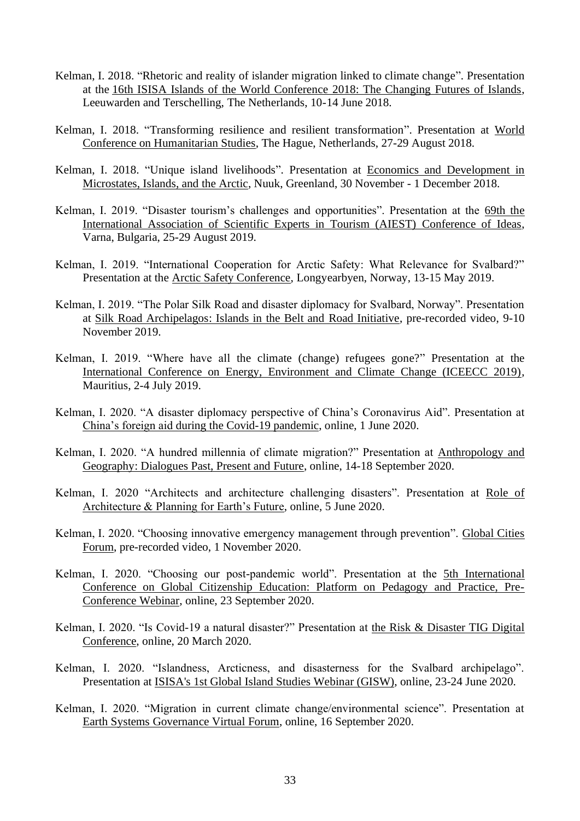- Kelman, I. 2018. "Rhetoric and reality of islander migration linked to climate change". Presentation at the 16th ISISA Islands of the World Conference 2018: The Changing Futures of Islands, Leeuwarden and Terschelling, The Netherlands, 10-14 June 2018.
- Kelman, I. 2018. "Transforming resilience and resilient transformation". Presentation at World Conference on Humanitarian Studies, The Hague, Netherlands, 27-29 August 2018.
- Kelman, I. 2018. "Unique island livelihoods". Presentation at Economics and Development in Microstates, Islands, and the Arctic, Nuuk, Greenland, 30 November - 1 December 2018.
- Kelman, I. 2019. "Disaster tourism's challenges and opportunities". Presentation at the 69th the International Association of Scientific Experts in Tourism (AIEST) Conference of Ideas, Varna, Bulgaria, 25-29 August 2019.
- Kelman, I. 2019. "International Cooperation for Arctic Safety: What Relevance for Svalbard?" Presentation at the Arctic Safety Conference, Longyearbyen, Norway, 13-15 May 2019.
- Kelman, I. 2019. "The Polar Silk Road and disaster diplomacy for Svalbard, Norway". Presentation at Silk Road Archipelagos: Islands in the Belt and Road Initiative, pre-recorded video, 9-10 November 2019.
- Kelman, I. 2019. "Where have all the climate (change) refugees gone?" Presentation at the International Conference on Energy, Environment and Climate Change (ICEECC 2019), Mauritius, 2-4 July 2019.
- Kelman, I. 2020. "A disaster diplomacy perspective of China's Coronavirus Aid". Presentation at China's foreign aid during the Covid-19 pandemic, online, 1 June 2020.
- Kelman, I. 2020. "A hundred millennia of climate migration?" Presentation at Anthropology and Geography: Dialogues Past, Present and Future, online, 14-18 September 2020.
- Kelman, I. 2020 "Architects and architecture challenging disasters". Presentation at Role of Architecture & Planning for Earth's Future, online, 5 June 2020.
- Kelman, I. 2020. "Choosing innovative emergency management through prevention". Global Cities Forum, pre-recorded video, 1 November 2020.
- Kelman, I. 2020. "Choosing our post-pandemic world". Presentation at the 5th International Conference on Global Citizenship Education: Platform on Pedagogy and Practice, Pre-Conference Webinar, online, 23 September 2020.
- Kelman, I. 2020. "Is Covid-19 a natural disaster?" Presentation at the Risk & Disaster TIG Digital Conference, online, 20 March 2020.
- Kelman, I. 2020. "Islandness, Arcticness, and disasterness for the Svalbard archipelago". Presentation at ISISA's 1st Global Island Studies Webinar (GISW), online, 23-24 June 2020.
- Kelman, I. 2020. "Migration in current climate change/environmental science". Presentation at Earth Systems Governance Virtual Forum, online, 16 September 2020.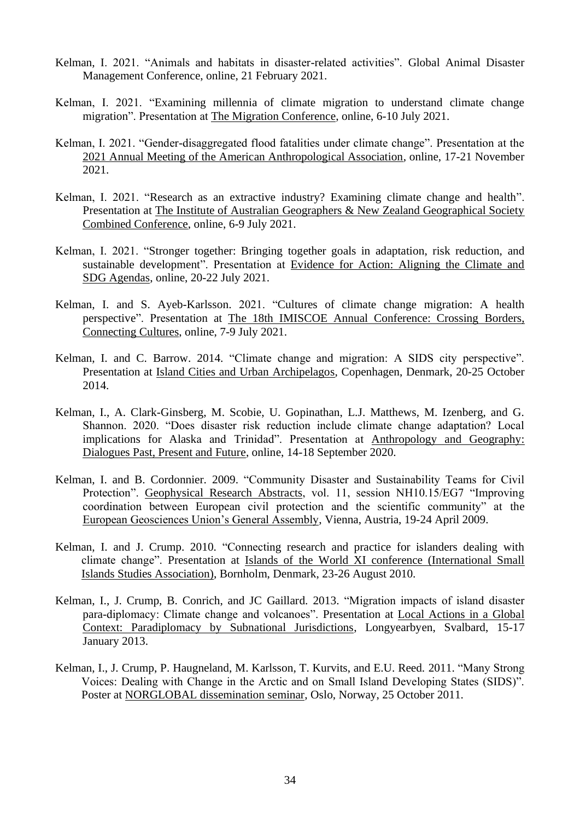- Kelman, I. 2021. "Animals and habitats in disaster-related activities". Global Animal Disaster Management Conference, online, 21 February 2021.
- Kelman, I. 2021. "Examining millennia of climate migration to understand climate change migration". Presentation at The Migration Conference, online, 6-10 July 2021.
- Kelman, I. 2021. "Gender-disaggregated flood fatalities under climate change". Presentation at the 2021 Annual Meeting of the American Anthropological Association, online, 17-21 November 2021.
- Kelman, I. 2021. "Research as an extractive industry? Examining climate change and health". Presentation at The Institute of Australian Geographers & New Zealand Geographical Society Combined Conference, online, 6-9 July 2021.
- Kelman, I. 2021. "Stronger together: Bringing together goals in adaptation, risk reduction, and sustainable development". Presentation at Evidence for Action: Aligning the Climate and SDG Agendas, online, 20-22 July 2021.
- Kelman, I. and S. Ayeb-Karlsson. 2021. "Cultures of climate change migration: A health perspective". Presentation at The 18th IMISCOE Annual Conference: Crossing Borders, Connecting Cultures, online, 7-9 July 2021.
- Kelman, I. and C. Barrow. 2014. "Climate change and migration: A SIDS city perspective". Presentation at Island Cities and Urban Archipelagos, Copenhagen, Denmark, 20-25 October 2014.
- Kelman, I., A. Clark-Ginsberg, M. Scobie, U. Gopinathan, L.J. Matthews, M. Izenberg, and G. Shannon. 2020. "Does disaster risk reduction include climate change adaptation? Local implications for Alaska and Trinidad". Presentation at Anthropology and Geography: Dialogues Past, Present and Future, online, 14-18 September 2020.
- Kelman, I. and B. Cordonnier. 2009. "Community Disaster and Sustainability Teams for Civil Protection". Geophysical Research Abstracts, vol. 11, session NH10.15/EG7 "Improving coordination between European civil protection and the scientific community" at the European Geosciences Union's General Assembly, Vienna, Austria, 19-24 April 2009.
- Kelman, I. and J. Crump. 2010. "Connecting research and practice for islanders dealing with climate change". Presentation at Islands of the World XI conference (International Small Islands Studies Association), Bornholm, Denmark, 23-26 August 2010.
- Kelman, I., J. Crump, B. Conrich, and JC Gaillard. 2013. "Migration impacts of island disaster para-diplomacy: Climate change and volcanoes". Presentation at Local Actions in a Global Context: Paradiplomacy by Subnational Jurisdictions, Longyearbyen, Svalbard, 15-17 January 2013.
- Kelman, I., J. Crump, P. Haugneland, M. Karlsson, T. Kurvits, and E.U. Reed. 2011. "Many Strong Voices: Dealing with Change in the Arctic and on Small Island Developing States (SIDS)". Poster at NORGLOBAL dissemination seminar, Oslo, Norway, 25 October 2011.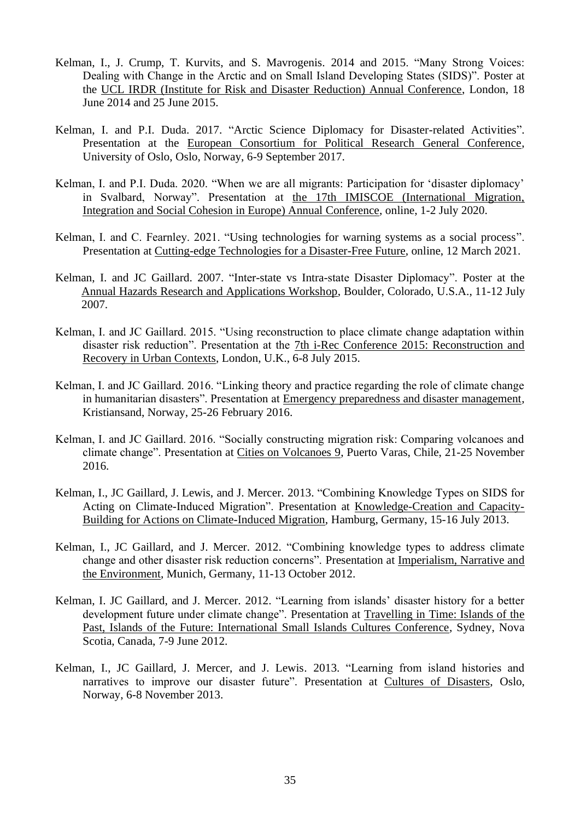- Kelman, I., J. Crump, T. Kurvits, and S. Mavrogenis. 2014 and 2015. "Many Strong Voices: Dealing with Change in the Arctic and on Small Island Developing States (SIDS)". Poster at the UCL IRDR (Institute for Risk and Disaster Reduction) Annual Conference, London, 18 June 2014 and 25 June 2015.
- Kelman, I. and P.I. Duda. 2017. "Arctic Science Diplomacy for Disaster-related Activities". Presentation at the European Consortium for Political Research General Conference, University of Oslo, Oslo, Norway, 6-9 September 2017.
- Kelman, I. and P.I. Duda. 2020. "When we are all migrants: Participation for 'disaster diplomacy' in Svalbard, Norway". Presentation at the 17th IMISCOE (International Migration, Integration and Social Cohesion in Europe) Annual Conference, online, 1-2 July 2020.
- Kelman, I. and C. Fearnley. 2021. "Using technologies for warning systems as a social process". Presentation at Cutting-edge Technologies for a Disaster-Free Future, online, 12 March 2021.
- Kelman, I. and JC Gaillard. 2007. "Inter-state vs Intra-state Disaster Diplomacy". Poster at the Annual Hazards Research and Applications Workshop, Boulder, Colorado, U.S.A., 11-12 July 2007.
- Kelman, I. and JC Gaillard. 2015. "Using reconstruction to place climate change adaptation within disaster risk reduction". Presentation at the 7th i-Rec Conference 2015: Reconstruction and Recovery in Urban Contexts, London, U.K., 6-8 July 2015.
- Kelman, I. and JC Gaillard. 2016. "Linking theory and practice regarding the role of climate change in humanitarian disasters". Presentation at Emergency preparedness and disaster management, Kristiansand, Norway, 25-26 February 2016.
- Kelman, I. and JC Gaillard. 2016. "Socially constructing migration risk: Comparing volcanoes and climate change". Presentation at Cities on Volcanoes 9, Puerto Varas, Chile, 21-25 November 2016.
- Kelman, I., JC Gaillard, J. Lewis, and J. Mercer. 2013. "Combining Knowledge Types on SIDS for Acting on Climate-Induced Migration". Presentation at Knowledge-Creation and Capacity-Building for Actions on Climate-Induced Migration, Hamburg, Germany, 15-16 July 2013.
- Kelman, I., JC Gaillard, and J. Mercer. 2012. "Combining knowledge types to address climate change and other disaster risk reduction concerns". Presentation at Imperialism, Narrative and the Environment, Munich, Germany, 11-13 October 2012.
- Kelman, I. JC Gaillard, and J. Mercer. 2012. "Learning from islands' disaster history for a better development future under climate change". Presentation at Travelling in Time: Islands of the Past, Islands of the Future: International Small Islands Cultures Conference, Sydney, Nova Scotia, Canada, 7-9 June 2012.
- Kelman, I., JC Gaillard, J. Mercer, and J. Lewis. 2013. "Learning from island histories and narratives to improve our disaster future". Presentation at Cultures of Disasters, Oslo, Norway, 6-8 November 2013.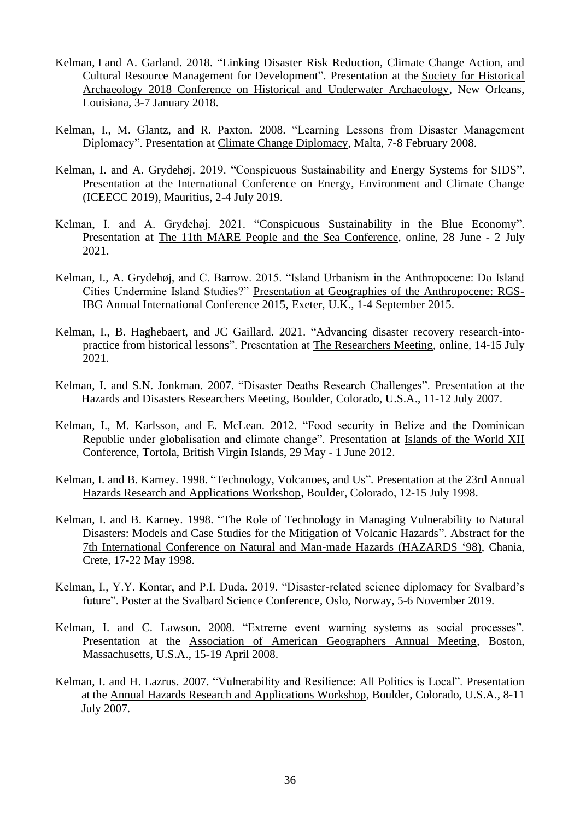- Kelman, I and A. Garland. 2018. "Linking Disaster Risk Reduction, Climate Change Action, and Cultural Resource Management for Development". Presentation at the Society for Historical Archaeology 2018 Conference on Historical and Underwater Archaeology, New Orleans, Louisiana, 3-7 January 2018.
- Kelman, I., M. Glantz, and R. Paxton. 2008. "Learning Lessons from Disaster Management Diplomacy". Presentation at Climate Change Diplomacy, Malta, 7-8 February 2008.
- Kelman, I. and A. Grydehøj. 2019. "Conspicuous Sustainability and Energy Systems for SIDS". Presentation at the International Conference on Energy, Environment and Climate Change (ICEECC 2019), Mauritius, 2-4 July 2019.
- Kelman, I. and A. Grydehøj. 2021. "Conspicuous Sustainability in the Blue Economy". Presentation at The 11th MARE People and the Sea Conference, online, 28 June - 2 July 2021.
- Kelman, I., A. Grydehøj, and C. Barrow. 2015. "Island Urbanism in the Anthropocene: Do Island Cities Undermine Island Studies?" Presentation at Geographies of the Anthropocene: RGS-IBG Annual International Conference 2015, Exeter, U.K., 1-4 September 2015.
- Kelman, I., B. Haghebaert, and JC Gaillard. 2021. "Advancing disaster recovery research-intopractice from historical lessons". Presentation at The Researchers Meeting, online, 14-15 July 2021.
- Kelman, I. and S.N. Jonkman. 2007. "Disaster Deaths Research Challenges". Presentation at the Hazards and Disasters Researchers Meeting, Boulder, Colorado, U.S.A., 11-12 July 2007.
- Kelman, I., M. Karlsson, and E. McLean. 2012. "Food security in Belize and the Dominican Republic under globalisation and climate change". Presentation at Islands of the World XII Conference, Tortola, British Virgin Islands, 29 May - 1 June 2012.
- Kelman, I. and B. Karney. 1998. "Technology, Volcanoes, and Us". Presentation at the 23rd Annual Hazards Research and Applications Workshop, Boulder, Colorado, 12-15 July 1998.
- Kelman, I. and B. Karney. 1998. "The Role of Technology in Managing Vulnerability to Natural Disasters: Models and Case Studies for the Mitigation of Volcanic Hazards". Abstract for the 7th International Conference on Natural and Man-made Hazards (HAZARDS '98), Chania, Crete, 17-22 May 1998.
- Kelman, I., Y.Y. Kontar, and P.I. Duda. 2019. "Disaster-related science diplomacy for Svalbard's future". Poster at the Svalbard Science Conference, Oslo, Norway, 5-6 November 2019.
- Kelman, I. and C. Lawson. 2008. "Extreme event warning systems as social processes". Presentation at the Association of American Geographers Annual Meeting, Boston, Massachusetts, U.S.A., 15-19 April 2008.
- Kelman, I. and H. Lazrus. 2007. "Vulnerability and Resilience: All Politics is Local". Presentation at the Annual Hazards Research and Applications Workshop, Boulder, Colorado, U.S.A., 8-11 July 2007.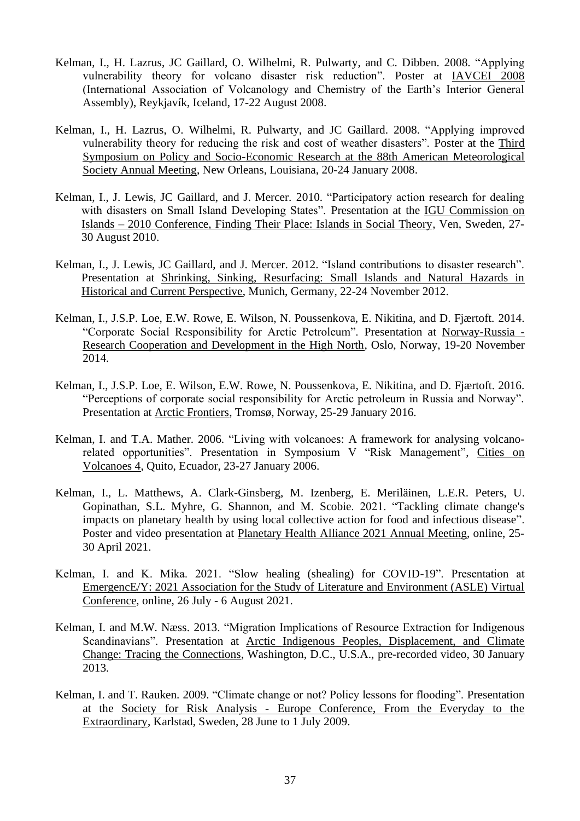- Kelman, I., H. Lazrus, JC Gaillard, O. Wilhelmi, R. Pulwarty, and C. Dibben. 2008. "Applying vulnerability theory for volcano disaster risk reduction". Poster at IAVCEI 2008 (International Association of Volcanology and Chemistry of the Earth's Interior General Assembly), Reykjavík, Iceland, 17-22 August 2008.
- Kelman, I., H. Lazrus, O. Wilhelmi, R. Pulwarty, and JC Gaillard. 2008. "Applying improved vulnerability theory for reducing the risk and cost of weather disasters". Poster at the Third Symposium on Policy and Socio-Economic Research at the 88th American Meteorological Society Annual Meeting, New Orleans, Louisiana, 20-24 January 2008.
- Kelman, I., J. Lewis, JC Gaillard, and J. Mercer. 2010. "Participatory action research for dealing with disasters on Small Island Developing States". Presentation at the IGU Commission on Islands – 2010 Conference, Finding Their Place: Islands in Social Theory, Ven, Sweden, 27- 30 August 2010.
- Kelman, I., J. Lewis, JC Gaillard, and J. Mercer. 2012. "Island contributions to disaster research". Presentation at Shrinking, Sinking, Resurfacing: Small Islands and Natural Hazards in Historical and Current Perspective, Munich, Germany, 22-24 November 2012.
- Kelman, I., J.S.P. Loe, E.W. Rowe, E. Wilson, N. Poussenkova, E. Nikitina, and D. Fjærtoft. 2014. "Corporate Social Responsibility for Arctic Petroleum". Presentation at Norway-Russia - Research Cooperation and Development in the High North, Oslo, Norway, 19-20 November 2014.
- Kelman, I., J.S.P. Loe, E. Wilson, E.W. Rowe, N. Poussenkova, E. Nikitina, and D. Fjærtoft. 2016. "Perceptions of corporate social responsibility for Arctic petroleum in Russia and Norway". Presentation at Arctic Frontiers, Tromsø, Norway, 25-29 January 2016.
- Kelman, I. and T.A. Mather. 2006. "Living with volcanoes: A framework for analysing volcanorelated opportunities". Presentation in Symposium V "Risk Management", Cities on Volcanoes 4, Quito, Ecuador, 23-27 January 2006.
- Kelman, I., L. Matthews, A. Clark-Ginsberg, M. Izenberg, E. Meriläinen, L.E.R. Peters, U. Gopinathan, S.L. Myhre, G. Shannon, and M. Scobie. 2021. "Tackling climate change's impacts on planetary health by using local collective action for food and infectious disease". Poster and video presentation at Planetary Health Alliance 2021 Annual Meeting, online, 25- 30 April 2021.
- Kelman, I. and K. Mika. 2021. "Slow healing (shealing) for COVID-19". Presentation at EmergencE/Y: 2021 Association for the Study of Literature and Environment (ASLE) Virtual Conference, online, 26 July - 6 August 2021.
- Kelman, I. and M.W. Næss. 2013. "Migration Implications of Resource Extraction for Indigenous Scandinavians". Presentation at Arctic Indigenous Peoples, Displacement, and Climate Change: Tracing the Connections, Washington, D.C., U.S.A., pre-recorded video, 30 January 2013.
- Kelman, I. and T. Rauken. 2009. "Climate change or not? Policy lessons for flooding". Presentation at the Society for Risk Analysis - Europe Conference, From the Everyday to the Extraordinary, Karlstad, Sweden, 28 June to 1 July 2009.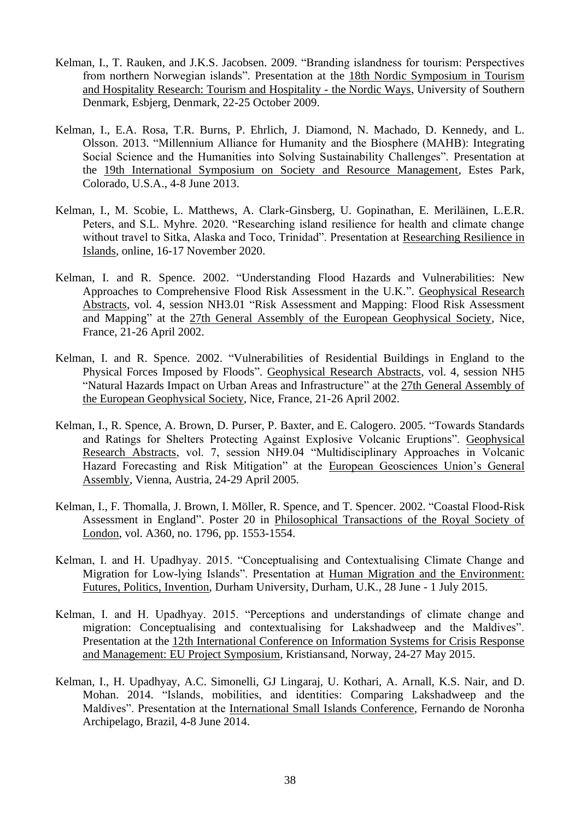- Kelman, I., T. Rauken, and J.K.S. Jacobsen. 2009. "Branding islandness for tourism: Perspectives from northern Norwegian islands". Presentation at the 18th Nordic Symposium in Tourism and Hospitality Research: Tourism and Hospitality - the Nordic Ways, University of Southern Denmark, Esbjerg, Denmark, 22-25 October 2009.
- Kelman, I., E.A. Rosa, T.R. Burns, P. Ehrlich, J. Diamond, N. Machado, D. Kennedy, and L. Olsson. 2013. "Millennium Alliance for Humanity and the Biosphere (MAHB): Integrating Social Science and the Humanities into Solving Sustainability Challenges". Presentation at the 19th International Symposium on Society and Resource Management, Estes Park, Colorado, U.S.A., 4-8 June 2013.
- Kelman, I., M. Scobie, L. Matthews, A. Clark-Ginsberg, U. Gopinathan, E. Meriläinen, L.E.R. Peters, and S.L. Myhre. 2020. "Researching island resilience for health and climate change without travel to Sitka, Alaska and Toco, Trinidad". Presentation at Researching Resilience in Islands, online, 16-17 November 2020.
- Kelman, I. and R. Spence. 2002. "Understanding Flood Hazards and Vulnerabilities: New Approaches to Comprehensive Flood Risk Assessment in the U.K.". Geophysical Research Abstracts, vol. 4, session NH3.01 "Risk Assessment and Mapping: Flood Risk Assessment and Mapping" at the 27th General Assembly of the European Geophysical Society, Nice, France, 21-26 April 2002.
- Kelman, I. and R. Spence. 2002. "Vulnerabilities of Residential Buildings in England to the Physical Forces Imposed by Floods". Geophysical Research Abstracts, vol. 4, session NH5 "Natural Hazards Impact on Urban Areas and Infrastructure" at the 27th General Assembly of the European Geophysical Society, Nice, France, 21-26 April 2002.
- Kelman, I., R. Spence, A. Brown, D. Purser, P. Baxter, and E. Calogero. 2005. "Towards Standards and Ratings for Shelters Protecting Against Explosive Volcanic Eruptions". Geophysical Research Abstracts, vol. 7, session NH9.04 "Multidisciplinary Approaches in Volcanic Hazard Forecasting and Risk Mitigation" at the European Geosciences Union's General Assembly, Vienna, Austria, 24-29 April 2005.
- Kelman, I., F. Thomalla, J. Brown, I. Möller, R. Spence, and T. Spencer. 2002. "Coastal Flood-Risk Assessment in England". Poster 20 in Philosophical Transactions of the Royal Society of London, vol. A360, no. 1796, pp. 1553-1554.
- Kelman, I. and H. Upadhyay. 2015. "Conceptualising and Contextualising Climate Change and Migration for Low-lying Islands". Presentation at Human Migration and the Environment: Futures, Politics, Invention, Durham University, Durham, U.K., 28 June - 1 July 2015.
- Kelman, I. and H. Upadhyay. 2015. "Perceptions and understandings of climate change and migration: Conceptualising and contextualising for Lakshadweep and the Maldives". Presentation at the 12th International Conference on Information Systems for Crisis Response and Management: EU Project Symposium, Kristiansand, Norway, 24-27 May 2015.
- Kelman, I., H. Upadhyay, A.C. Simonelli, GJ Lingaraj, U. Kothari, A. Arnall, K.S. Nair, and D. Mohan. 2014. "Islands, mobilities, and identities: Comparing Lakshadweep and the Maldives". Presentation at the International Small Islands Conference, Fernando de Noronha Archipelago, Brazil, 4-8 June 2014.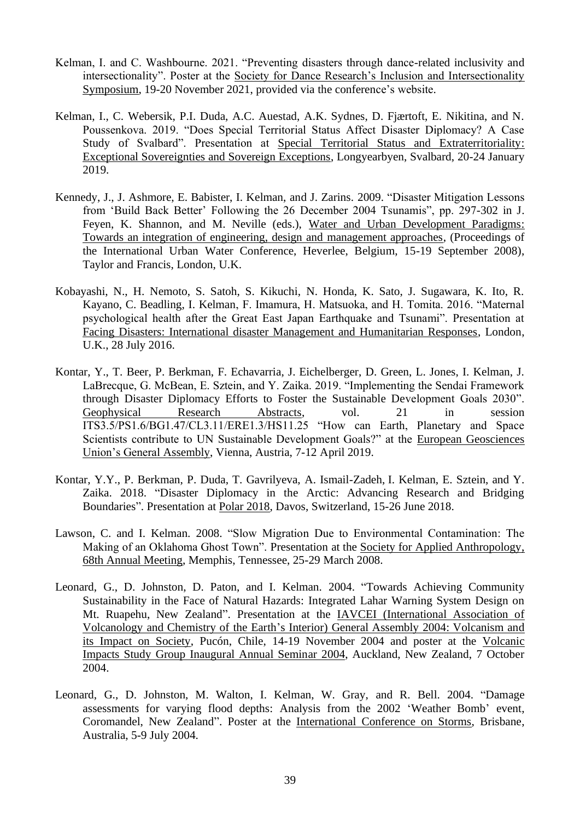- Kelman, I. and C. Washbourne. 2021. "Preventing disasters through dance-related inclusivity and intersectionality". Poster at the Society for Dance Research's Inclusion and Intersectionality Symposium, 19-20 November 2021, provided via the conference's website.
- Kelman, I., C. Webersik, P.I. Duda, A.C. Auestad, A.K. Sydnes, D. Fjærtoft, E. Nikitina, and N. Poussenkova. 2019. "Does Special Territorial Status Affect Disaster Diplomacy? A Case Study of Svalbard". Presentation at Special Territorial Status and Extraterritoriality: Exceptional Sovereignties and Sovereign Exceptions, Longyearbyen, Svalbard, 20-24 January 2019.
- Kennedy, J., J. Ashmore, E. Babister, I. Kelman, and J. Zarins. 2009. "Disaster Mitigation Lessons from 'Build Back Better' Following the 26 December 2004 Tsunamis", pp. 297-302 in J. Feyen, K. Shannon, and M. Neville (eds.), Water and Urban Development Paradigms: Towards an integration of engineering, design and management approaches, (Proceedings of the International Urban Water Conference, Heverlee, Belgium, 15-19 September 2008), Taylor and Francis, London, U.K.
- Kobayashi, N., H. Nemoto, S. Satoh, S. Kikuchi, N. Honda, K. Sato, J. Sugawara, K. Ito, R. Kayano, C. Beadling, I. Kelman, F. Imamura, H. Matsuoka, and H. Tomita. 2016. "Maternal psychological health after the Great East Japan Earthquake and Tsunami". Presentation at Facing Disasters: International disaster Management and Humanitarian Responses, London, U.K., 28 July 2016.
- Kontar, Y., T. Beer, P. Berkman, F. Echavarria, J. Eichelberger, D. Green, L. Jones, I. Kelman, J. LaBrecque, G. McBean, E. Sztein, and Y. Zaika. 2019. "Implementing the Sendai Framework through Disaster Diplomacy Efforts to Foster the Sustainable Development Goals 2030". Geophysical Research Abstracts, vol. 21 in session ITS3.5/PS1.6/BG1.47/CL3.11/ERE1.3/HS11.25 "How can Earth, Planetary and Space Scientists contribute to UN Sustainable Development Goals?" at the European Geosciences Union's General Assembly, Vienna, Austria, 7-12 April 2019.
- Kontar, Y.Y., P. Berkman, P. Duda, T. Gavrilyeva, A. Ismail-Zadeh, I. Kelman, E. Sztein, and Y. Zaika. 2018. "Disaster Diplomacy in the Arctic: Advancing Research and Bridging Boundaries". Presentation at Polar 2018, Davos, Switzerland, 15-26 June 2018.
- Lawson, C. and I. Kelman. 2008. "Slow Migration Due to Environmental Contamination: The Making of an Oklahoma Ghost Town". Presentation at the Society for Applied Anthropology, 68th Annual Meeting, Memphis, Tennessee, 25-29 March 2008.
- Leonard, G., D. Johnston, D. Paton, and I. Kelman. 2004. "Towards Achieving Community Sustainability in the Face of Natural Hazards: Integrated Lahar Warning System Design on Mt. Ruapehu, New Zealand". Presentation at the IAVCEI (International Association of Volcanology and Chemistry of the Earth's Interior) General Assembly 2004: Volcanism and its Impact on Society, Pucón, Chile, 14-19 November 2004 and poster at the Volcanic Impacts Study Group Inaugural Annual Seminar 2004, Auckland, New Zealand, 7 October 2004.
- Leonard, G., D. Johnston, M. Walton, I. Kelman, W. Gray, and R. Bell. 2004. "Damage assessments for varying flood depths: Analysis from the 2002 'Weather Bomb' event, Coromandel, New Zealand". Poster at the International Conference on Storms, Brisbane, Australia, 5-9 July 2004.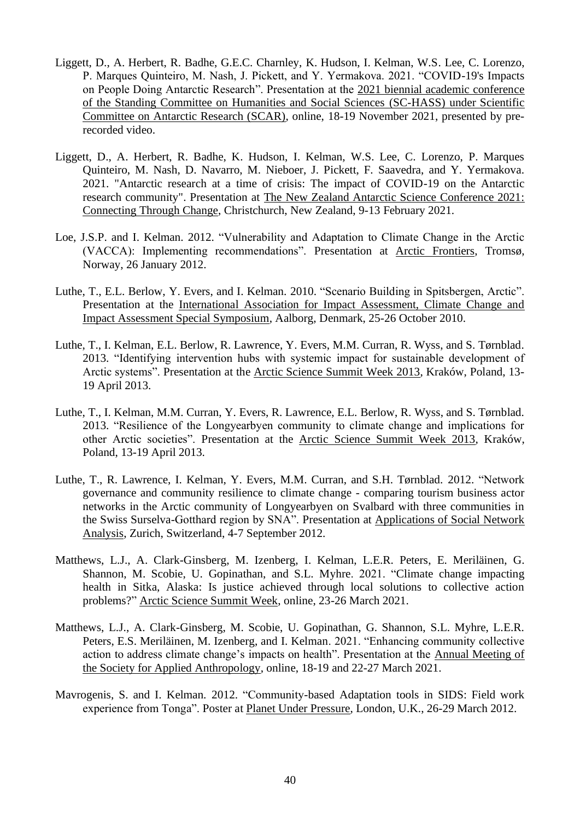- Liggett, D., A. Herbert, R. Badhe, G.E.C. Charnley, K. Hudson, I. Kelman, W.S. Lee, C. Lorenzo, P. Marques Quinteiro, M. Nash, J. Pickett, and Y. Yermakova. 2021. "COVID-19's Impacts on People Doing Antarctic Research". Presentation at the 2021 biennial academic conference of the Standing Committee on Humanities and Social Sciences (SC-HASS) under Scientific Committee on Antarctic Research (SCAR), online, 18-19 November 2021, presented by prerecorded video.
- Liggett, D., A. Herbert, R. Badhe, K. Hudson, I. Kelman, W.S. Lee, C. Lorenzo, P. Marques Quinteiro, M. Nash, D. Navarro, M. Nieboer, J. Pickett, F. Saavedra, and Y. Yermakova. 2021. "Antarctic research at a time of crisis: The impact of COVID-19 on the Antarctic research community". Presentation at The New Zealand Antarctic Science Conference 2021: Connecting Through Change, Christchurch, New Zealand, 9-13 February 2021.
- Loe, J.S.P. and I. Kelman. 2012. "Vulnerability and Adaptation to Climate Change in the Arctic (VACCA): Implementing recommendations". Presentation at Arctic Frontiers, Tromsø, Norway, 26 January 2012.
- Luthe, T., E.L. Berlow, Y. Evers, and I. Kelman. 2010. "Scenario Building in Spitsbergen, Arctic". Presentation at the International Association for Impact Assessment, Climate Change and Impact Assessment Special Symposium, Aalborg, Denmark, 25-26 October 2010.
- Luthe, T., I. Kelman, E.L. Berlow, R. Lawrence, Y. Evers, M.M. Curran, R. Wyss, and S. Tørnblad. 2013. "Identifying intervention hubs with systemic impact for sustainable development of Arctic systems". Presentation at the Arctic Science Summit Week 2013, Kraków, Poland, 13- 19 April 2013.
- Luthe, T., I. Kelman, M.M. Curran, Y. Evers, R. Lawrence, E.L. Berlow, R. Wyss, and S. Tørnblad. 2013. "Resilience of the Longyearbyen community to climate change and implications for other Arctic societies". Presentation at the Arctic Science Summit Week 2013, Kraków, Poland, 13-19 April 2013.
- Luthe, T., R. Lawrence, I. Kelman, Y. Evers, M.M. Curran, and S.H. Tørnblad. 2012. "Network governance and community resilience to climate change - comparing tourism business actor networks in the Arctic community of Longyearbyen on Svalbard with three communities in the Swiss Surselva-Gotthard region by SNA". Presentation at Applications of Social Network Analysis, Zurich, Switzerland, 4-7 September 2012.
- Matthews, L.J., A. Clark-Ginsberg, M. Izenberg, I. Kelman, L.E.R. Peters, E. Meriläinen, G. Shannon, M. Scobie, U. Gopinathan, and S.L. Myhre. 2021. "Climate change impacting health in Sitka, Alaska: Is justice achieved through local solutions to collective action problems?" Arctic Science Summit Week, online, 23-26 March 2021.
- Matthews, L.J., A. Clark-Ginsberg, M. Scobie, U. Gopinathan, G. Shannon, S.L. Myhre, L.E.R. Peters, E.S. Meriläinen, M. Izenberg, and I. Kelman. 2021. "Enhancing community collective action to address climate change's impacts on health". Presentation at the Annual Meeting of the Society for Applied Anthropology, online, 18-19 and 22-27 March 2021.
- Mavrogenis, S. and I. Kelman. 2012. "Community-based Adaptation tools in SIDS: Field work experience from Tonga". Poster at Planet Under Pressure, London, U.K., 26-29 March 2012.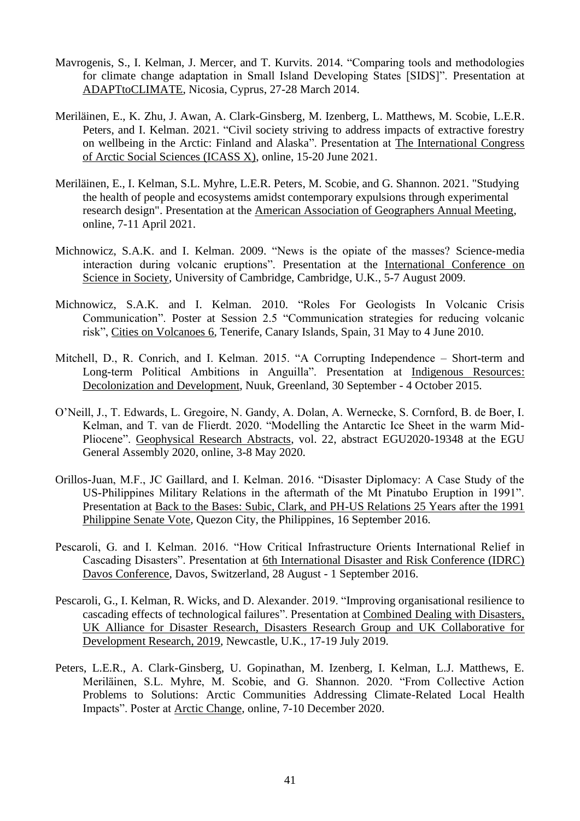- Mavrogenis, S., I. Kelman, J. Mercer, and T. Kurvits. 2014. "Comparing tools and methodologies for climate change adaptation in Small Island Developing States [SIDS]". Presentation at ADAPTtoCLIMATE, Nicosia, Cyprus, 27-28 March 2014.
- Meriläinen, E., K. Zhu, J. Awan, A. Clark-Ginsberg, M. Izenberg, L. Matthews, M. Scobie, L.E.R. Peters, and I. Kelman. 2021. "Civil society striving to address impacts of extractive forestry on wellbeing in the Arctic: Finland and Alaska". Presentation at The International Congress of Arctic Social Sciences (ICASS X), online, 15-20 June 2021.
- Meriläinen, E., I. Kelman, S.L. Myhre, L.E.R. Peters, M. Scobie, and G. Shannon. 2021. "Studying the health of people and ecosystems amidst contemporary expulsions through experimental research design". Presentation at the American Association of Geographers Annual Meeting, online, 7-11 April 2021.
- Michnowicz, S.A.K. and I. Kelman. 2009. "News is the opiate of the masses? Science-media interaction during volcanic eruptions". Presentation at the International Conference on Science in Society, University of Cambridge, Cambridge, U.K., 5-7 August 2009.
- Michnowicz, S.A.K. and I. Kelman. 2010. "Roles For Geologists In Volcanic Crisis Communication". Poster at Session 2.5 "Communication strategies for reducing volcanic risk", Cities on Volcanoes 6, Tenerife, Canary Islands, Spain, 31 May to 4 June 2010.
- Mitchell, D., R. Conrich, and I. Kelman. 2015. "A Corrupting Independence Short-term and Long-term Political Ambitions in Anguilla". Presentation at Indigenous Resources: Decolonization and Development, Nuuk, Greenland, 30 September - 4 October 2015.
- O'Neill, J., T. Edwards, L. Gregoire, N. Gandy, A. Dolan, A. Wernecke, S. Cornford, B. de Boer, I. Kelman, and T. van de Flierdt. 2020. "Modelling the Antarctic Ice Sheet in the warm Mid-Pliocene". Geophysical Research Abstracts, vol. 22, abstract EGU2020-19348 at the EGU General Assembly 2020, online, 3-8 May 2020.
- Orillos-Juan, M.F., JC Gaillard, and I. Kelman. 2016. "Disaster Diplomacy: A Case Study of the US-Philippines Military Relations in the aftermath of the Mt Pinatubo Eruption in 1991". Presentation at Back to the Bases: Subic, Clark, and PH-US Relations 25 Years after the 1991 Philippine Senate Vote, Quezon City, the Philippines, 16 September 2016.
- Pescaroli, G. and I. Kelman. 2016. "How Critical Infrastructure Orients International Relief in Cascading Disasters". Presentation at 6th International Disaster and Risk Conference (IDRC) Davos Conference, Davos, Switzerland, 28 August - 1 September 2016.
- Pescaroli, G., I. Kelman, R. Wicks, and D. Alexander. 2019. "Improving organisational resilience to cascading effects of technological failures". Presentation at Combined Dealing with Disasters, UK Alliance for Disaster Research, Disasters Research Group and UK Collaborative for Development Research, 2019, Newcastle, U.K., 17-19 July 2019.
- Peters, L.E.R., A. Clark-Ginsberg, U. Gopinathan, M. Izenberg, I. Kelman, L.J. Matthews, E. Meriläinen, S.L. Myhre, M. Scobie, and G. Shannon. 2020. "From Collective Action Problems to Solutions: Arctic Communities Addressing Climate-Related Local Health Impacts". Poster at Arctic Change, online, 7-10 December 2020.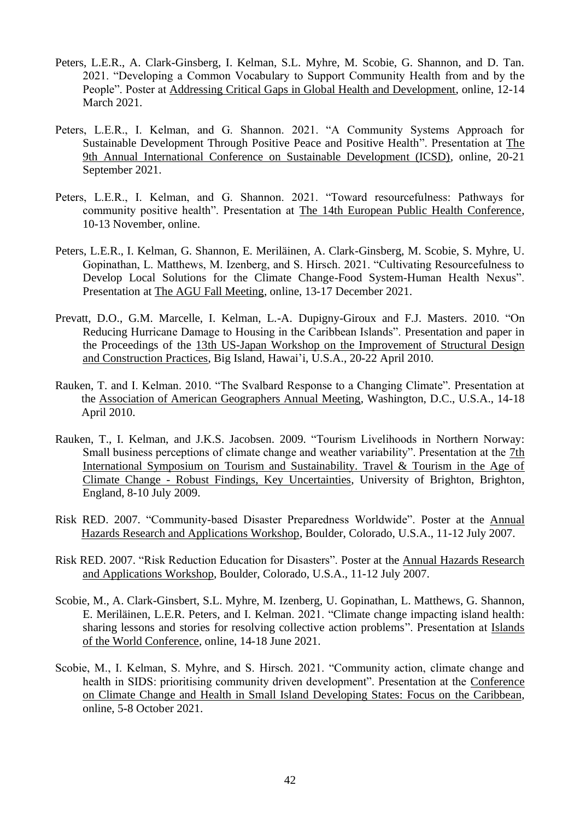- Peters, L.E.R., A. Clark-Ginsberg, I. Kelman, S.L. Myhre, M. Scobie, G. Shannon, and D. Tan. 2021. "Developing a Common Vocabulary to Support Community Health from and by the People". Poster at Addressing Critical Gaps in Global Health and Development, online, 12-14 March 2021.
- Peters, L.E.R., I. Kelman, and G. Shannon. 2021. "A Community Systems Approach for Sustainable Development Through Positive Peace and Positive Health". Presentation at The 9th Annual International Conference on Sustainable Development (ICSD), online, 20-21 September 2021.
- Peters, L.E.R., I. Kelman, and G. Shannon. 2021. "Toward resourcefulness: Pathways for community positive health". Presentation at The 14th European Public Health Conference, 10-13 November, online.
- Peters, L.E.R., I. Kelman, G. Shannon, E. Meriläinen, A. Clark-Ginsberg, M. Scobie, S. Myhre, U. Gopinathan, L. Matthews, M. Izenberg, and S. Hirsch. 2021. "Cultivating Resourcefulness to Develop Local Solutions for the Climate Change-Food System-Human Health Nexus". Presentation at The AGU Fall Meeting, online, 13-17 December 2021.
- Prevatt, D.O., G.M. Marcelle, I. Kelman, L.-A. Dupigny-Giroux and F.J. Masters. 2010. "On Reducing Hurricane Damage to Housing in the Caribbean Islands". Presentation and paper in the Proceedings of the 13th US-Japan Workshop on the Improvement of Structural Design and Construction Practices, Big Island, Hawai'i, U.S.A., 20-22 April 2010.
- Rauken, T. and I. Kelman. 2010. "The Svalbard Response to a Changing Climate". Presentation at the Association of American Geographers Annual Meeting, Washington, D.C., U.S.A., 14-18 April 2010.
- Rauken, T., I. Kelman, and J.K.S. Jacobsen. 2009. "Tourism Livelihoods in Northern Norway: Small business perceptions of climate change and weather variability". Presentation at the 7th International Symposium on Tourism and Sustainability. Travel & Tourism in the Age of Climate Change - Robust Findings, Key Uncertainties, University of Brighton, Brighton, England, 8-10 July 2009.
- Risk RED. 2007. "Community-based Disaster Preparedness Worldwide". Poster at the Annual Hazards Research and Applications Workshop, Boulder, Colorado, U.S.A., 11-12 July 2007.
- Risk RED. 2007. "Risk Reduction Education for Disasters". Poster at the Annual Hazards Research and Applications Workshop, Boulder, Colorado, U.S.A., 11-12 July 2007.
- Scobie, M., A. Clark-Ginsbert, S.L. Myhre, M. Izenberg, U. Gopinathan, L. Matthews, G. Shannon, E. Meriläinen, L.E.R. Peters, and I. Kelman. 2021. "Climate change impacting island health: sharing lessons and stories for resolving collective action problems". Presentation at Islands of the World Conference, online, 14-18 June 2021.
- Scobie, M., I. Kelman, S. Myhre, and S. Hirsch. 2021. "Community action, climate change and health in SIDS: prioritising community driven development". Presentation at the Conference on Climate Change and Health in Small Island Developing States: Focus on the Caribbean, online, 5-8 October 2021.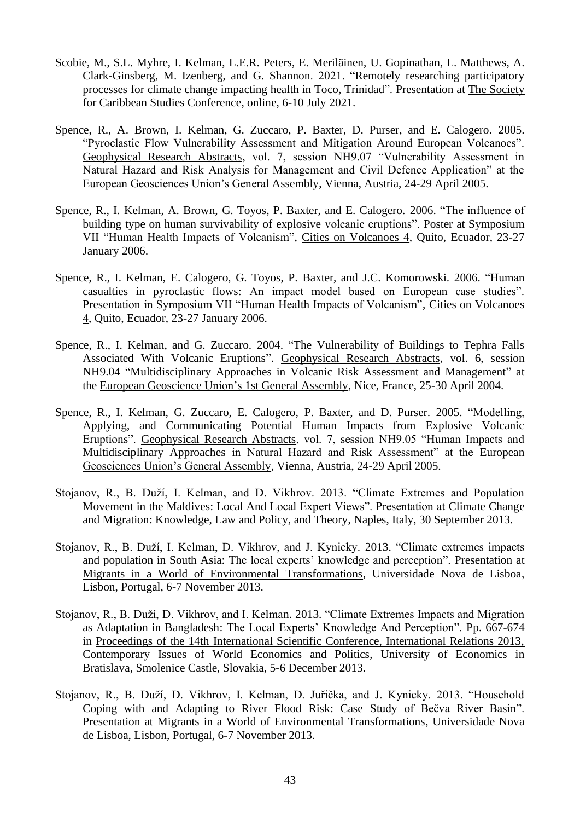- Scobie, M., S.L. Myhre, I. Kelman, L.E.R. Peters, E. Meriläinen, U. Gopinathan, L. Matthews, A. Clark-Ginsberg, M. Izenberg, and G. Shannon. 2021. "Remotely researching participatory processes for climate change impacting health in Toco, Trinidad". Presentation at The Society for Caribbean Studies Conference, online, 6-10 July 2021.
- Spence, R., A. Brown, I. Kelman, G. Zuccaro, P. Baxter, D. Purser, and E. Calogero. 2005. "Pyroclastic Flow Vulnerability Assessment and Mitigation Around European Volcanoes". Geophysical Research Abstracts, vol. 7, session NH9.07 "Vulnerability Assessment in Natural Hazard and Risk Analysis for Management and Civil Defence Application" at the European Geosciences Union's General Assembly, Vienna, Austria, 24-29 April 2005.
- Spence, R., I. Kelman, A. Brown, G. Toyos, P. Baxter, and E. Calogero. 2006. "The influence of building type on human survivability of explosive volcanic eruptions". Poster at Symposium VII "Human Health Impacts of Volcanism", Cities on Volcanoes 4, Quito, Ecuador, 23-27 January 2006.
- Spence, R., I. Kelman, E. Calogero, G. Toyos, P. Baxter, and J.C. Komorowski. 2006. "Human casualties in pyroclastic flows: An impact model based on European case studies". Presentation in Symposium VII "Human Health Impacts of Volcanism", Cities on Volcanoes 4, Quito, Ecuador, 23-27 January 2006.
- Spence, R., I. Kelman, and G. Zuccaro. 2004. "The Vulnerability of Buildings to Tephra Falls Associated With Volcanic Eruptions". Geophysical Research Abstracts, vol. 6, session NH9.04 "Multidisciplinary Approaches in Volcanic Risk Assessment and Management" at the European Geoscience Union's 1st General Assembly, Nice, France, 25-30 April 2004.
- Spence, R., I. Kelman, G. Zuccaro, E. Calogero, P. Baxter, and D. Purser. 2005. "Modelling, Applying, and Communicating Potential Human Impacts from Explosive Volcanic Eruptions". Geophysical Research Abstracts, vol. 7, session NH9.05 "Human Impacts and Multidisciplinary Approaches in Natural Hazard and Risk Assessment" at the European Geosciences Union's General Assembly, Vienna, Austria, 24-29 April 2005.
- Stojanov, R., B. Duží, I. Kelman, and D. Vikhrov. 2013. "Climate Extremes and Population Movement in the Maldives: Local And Local Expert Views". Presentation at Climate Change and Migration: Knowledge, Law and Policy, and Theory, Naples, Italy, 30 September 2013.
- Stojanov, R., B. Duží, I. Kelman, D. Vikhrov, and J. Kynicky. 2013. "Climate extremes impacts and population in South Asia: The local experts' knowledge and perception". Presentation at Migrants in a World of Environmental Transformations, Universidade Nova de Lisboa, Lisbon, Portugal, 6-7 November 2013.
- Stojanov, R., B. Duží, D. Vikhrov, and I. Kelman. 2013. "Climate Extremes Impacts and Migration as Adaptation in Bangladesh: The Local Experts' Knowledge And Perception". Pp. 667-674 in Proceedings of the 14th International Scientific Conference, International Relations 2013, Contemporary Issues of World Economics and Politics, University of Economics in Bratislava, Smolenice Castle, Slovakia, 5-6 December 2013.
- Stojanov, R., B. Duží, D. Vikhrov, I. Kelman, D. Juřička, and J. Kynicky. 2013. "Household Coping with and Adapting to River Flood Risk: Case Study of Bečva River Basin". Presentation at Migrants in a World of Environmental Transformations, Universidade Nova de Lisboa, Lisbon, Portugal, 6-7 November 2013.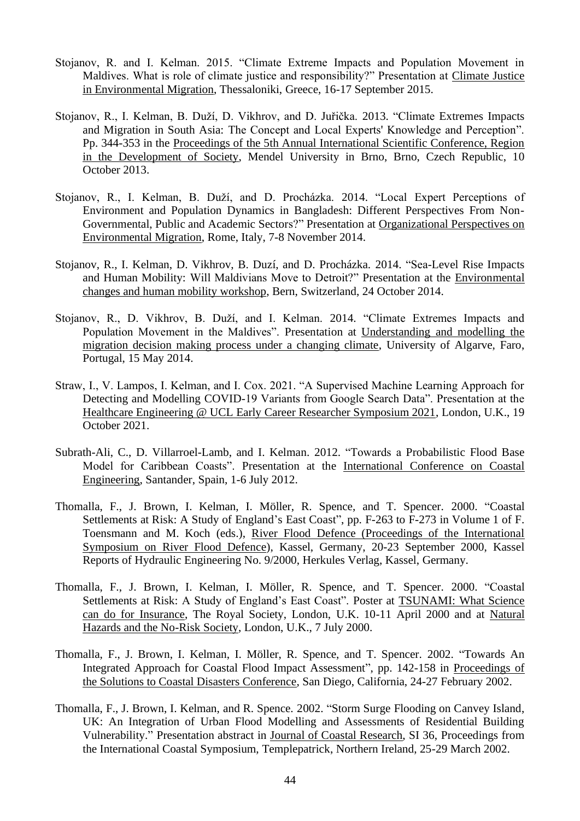- Stojanov, R. and I. Kelman. 2015. "Climate Extreme Impacts and Population Movement in Maldives. What is role of climate justice and responsibility?" Presentation at Climate Justice in Environmental Migration, Thessaloniki, Greece, 16-17 September 2015.
- Stojanov, R., I. Kelman, B. Duží, D. Vikhrov, and D. Juřička. 2013. "Climate Extremes Impacts and Migration in South Asia: The Concept and Local Experts' Knowledge and Perception". Pp. 344-353 in the Proceedings of the 5th Annual International Scientific Conference, Region in the Development of Society, Mendel University in Brno, Brno, Czech Republic, 10 October 2013.
- Stojanov, R., I. Kelman, B. Duží, and D. Procházka. 2014. "Local Expert Perceptions of Environment and Population Dynamics in Bangladesh: Different Perspectives From Non-Governmental, Public and Academic Sectors?" Presentation at Organizational Perspectives on Environmental Migration, Rome, Italy, 7-8 November 2014.
- Stojanov, R., I. Kelman, D. Vikhrov, B. Duzí, and D. Procházka. 2014. "Sea-Level Rise Impacts and Human Mobility: Will Maldivians Move to Detroit?" Presentation at the Environmental changes and human mobility workshop, Bern, Switzerland, 24 October 2014.
- Stojanov, R., D. Vikhrov, B. Duží, and I. Kelman. 2014. "Climate Extremes Impacts and Population Movement in the Maldives". Presentation at Understanding and modelling the migration decision making process under a changing climate, University of Algarve, Faro, Portugal, 15 May 2014.
- Straw, I., V. Lampos, I. Kelman, and I. Cox. 2021. "A Supervised Machine Learning Approach for Detecting and Modelling COVID-19 Variants from Google Search Data". Presentation at the Healthcare Engineering @ UCL Early Career Researcher Symposium 2021, London, U.K., 19 October 2021.
- Subrath-Ali, C., D. Villarroel-Lamb, and I. Kelman. 2012. "Towards a Probabilistic Flood Base Model for Caribbean Coasts". Presentation at the International Conference on Coastal Engineering, Santander, Spain, 1-6 July 2012.
- Thomalla, F., J. Brown, I. Kelman, I. Möller, R. Spence, and T. Spencer. 2000. "Coastal Settlements at Risk: A Study of England's East Coast", pp. F-263 to F-273 in Volume 1 of F. Toensmann and M. Koch (eds.), River Flood Defence (Proceedings of the International Symposium on River Flood Defence), Kassel, Germany, 20-23 September 2000, Kassel Reports of Hydraulic Engineering No. 9/2000, Herkules Verlag, Kassel, Germany.
- Thomalla, F., J. Brown, I. Kelman, I. Möller, R. Spence, and T. Spencer. 2000. "Coastal Settlements at Risk: A Study of England's East Coast". Poster at TSUNAMI: What Science can do for Insurance, The Royal Society, London, U.K. 10-11 April 2000 and at Natural Hazards and the No-Risk Society, London, U.K., 7 July 2000.
- Thomalla, F., J. Brown, I. Kelman, I. Möller, R. Spence, and T. Spencer. 2002. "Towards An Integrated Approach for Coastal Flood Impact Assessment", pp. 142-158 in Proceedings of the Solutions to Coastal Disasters Conference, San Diego, California, 24-27 February 2002.
- Thomalla, F., J. Brown, I. Kelman, and R. Spence. 2002. "Storm Surge Flooding on Canvey Island, UK: An Integration of Urban Flood Modelling and Assessments of Residential Building Vulnerability." Presentation abstract in Journal of Coastal Research, SI 36, Proceedings from the International Coastal Symposium, Templepatrick, Northern Ireland, 25-29 March 2002.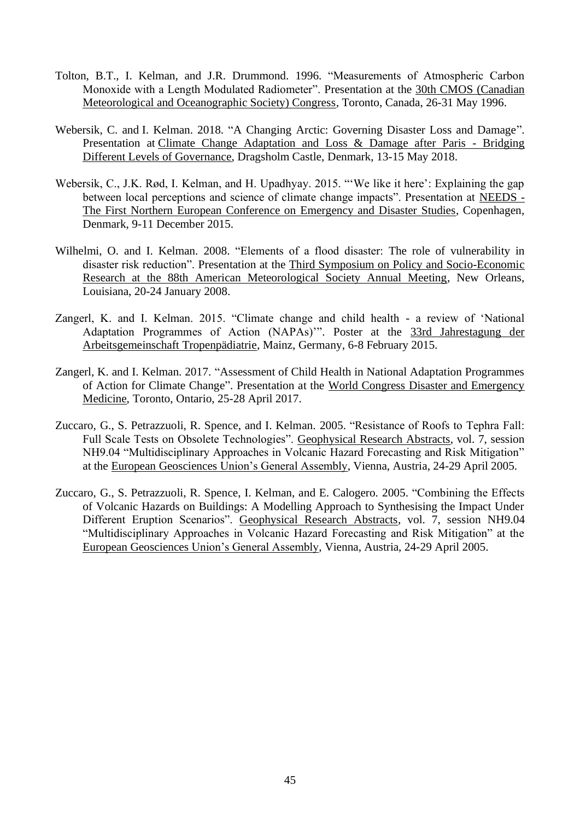- Tolton, B.T., I. Kelman, and J.R. Drummond. 1996. "Measurements of Atmospheric Carbon Monoxide with a Length Modulated Radiometer". Presentation at the 30th CMOS (Canadian Meteorological and Oceanographic Society) Congress, Toronto, Canada, 26-31 May 1996.
- Webersik, C. and I. Kelman. 2018. "A Changing Arctic: Governing Disaster Loss and Damage". Presentation at Climate Change Adaptation and Loss & Damage after Paris - Bridging Different Levels of Governance, Dragsholm Castle, Denmark, 13-15 May 2018.
- Webersik, C., J.K. Rød, I. Kelman, and H. Upadhyay. 2015. "'We like it here': Explaining the gap between local perceptions and science of climate change impacts". Presentation at NEEDS - The First Northern European Conference on Emergency and Disaster Studies, Copenhagen, Denmark, 9-11 December 2015.
- Wilhelmi, O. and I. Kelman. 2008. "Elements of a flood disaster: The role of vulnerability in disaster risk reduction". Presentation at the Third Symposium on Policy and Socio-Economic Research at the 88th American Meteorological Society Annual Meeting, New Orleans, Louisiana, 20-24 January 2008.
- Zangerl, K. and I. Kelman. 2015. "Climate change and child health a review of 'National Adaptation Programmes of Action (NAPAs)'". Poster at the 33rd Jahrestagung der Arbeitsgemeinschaft Tropenpädiatrie, Mainz, Germany, 6-8 February 2015.
- Zangerl, K. and I. Kelman. 2017. "Assessment of Child Health in National Adaptation Programmes of Action for Climate Change". Presentation at the World Congress Disaster and Emergency Medicine, Toronto, Ontario, 25-28 April 2017.
- Zuccaro, G., S. Petrazzuoli, R. Spence, and I. Kelman. 2005. "Resistance of Roofs to Tephra Fall: Full Scale Tests on Obsolete Technologies". Geophysical Research Abstracts, vol. 7, session NH9.04 "Multidisciplinary Approaches in Volcanic Hazard Forecasting and Risk Mitigation" at the European Geosciences Union's General Assembly, Vienna, Austria, 24-29 April 2005.
- Zuccaro, G., S. Petrazzuoli, R. Spence, I. Kelman, and E. Calogero. 2005. "Combining the Effects of Volcanic Hazards on Buildings: A Modelling Approach to Synthesising the Impact Under Different Eruption Scenarios". Geophysical Research Abstracts, vol. 7, session NH9.04 "Multidisciplinary Approaches in Volcanic Hazard Forecasting and Risk Mitigation" at the European Geosciences Union's General Assembly, Vienna, Austria, 24-29 April 2005.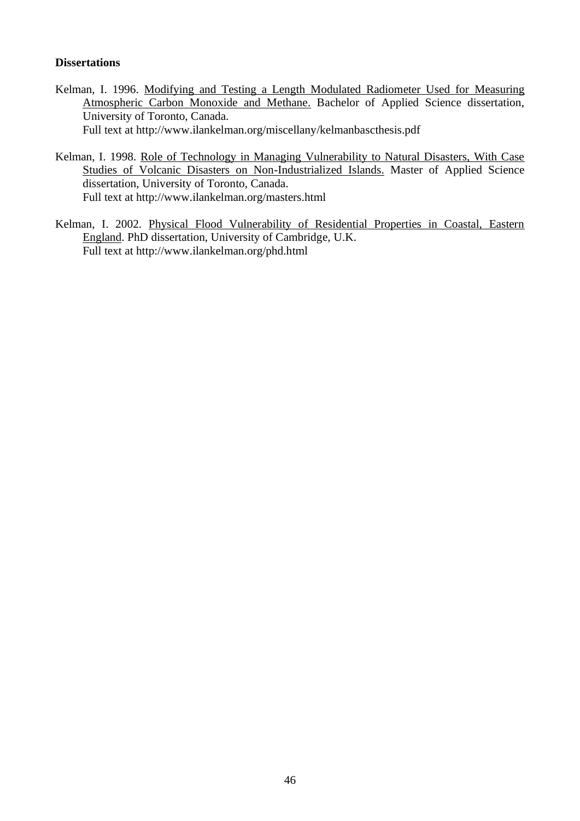# <span id="page-45-0"></span>**Dissertations**

- Kelman, I. 1996. Modifying and Testing a Length Modulated Radiometer Used for Measuring Atmospheric Carbon Monoxide and Methane. Bachelor of Applied Science dissertation, University of Toronto, Canada. Full text at<http://www.ilankelman.org/miscellany/kelmanbascthesis.pdf>
- Kelman, I. 1998. Role of Technology in Managing Vulnerability to Natural Disasters, With Case Studies of Volcanic Disasters on Non-Industrialized Islands. Master of Applied Science dissertation, University of Toronto, Canada. Full text at<http://www.ilankelman.org/masters.html>
- Kelman, I. 2002. Physical Flood Vulnerability of Residential Properties in Coastal, Eastern England. PhD dissertation, University of Cambridge, U.K. Full text at<http://www.ilankelman.org/phd.html>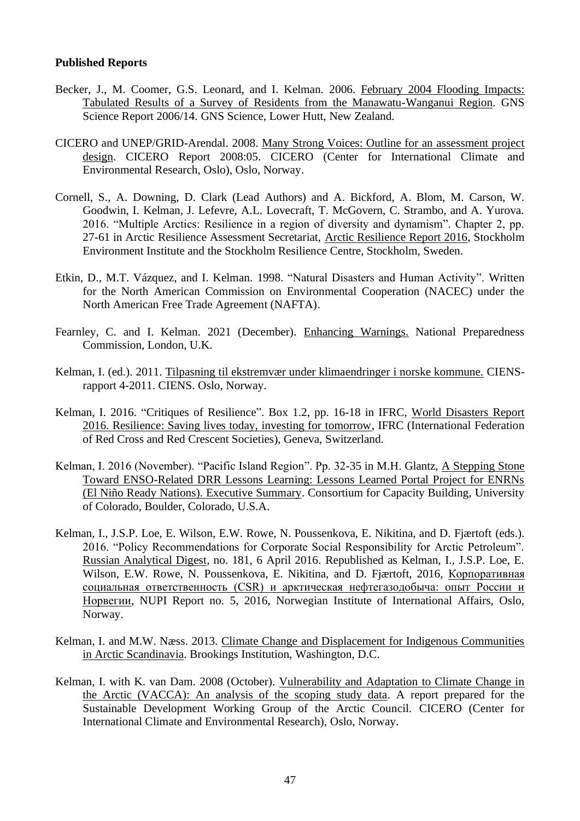### <span id="page-46-0"></span>**Published Reports**

- Becker, J., M. Coomer, G.S. Leonard, and I. Kelman. 2006. February 2004 Flooding Impacts: Tabulated Results of a Survey of Residents from the Manawatu-Wanganui Region. GNS Science Report 2006/14. GNS Science, Lower Hutt, New Zealand.
- CICERO and UNEP/GRID-Arendal. 2008. Many Strong Voices: Outline for an assessment project design. CICERO Report 2008:05. CICERO (Center for International Climate and Environmental Research, Oslo), Oslo, Norway.
- Cornell, S., A. Downing, D. Clark (Lead Authors) and A. Bickford, A. Blom, M. Carson, W. Goodwin, I. Kelman, J. Lefevre, A.L. Lovecraft, T. McGovern, C. Strambo, and A. Yurova. 2016. "Multiple Arctics: Resilience in a region of diversity and dynamism". Chapter 2, pp. 27-61 in Arctic Resilience Assessment Secretariat, Arctic Resilience Report 2016, Stockholm Environment Institute and the Stockholm Resilience Centre, Stockholm, Sweden.
- Etkin, D., M.T. Vázquez, and I. Kelman. 1998. "Natural Disasters and Human Activity". Written for the North American Commission on Environmental Cooperation (NACEC) under the North American Free Trade Agreement (NAFTA).
- Fearnley, C. and I. Kelman. 2021 (December). Enhancing Warnings. National Preparedness Commission, London, U.K.
- Kelman, I. (ed.). 2011. Tilpasning til ekstremvær under klimaendringer i norske kommune. CIENSrapport 4-2011. CIENS. Oslo, Norway.
- Kelman, I. 2016. "Critiques of Resilience". Box 1.2, pp. 16-18 in IFRC, World Disasters Report 2016. Resilience: Saving lives today, investing for tomorrow, IFRC (International Federation of Red Cross and Red Crescent Societies), Geneva, Switzerland.
- Kelman, I. 2016 (November). "Pacific Island Region". Pp. 32-35 in M.H. Glantz, A Stepping Stone Toward ENSO-Related DRR Lessons Learning: Lessons Learned Portal Project for ENRNs (El Niño Ready Nations). Executive Summary. Consortium for Capacity Building, University of Colorado, Boulder, Colorado, U.S.A.
- Kelman, I., J.S.P. Loe, E. Wilson, E.W. Rowe, N. Poussenkova, E. Nikitina, and D. Fjærtoft (eds.). 2016. "Policy Recommendations for Corporate Social Responsibility for Arctic Petroleum". Russian Analytical Digest, no. 181, 6 April 2016. Republished as Kelman, I., J.S.P. Loe, E. Wilson, E.W. Rowe, N. Poussenkova, E. Nikitina, and D. Fjærtoft, 2016, Корпоративная социальная ответственность (CSR) и арктическая нефтегазодобыча: опыт России и Норвегии, NUPI Report no. 5, 2016, Norwegian Institute of International Affairs, Oslo, Norway.
- Kelman, I. and M.W. Næss. 2013. Climate Change and Displacement for Indigenous Communities in Arctic Scandinavia. Brookings Institution, Washington, D.C.
- Kelman, I. with K. van Dam. 2008 (October). Vulnerability and Adaptation to Climate Change in the Arctic (VACCA): An analysis of the scoping study data. A report prepared for the Sustainable Development Working Group of the Arctic Council. CICERO (Center for International Climate and Environmental Research), Oslo, Norway.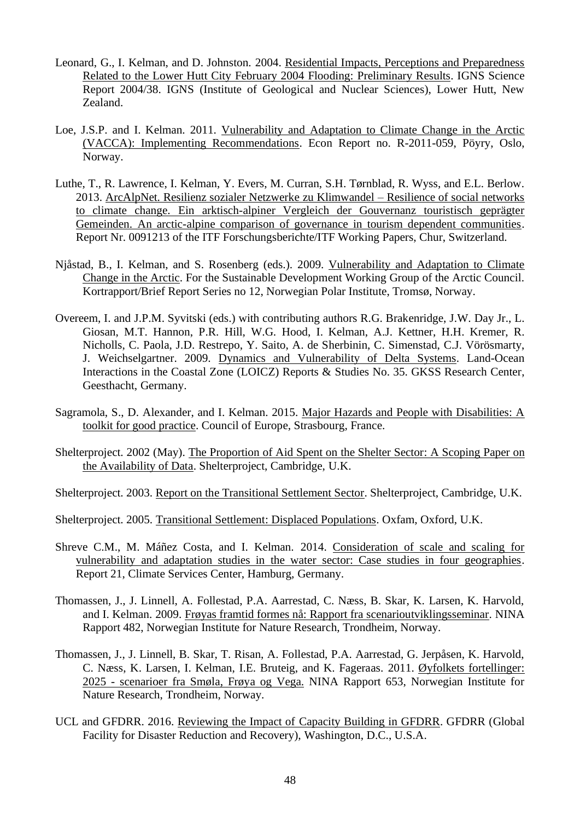- Leonard, G., I. Kelman, and D. Johnston. 2004. Residential Impacts, Perceptions and Preparedness Related to the Lower Hutt City February 2004 Flooding: Preliminary Results. IGNS Science Report 2004/38. IGNS (Institute of Geological and Nuclear Sciences), Lower Hutt, New Zealand.
- Loe, J.S.P. and I. Kelman. 2011. Vulnerability and Adaptation to Climate Change in the Arctic (VACCA): Implementing Recommendations. Econ Report no. R-2011-059, Pöyry, Oslo, Norway.
- Luthe, T., R. Lawrence, I. Kelman, Y. Evers, M. Curran, S.H. Tørnblad, R. Wyss, and E.L. Berlow. 2013. ArcAlpNet. Resilienz sozialer Netzwerke zu Klimwandel – Resilience of social networks to climate change. Ein arktisch-alpiner Vergleich der Gouvernanz touristisch geprägter Gemeinden. An arctic-alpine comparison of governance in tourism dependent communities. Report Nr. 0091213 of the ITF Forschungsberichte/ITF Working Papers, Chur, Switzerland.
- Njåstad, B., I. Kelman, and S. Rosenberg (eds.). 2009. Vulnerability and Adaptation to Climate Change in the Arctic. For the Sustainable Development Working Group of the Arctic Council. Kortrapport/Brief Report Series no 12, Norwegian Polar Institute, Tromsø, Norway.
- Overeem, I. and J.P.M. Syvitski (eds.) with contributing authors R.G. Brakenridge, J.W. Day Jr., L. Giosan, M.T. Hannon, P.R. Hill, W.G. Hood, I. Kelman, A.J. Kettner, H.H. Kremer, R. Nicholls, C. Paola, J.D. Restrepo, Y. Saito, A. de Sherbinin, C. Simenstad, C.J. Vörösmarty, J. Weichselgartner. 2009. Dynamics and Vulnerability of Delta Systems. Land-Ocean Interactions in the Coastal Zone (LOICZ) Reports & Studies No. 35. GKSS Research Center, Geesthacht, Germany.
- Sagramola, S., D. Alexander, and I. Kelman. 2015. Major Hazards and People with Disabilities: A toolkit for good practice. Council of Europe, Strasbourg, France.
- Shelterproject. 2002 (May). The Proportion of Aid Spent on the Shelter Sector: A Scoping Paper on the Availability of Data. Shelterproject, Cambridge, U.K.
- Shelterproject. 2003. Report on the Transitional Settlement Sector. Shelterproject, Cambridge, U.K.
- Shelterproject. 2005. Transitional Settlement: Displaced Populations. Oxfam, Oxford, U.K.
- Shreve C.M., M. Máñez Costa, and I. Kelman. 2014. Consideration of scale and scaling for vulnerability and adaptation studies in the water sector: Case studies in four geographies. Report 21, Climate Services Center, Hamburg, Germany.
- Thomassen, J., J. Linnell, A. Follestad, P.A. Aarrestad, C. Næss, B. Skar, K. Larsen, K. Harvold, and I. Kelman. 2009. Frøyas framtid formes nå: Rapport fra scenarioutviklingsseminar. NINA Rapport 482, Norwegian Institute for Nature Research, Trondheim, Norway.
- Thomassen, J., J. Linnell, B. Skar, T. Risan, A. Follestad, P.A. Aarrestad, G. Jerpåsen, K. Harvold, C. Næss, K. Larsen, I. Kelman, I.E. Bruteig, and K. Fageraas. 2011. Øyfolkets fortellinger: 2025 - scenarioer fra Smøla, Frøya og Vega. NINA Rapport 653, Norwegian Institute for Nature Research, Trondheim, Norway.
- UCL and GFDRR. 2016. Reviewing the Impact of Capacity Building in GFDRR. GFDRR (Global Facility for Disaster Reduction and Recovery), Washington, D.C., U.S.A.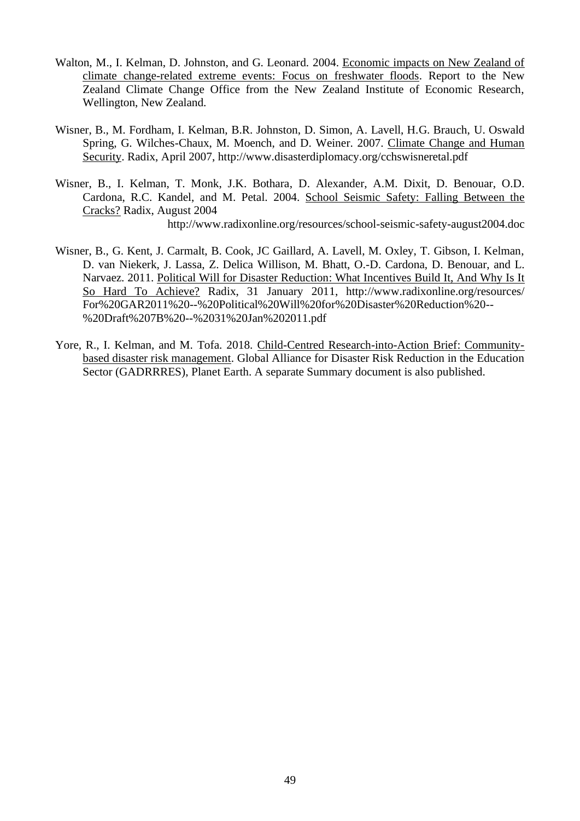- Walton, M., I. Kelman, D. Johnston, and G. Leonard. 2004. Economic impacts on New Zealand of climate change-related extreme events: Focus on freshwater floods. Report to the New Zealand Climate Change Office from the New Zealand Institute of Economic Research, Wellington, New Zealand.
- Wisner, B., M. Fordham, I. Kelman, B.R. Johnston, D. Simon, A. Lavell, H.G. Brauch, U. Oswald Spring, G. Wilches-Chaux, M. Moench, and D. Weiner. 2007. Climate Change and Human Security. Radix, April 2007,<http://www.disasterdiplomacy.org/cchswisneretal.pdf>
- Wisner, B., I. Kelman, T. Monk, J.K. Bothara, D. Alexander, A.M. Dixit, D. Benouar, O.D. Cardona, R.C. Kandel, and M. Petal. 2004. School Seismic Safety: Falling Between the Cracks? Radix, August 2004

<http://www.radixonline.org/resources/school-seismic-safety-august2004.doc>

- Wisner, B., G. Kent, J. Carmalt, B. Cook, JC Gaillard, A. Lavell, M. Oxley, T. Gibson, I. Kelman, D. van Niekerk, J. Lassa, Z. Delica Willison, M. Bhatt, O.-D. Cardona, D. Benouar, and L. Narvaez. 2011. Political Will for Disaster Reduction: What Incentives Build It, And Why Is It So Hard To Achieve? Radix, 31 January 2011, [http://www.radixonline.org/resources/](http://www.radixonline.org/resources/For%20GAR2011%20--%20Political%20Will%20for%20Disaster%20Reduction%20--%20Draft%207B%20--%2031%20Jan%202011.pdf) [For%20GAR2011%20--%20Political%20Will%20for%20Disaster%20Reduction%20--](http://www.radixonline.org/resources/For%20GAR2011%20--%20Political%20Will%20for%20Disaster%20Reduction%20--%20Draft%207B%20--%2031%20Jan%202011.pdf) [%20Draft%207B%20--%2031%20Jan%202011.pdf](http://www.radixonline.org/resources/For%20GAR2011%20--%20Political%20Will%20for%20Disaster%20Reduction%20--%20Draft%207B%20--%2031%20Jan%202011.pdf)
- Yore, R., I. Kelman, and M. Tofa. 2018. Child-Centred Research-into-Action Brief: Communitybased disaster risk management. Global Alliance for Disaster Risk Reduction in the Education Sector (GADRRRES), Planet Earth. A separate Summary document is also published.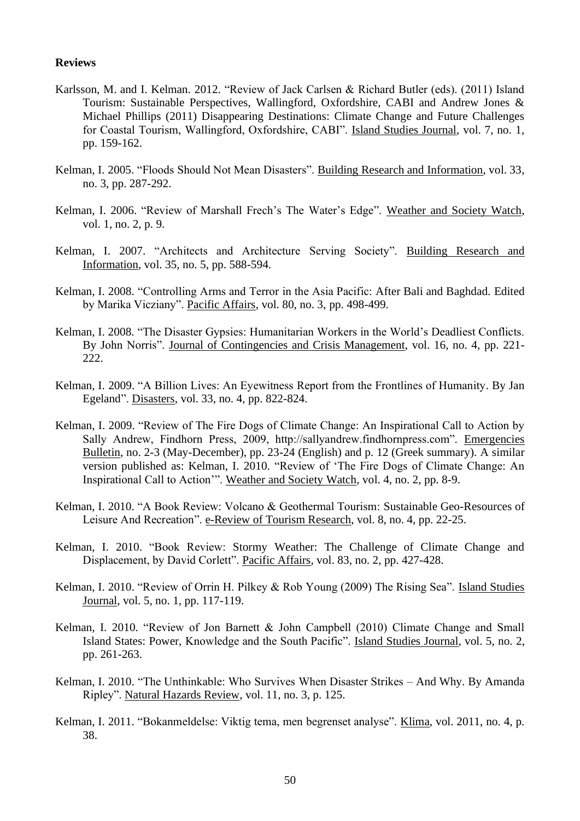#### <span id="page-49-0"></span>**Reviews**

- Karlsson, M. and I. Kelman. 2012. "Review of Jack Carlsen & Richard Butler (eds). (2011) Island Tourism: Sustainable Perspectives, Wallingford, Oxfordshire, CABI and Andrew Jones & Michael Phillips (2011) Disappearing Destinations: Climate Change and Future Challenges for Coastal Tourism, Wallingford, Oxfordshire, CABI". Island Studies Journal, vol. 7, no. 1, pp. 159-162.
- Kelman, I. 2005. "Floods Should Not Mean Disasters". Building Research and Information, vol. 33, no. 3, pp. 287-292.
- Kelman, I. 2006. "Review of Marshall Frech's The Water's Edge". Weather and Society Watch, vol. 1, no. 2, p. 9.
- Kelman, I. 2007. "Architects and Architecture Serving Society". Building Research and Information, vol. 35, no. 5, pp. 588-594.
- Kelman, I. 2008. "Controlling Arms and Terror in the Asia Pacific: After Bali and Baghdad. Edited by Marika Vicziany". Pacific Affairs, vol. 80, no. 3, pp. 498-499.
- Kelman, I. 2008. "The Disaster Gypsies: Humanitarian Workers in the World's Deadliest Conflicts. By John Norris". Journal of Contingencies and Crisis Management, vol. 16, no. 4, pp. 221- 222.
- Kelman, I. 2009. "A Billion Lives: An Eyewitness Report from the Frontlines of Humanity. By Jan Egeland". Disasters, vol. 33, no. 4, pp. 822-824.
- Kelman, I. 2009. "Review of The Fire Dogs of Climate Change: An Inspirational Call to Action by Sally Andrew, Findhorn Press, 2009, http://sallyandrew.findhornpress.com". Emergencies Bulletin, no. 2-3 (May-December), pp. 23-24 (English) and p. 12 (Greek summary). A similar version published as: Kelman, I. 2010. "Review of 'The Fire Dogs of Climate Change: An Inspirational Call to Action'". Weather and Society Watch, vol. 4, no. 2, pp. 8-9.
- Kelman, I. 2010. "A Book Review: Volcano & Geothermal Tourism: Sustainable Geo-Resources of Leisure And Recreation". e-Review of Tourism Research, vol. 8, no. 4, pp. 22-25.
- Kelman, I. 2010. "Book Review: Stormy Weather: The Challenge of Climate Change and Displacement, by David Corlett". Pacific Affairs, vol. 83, no. 2, pp. 427-428.
- Kelman, I. 2010. "Review of Orrin H. Pilkey & Rob Young (2009) The Rising Sea". Island Studies Journal, vol. 5, no. 1, pp. 117-119.
- Kelman, I. 2010. "Review of Jon Barnett & John Campbell (2010) Climate Change and Small Island States: Power, Knowledge and the South Pacific". Island Studies Journal, vol. 5, no. 2, pp. 261-263.
- Kelman, I. 2010. "The Unthinkable: Who Survives When Disaster Strikes And Why. By Amanda Ripley". Natural Hazards Review, vol. 11, no. 3, p. 125.
- Kelman, I. 2011. "Bokanmeldelse: Viktig tema, men begrenset analyse". Klima, vol. 2011, no. 4, p. 38.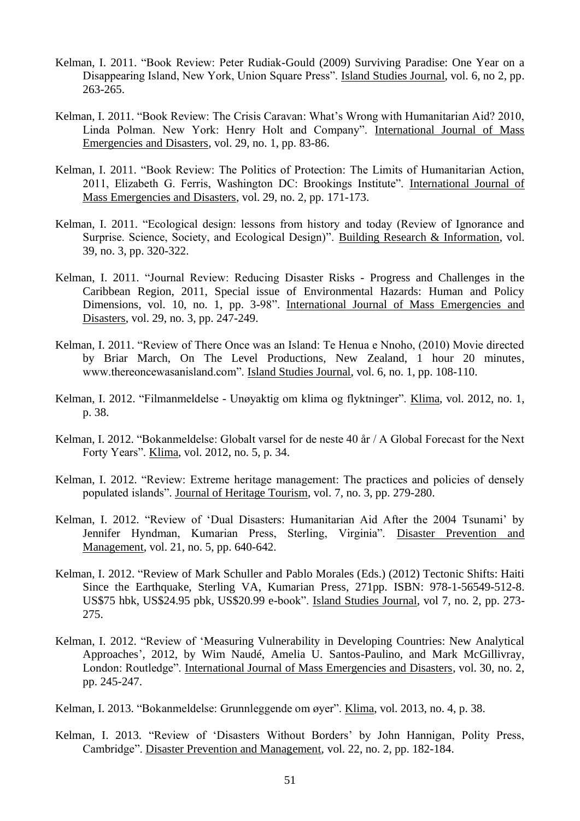- Kelman, I. 2011. "Book Review: Peter Rudiak-Gould (2009) Surviving Paradise: One Year on a Disappearing Island, New York, Union Square Press". Island Studies Journal, vol. 6, no 2, pp. 263-265.
- Kelman, I. 2011. "Book Review: The Crisis Caravan: What's Wrong with Humanitarian Aid? 2010, Linda Polman. New York: Henry Holt and Company". International Journal of Mass Emergencies and Disasters, vol. 29, no. 1, pp. 83-86.
- Kelman, I. 2011. "Book Review: The Politics of Protection: The Limits of Humanitarian Action, 2011, Elizabeth G. Ferris, Washington DC: Brookings Institute". International Journal of Mass Emergencies and Disasters, vol. 29, no. 2, pp. 171-173.
- Kelman, I. 2011. "Ecological design: lessons from history and today (Review of Ignorance and Surprise. Science, Society, and Ecological Design)". Building Research & Information, vol. 39, no. 3, pp. 320-322.
- Kelman, I. 2011. "Journal Review: Reducing Disaster Risks Progress and Challenges in the Caribbean Region, 2011, Special issue of Environmental Hazards: Human and Policy Dimensions, vol. 10, no. 1, pp. 3-98". International Journal of Mass Emergencies and Disasters, vol. 29, no. 3, pp. 247-249.
- Kelman, I. 2011. "Review of There Once was an Island: Te Henua e Nnoho, (2010) Movie directed by Briar March, On The Level Productions, New Zealand, 1 hour 20 minutes, www.thereoncewasanisland.com". Island Studies Journal, vol. 6, no. 1, pp. 108-110.
- Kelman, I. 2012. "Filmanmeldelse Unøyaktig om klima og flyktninger". Klima, vol. 2012, no. 1, p. 38.
- Kelman, I. 2012. "Bokanmeldelse: Globalt varsel for de neste 40 år / A Global Forecast for the Next Forty Years". Klima, vol. 2012, no. 5, p. 34.
- Kelman, I. 2012. "Review: Extreme heritage management: The practices and policies of densely populated islands". Journal of Heritage Tourism, vol. 7, no. 3, pp. 279-280.
- Kelman, I. 2012. "Review of 'Dual Disasters: Humanitarian Aid After the 2004 Tsunami' by Jennifer Hyndman, Kumarian Press, Sterling, Virginia". Disaster Prevention and Management, vol. 21, no. 5, pp. 640-642.
- Kelman, I. 2012. "Review of Mark Schuller and Pablo Morales (Eds.) (2012) Tectonic Shifts: Haiti Since the Earthquake, Sterling VA, Kumarian Press, 271pp. ISBN: 978-1-56549-512-8. US\$75 hbk, US\$24.95 pbk, US\$20.99 e-book". Island Studies Journal, vol 7, no. 2, pp. 273- 275.
- Kelman, I. 2012. "Review of 'Measuring Vulnerability in Developing Countries: New Analytical Approaches', 2012, by Wim Naudé, Amelia U. Santos-Paulino, and Mark McGillivray, London: Routledge". International Journal of Mass Emergencies and Disasters, vol. 30, no. 2, pp. 245-247.
- Kelman, I. 2013. "Bokanmeldelse: Grunnleggende om øyer". Klima, vol. 2013, no. 4, p. 38.
- Kelman, I. 2013. "Review of 'Disasters Without Borders' by John Hannigan, Polity Press, Cambridge". Disaster Prevention and Management, vol. 22, no. 2, pp. 182-184.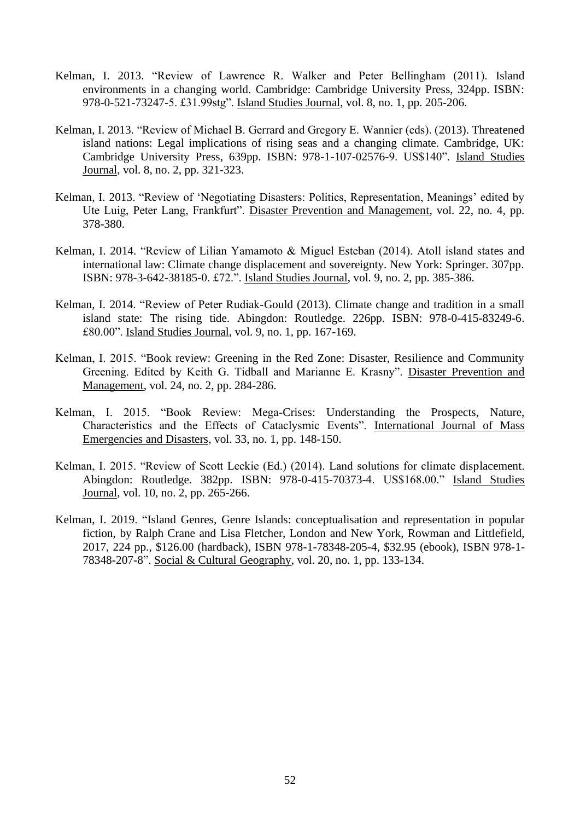- Kelman, I. 2013. "Review of Lawrence R. Walker and Peter Bellingham (2011). Island environments in a changing world. Cambridge: Cambridge University Press, 324pp. ISBN: 978-0-521-73247-5. £31.99stg". Island Studies Journal, vol. 8, no. 1, pp. 205-206.
- Kelman, I. 2013. "Review of Michael B. Gerrard and Gregory E. Wannier (eds). (2013). Threatened island nations: Legal implications of rising seas and a changing climate. Cambridge, UK: Cambridge University Press, 639pp. ISBN: 978-1-107-02576-9. US\$140". Island Studies Journal, vol. 8, no. 2, pp. 321-323.
- Kelman, I. 2013. "Review of 'Negotiating Disasters: Politics, Representation, Meanings' edited by Ute Luig, Peter Lang, Frankfurt". Disaster Prevention and Management, vol. 22, no. 4, pp. 378-380.
- Kelman, I. 2014. "Review of Lilian Yamamoto & Miguel Esteban (2014). Atoll island states and international law: Climate change displacement and sovereignty. New York: Springer. 307pp. ISBN: 978-3-642-38185-0. £72.". Island Studies Journal, vol. 9, no. 2, pp. 385-386.
- Kelman, I. 2014. "Review of Peter Rudiak-Gould (2013). Climate change and tradition in a small island state: The rising tide. Abingdon: Routledge. 226pp. ISBN: 978-0-415-83249-6. £80.00". Island Studies Journal, vol. 9, no. 1, pp. 167-169.
- Kelman, I. 2015. "Book review: Greening in the Red Zone: Disaster, Resilience and Community Greening. Edited by Keith G. Tidball and Marianne E. Krasny". Disaster Prevention and Management, vol. 24, no. 2, pp. 284-286.
- Kelman, I. 2015. "Book Review: Mega-Crises: Understanding the Prospects, Nature, Characteristics and the Effects of Cataclysmic Events". International Journal of Mass Emergencies and Disasters, vol. 33, no. 1, pp. 148-150.
- Kelman, I. 2015. "Review of Scott Leckie (Ed.) (2014). Land solutions for climate displacement. Abingdon: Routledge. 382pp. ISBN: 978-0-415-70373-4. US\$168.00." Island Studies Journal, vol. 10, no. 2, pp. 265-266.
- Kelman, I. 2019. "Island Genres, Genre Islands: conceptualisation and representation in popular fiction, by Ralph Crane and Lisa Fletcher, London and New York, Rowman and Littlefield, 2017, 224 pp., \$126.00 (hardback), ISBN 978-1-78348-205-4, \$32.95 (ebook), ISBN 978-1- 78348-207-8". Social & Cultural Geography, vol. 20, no. 1, pp. 133-134.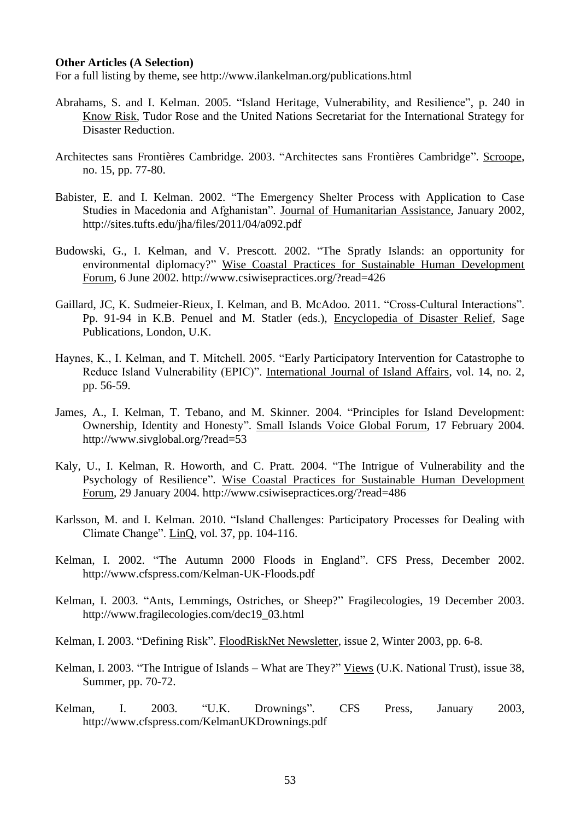### <span id="page-52-0"></span>**Other Articles (A Selection)**

For a full listing by theme, see<http://www.ilankelman.org/publications.html>

- Abrahams, S. and I. Kelman. 2005. "Island Heritage, Vulnerability, and Resilience", p. 240 in Know Risk, Tudor Rose and the United Nations Secretariat for the International Strategy for Disaster Reduction.
- Architectes sans Frontières Cambridge. 2003. "Architectes sans Frontières Cambridge". Scroope, no. 15, pp. 77-80.
- Babister, E. and I. Kelman. 2002. "The Emergency Shelter Process with Application to Case Studies in Macedonia and Afghanistan". Journal of Humanitarian Assistance, January 2002, <http://sites.tufts.edu/jha/files/2011/04/a092.pdf>
- Budowski, G., I. Kelman, and V. Prescott. 2002. "The Spratly Islands: an opportunity for environmental diplomacy?" Wise Coastal Practices for Sustainable Human Development Forum, 6 June 2002. http://www.csiwisepractices.org/?read=426
- Gaillard, JC, K. Sudmeier-Rieux, I. Kelman, and B. McAdoo. 2011. "Cross-Cultural Interactions". Pp. 91-94 in K.B. Penuel and M. Statler (eds.), Encyclopedia of Disaster Relief, Sage Publications, London, U.K.
- Haynes, K., I. Kelman, and T. Mitchell. 2005. "Early Participatory Intervention for Catastrophe to Reduce Island Vulnerability (EPIC)". International Journal of Island Affairs, vol. 14, no. 2, pp. 56-59.
- James, A., I. Kelman, T. Tebano, and M. Skinner. 2004. "Principles for Island Development: Ownership, Identity and Honesty". Small Islands Voice Global Forum, 17 February 2004. http://www.sivglobal.org/?read=53
- Kaly, U., I. Kelman, R. Howorth, and C. Pratt. 2004. "The Intrigue of Vulnerability and the Psychology of Resilience". Wise Coastal Practices for Sustainable Human Development Forum, 29 January 2004. http://www.csiwisepractices.org/?read=486
- Karlsson, M. and I. Kelman. 2010. "Island Challenges: Participatory Processes for Dealing with Climate Change". LinQ, vol. 37, pp. 104-116.
- Kelman, I. 2002. "The Autumn 2000 Floods in England". CFS Press, December 2002. http://www.cfspress.com/Kelman-UK-Floods.pdf
- Kelman, I. 2003. "Ants, Lemmings, Ostriches, or Sheep?" Fragilecologies, 19 December 2003. http://www.fragilecologies.com/dec19\_03.html
- Kelman, I. 2003. "Defining Risk". FloodRiskNet Newsletter, issue 2, Winter 2003, pp. 6-8.
- Kelman, I. 2003. "The Intrigue of Islands What are They?" Views (U.K. National Trust), issue 38, Summer, pp. 70-72.
- Kelman, I. 2003. "U.K. Drownings". CFS Press, January 2003, http://www.cfspress.com/KelmanUKDrownings.pdf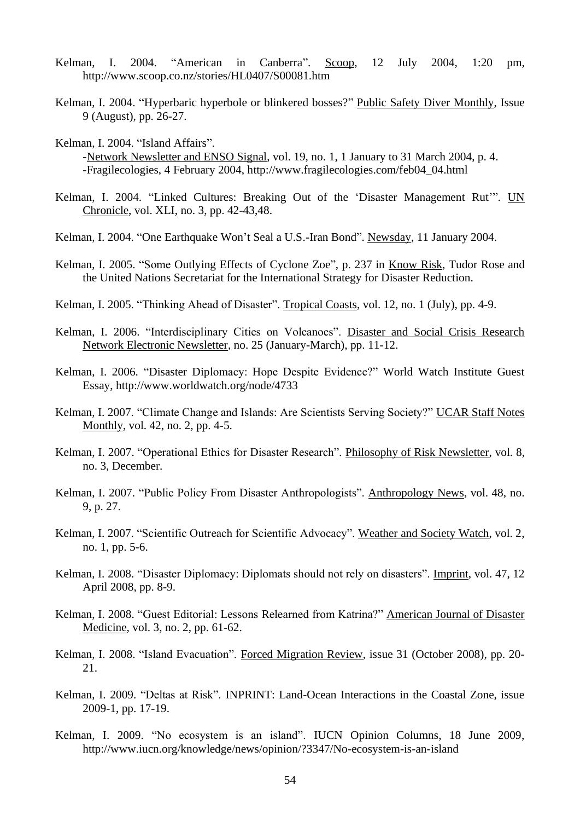- Kelman, I. 2004. "American in Canberra". Scoop, 12 July 2004, 1:20 pm, http://www.scoop.co.nz/stories/HL0407/S00081.htm
- Kelman, I. 2004. "Hyperbaric hyperbole or blinkered bosses?" Public Safety Diver Monthly, Issue 9 (August), pp. 26-27.
- Kelman, I. 2004. "Island Affairs". -Network Newsletter and ENSO Signal, vol. 19, no. 1, 1 January to 31 March 2004, p. 4. -Fragilecologies, 4 February 2004, http://www.fragilecologies.com/feb04\_04.html
- Kelman, I. 2004. "Linked Cultures: Breaking Out of the 'Disaster Management Rut'". UN Chronicle, vol. XLI, no. 3, pp. 42-43,48.
- Kelman, I. 2004. "One Earthquake Won't Seal a U.S.-Iran Bond". Newsday, 11 January 2004.
- Kelman, I. 2005. "Some Outlying Effects of Cyclone Zoe", p. 237 in Know Risk, Tudor Rose and the United Nations Secretariat for the International Strategy for Disaster Reduction.
- Kelman, I. 2005. "Thinking Ahead of Disaster". Tropical Coasts, vol. 12, no. 1 (July), pp. 4-9.
- Kelman, I. 2006. "Interdisciplinary Cities on Volcanoes". Disaster and Social Crisis Research Network Electronic Newsletter, no. 25 (January-March), pp. 11-12.
- Kelman, I. 2006. "Disaster Diplomacy: Hope Despite Evidence?" World Watch Institute Guest Essay, http://www.worldwatch.org/node/4733
- Kelman, I. 2007. "Climate Change and Islands: Are Scientists Serving Society?" UCAR Staff Notes Monthly, vol. 42, no. 2, pp. 4-5.
- Kelman, I. 2007. "Operational Ethics for Disaster Research". Philosophy of Risk Newsletter, vol. 8, no. 3, December.
- Kelman, I. 2007. "Public Policy From Disaster Anthropologists". Anthropology News, vol. 48, no. 9, p. 27.
- Kelman, I. 2007. "Scientific Outreach for Scientific Advocacy". Weather and Society Watch, vol. 2, no. 1, pp. 5-6.
- Kelman, I. 2008. "Disaster Diplomacy: Diplomats should not rely on disasters". Imprint, vol. 47, 12 April 2008, pp. 8-9.
- Kelman, I. 2008. "Guest Editorial: Lessons Relearned from Katrina?" American Journal of Disaster Medicine, vol. 3, no. 2, pp. 61-62.
- Kelman, I. 2008. "Island Evacuation". Forced Migration Review, issue 31 (October 2008), pp. 20- 21.
- Kelman, I. 2009. "Deltas at Risk". INPRINT: Land-Ocean Interactions in the Coastal Zone, issue 2009-1, pp. 17-19.
- Kelman, I. 2009. "No ecosystem is an island". IUCN Opinion Columns, 18 June 2009, http://www.iucn.org/knowledge/news/opinion/?3347/No-ecosystem-is-an-island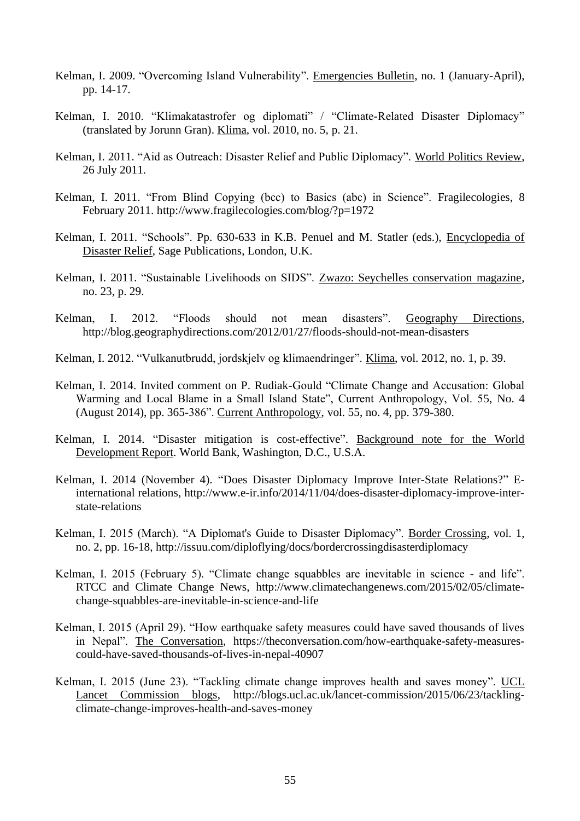- Kelman, I. 2009. "Overcoming Island Vulnerability". Emergencies Bulletin, no. 1 (January-April), pp. 14-17.
- Kelman, I. 2010. "Klimakatastrofer og diplomati" / "Climate-Related Disaster Diplomacy" (translated by Jorunn Gran). Klima, vol. 2010, no. 5, p. 21.
- Kelman, I. 2011. "Aid as Outreach: Disaster Relief and Public Diplomacy". World Politics Review, 26 July 2011.
- Kelman, I. 2011. "From Blind Copying (bcc) to Basics (abc) in Science". Fragilecologies, 8 February 2011. http://www.fragilecologies.com/blog/?p=1972
- Kelman, I. 2011. "Schools". Pp. 630-633 in K.B. Penuel and M. Statler (eds.), Encyclopedia of Disaster Relief, Sage Publications, London, U.K.
- Kelman, I. 2011. "Sustainable Livelihoods on SIDS". Zwazo: Seychelles conservation magazine, no. 23, p. 29.
- Kelman, I. 2012. "Floods should not mean disasters". Geography Directions, <http://blog.geographydirections.com/2012/01/27/floods-should-not-mean-disasters>
- Kelman, I. 2012. "Vulkanutbrudd, jordskjelv og klimaendringer". Klima, vol. 2012, no. 1, p. 39.
- Kelman, I. 2014. Invited comment on P. Rudiak-Gould "Climate Change and Accusation: Global Warming and Local Blame in a Small Island State", Current Anthropology, Vol. 55, No. 4 (August 2014), pp. 365-386". Current Anthropology, vol. 55, no. 4, pp. 379-380.
- Kelman, I. 2014. "Disaster mitigation is cost-effective". Background note for the World Development Report. World Bank, Washington, D.C., U.S.A.
- Kelman, I. 2014 (November 4). "Does Disaster Diplomacy Improve Inter-State Relations?" Einternational relations, [http://www.e-ir.info/2014/11/04/does-disaster-diplomacy-improve-inter](http://www.e-ir.info/2014/11/04/does-disaster-diplomacy-improve-inter-state-relations)[state-relations](http://www.e-ir.info/2014/11/04/does-disaster-diplomacy-improve-inter-state-relations)
- Kelman, I. 2015 (March). "A Diplomat's Guide to Disaster Diplomacy". Border Crossing, vol. 1, no. 2, pp. 16-18,<http://issuu.com/diploflying/docs/bordercrossingdisasterdiplomacy>
- Kelman, I. 2015 (February 5). "Climate change squabbles are inevitable in science and life". RTCC and Climate Change News, [http://www.climatechangenews.com/2015/02/05/climate](http://www.climatechangenews.com/2015/02/05/climate-change-squabbles-are-inevitable-in-science-and-life)[change-squabbles-are-inevitable-in-science-and-life](http://www.climatechangenews.com/2015/02/05/climate-change-squabbles-are-inevitable-in-science-and-life)
- Kelman, I. 2015 (April 29). "How earthquake safety measures could have saved thousands of lives in Nepal". The Conversation, [https://theconversation.com/how-earthquake-safety-measures](https://theconversation.com/how-earthquake-safety-measures-could-have-saved-thousands-of-lives-in-nepal-40907)[could-have-saved-thousands-of-lives-in-nepal-40907](https://theconversation.com/how-earthquake-safety-measures-could-have-saved-thousands-of-lives-in-nepal-40907)
- Kelman, I. 2015 (June 23). "Tackling climate change improves health and saves money". UCL Lancet Commission blogs, [http://blogs.ucl.ac.uk/lancet-commission/2015/06/23/tackling](http://blogs.ucl.ac.uk/lancet-commission/2015/06/23/tackling-climate-change-improves-health-and-saves-money)[climate-change-improves-health-and-saves-money](http://blogs.ucl.ac.uk/lancet-commission/2015/06/23/tackling-climate-change-improves-health-and-saves-money)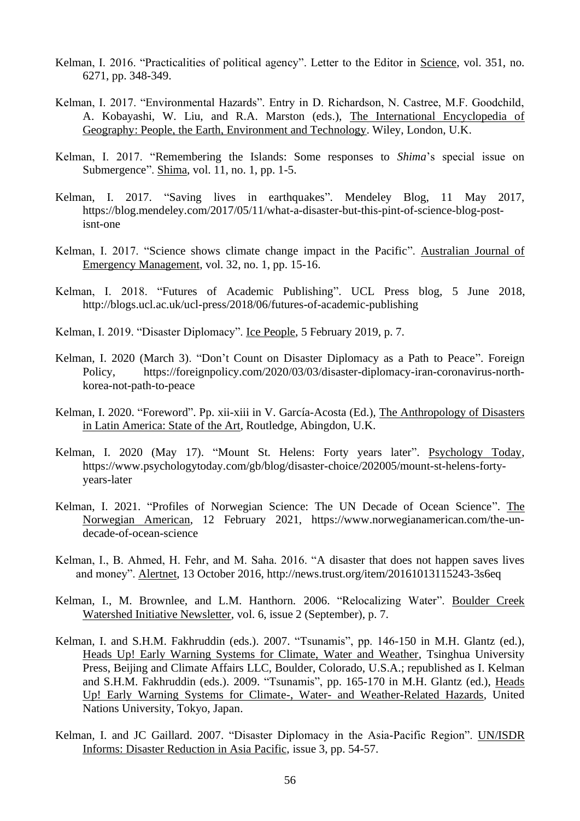- Kelman, I. 2016. "Practicalities of political agency". Letter to the Editor in Science, vol. 351, no. 6271, pp. 348-349.
- Kelman, I. 2017. "Environmental Hazards". Entry in D. Richardson, N. Castree, M.F. Goodchild, A. Kobayashi, W. Liu, and R.A. Marston (eds.), The International Encyclopedia of Geography: People, the Earth, Environment and Technology. Wiley, London, U.K.
- Kelman, I. 2017. "Remembering the Islands: Some responses to *Shima*'s special issue on Submergence". Shima, vol. 11, no. 1, pp. 1-5.
- Kelman, I. 2017. "Saving lives in earthquakes". Mendeley Blog, 11 May 2017, https://blog.mendeley.com/2017/05/11/what-a-disaster-but-this-pint-of-science-blog-postisnt-one
- Kelman, I. 2017. "Science shows climate change impact in the Pacific". Australian Journal of Emergency Management, vol. 32, no. 1, pp. 15-16.
- Kelman, I. 2018. "Futures of Academic Publishing". UCL Press blog, 5 June 2018, http://blogs.ucl.ac.uk/ucl-press/2018/06/futures-of-academic-publishing
- Kelman, I. 2019. "Disaster Diplomacy". Ice People, 5 February 2019, p. 7.
- Kelman, I. 2020 (March 3). "Don't Count on Disaster Diplomacy as a Path to Peace". Foreign Policy, https://foreignpolicy.com/2020/03/03/disaster-diplomacy-iran-coronavirus-northkorea-not-path-to-peace
- Kelman, I. 2020. "Foreword". Pp. xii-xiii in V. García-Acosta (Ed.), The Anthropology of Disasters in Latin America: State of the Art, Routledge, Abingdon, U.K.
- Kelman, I. 2020 (May 17). "Mount St. Helens: Forty years later". Psychology Today, https://www.psychologytoday.com/gb/blog/disaster-choice/202005/mount-st-helens-fortyyears-later
- Kelman, I. 2021. "Profiles of Norwegian Science: The UN Decade of Ocean Science". The Norwegian American, 12 February 2021, https://www.norwegianamerican.com/the-undecade-of-ocean-science
- Kelman, I., B. Ahmed, H. Fehr, and M. Saha. 2016. "A disaster that does not happen saves lives and money". Alertnet, 13 October 2016,<http://news.trust.org/item/20161013115243-3s6eq>
- Kelman, I., M. Brownlee, and L.M. Hanthorn. 2006. "Relocalizing Water". Boulder Creek Watershed Initiative Newsletter, vol. 6, issue 2 (September), p. 7.
- Kelman, I. and S.H.M. Fakhruddin (eds.). 2007. "Tsunamis", pp. 146-150 in M.H. Glantz (ed.), Heads Up! Early Warning Systems for Climate, Water and Weather, Tsinghua University Press, Beijing and Climate Affairs LLC, Boulder, Colorado, U.S.A.; republished as I. Kelman and S.H.M. Fakhruddin (eds.). 2009. "Tsunamis", pp. 165-170 in M.H. Glantz (ed.), Heads Up! Early Warning Systems for Climate-, Water- and Weather-Related Hazards, United Nations University, Tokyo, Japan.
- Kelman, I. and JC Gaillard. 2007. "Disaster Diplomacy in the Asia-Pacific Region". UN/ISDR Informs: Disaster Reduction in Asia Pacific, issue 3, pp. 54-57.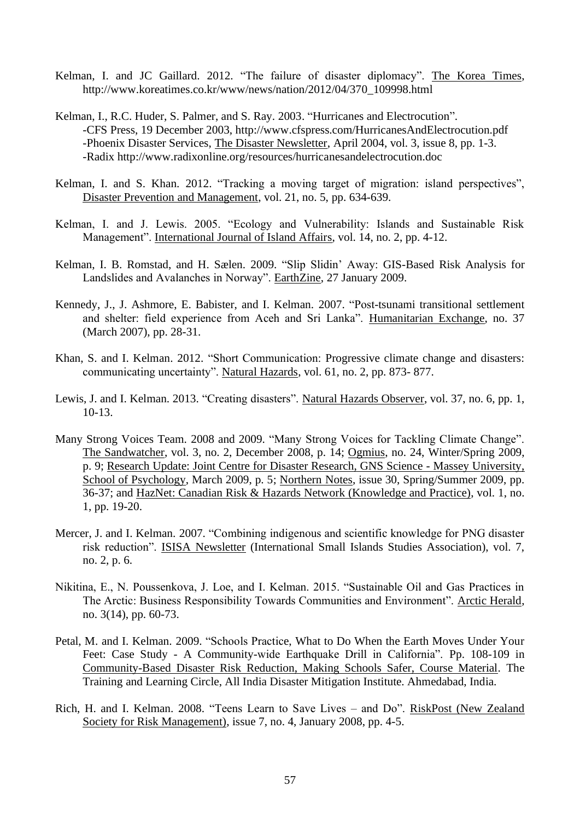- Kelman, I. and JC Gaillard. 2012. "The failure of disaster diplomacy". The Korea Times, [http://www.koreatimes.co.kr/www/news/nation/2012/04/370\\_109998.html](http://www.koreatimes.co.kr/www/news/nation/2012/04/370_109998.html)
- Kelman, I., R.C. Huder, S. Palmer, and S. Ray. 2003. "Hurricanes and Electrocution". -CFS Press, 19 December 2003, http://www.cfspress.com/HurricanesAndElectrocution.pdf -Phoenix Disaster Services, The Disaster Newsletter, April 2004, vol. 3, issue 8, pp. 1-3. -Radix http://www.radixonline.org/resources/hurricanesandelectrocution.doc
- Kelman, I. and S. Khan. 2012. "Tracking a moving target of migration: island perspectives", Disaster Prevention and Management, vol. 21, no. 5, pp. 634-639.
- Kelman, I. and J. Lewis. 2005. "Ecology and Vulnerability: Islands and Sustainable Risk Management". International Journal of Island Affairs, vol. 14, no. 2, pp. 4-12.
- Kelman, I. B. Romstad, and H. Sælen. 2009. "Slip Slidin' Away: GIS-Based Risk Analysis for Landslides and Avalanches in Norway". EarthZine, 27 January 2009.
- Kennedy, J., J. Ashmore, E. Babister, and I. Kelman. 2007. "Post-tsunami transitional settlement and shelter: field experience from Aceh and Sri Lanka". Humanitarian Exchange, no. 37 (March 2007), pp. 28-31.
- Khan, S. and I. Kelman. 2012. "Short Communication: Progressive climate change and disasters: communicating uncertainty". Natural Hazards, vol. 61, no. 2, pp. 873- 877.
- Lewis, J. and I. Kelman. 2013. "Creating disasters". Natural Hazards Observer, vol. 37, no. 6, pp. 1, 10-13.
- Many Strong Voices Team. 2008 and 2009. "Many Strong Voices for Tackling Climate Change". The Sandwatcher, vol. 3, no. 2, December 2008, p. 14; Ogmius, no. 24, Winter/Spring 2009, p. 9; Research Update: Joint Centre for Disaster Research, GNS Science - Massey University, School of Psychology, March 2009, p. 5; Northern Notes, issue 30, Spring/Summer 2009, pp. 36-37; and HazNet: Canadian Risk & Hazards Network (Knowledge and Practice), vol. 1, no. 1, pp. 19-20.
- Mercer, J. and I. Kelman. 2007. "Combining indigenous and scientific knowledge for PNG disaster risk reduction". ISISA Newsletter (International Small Islands Studies Association), vol. 7, no. 2, p. 6.
- Nikitina, E., N. Poussenkova, J. Loe, and I. Kelman. 2015. "Sustainable Oil and Gas Practices in The Arctic: Business Responsibility Towards Communities and Environment". Arctic Herald, no. 3(14), pp. 60-73.
- Petal, M. and I. Kelman. 2009. "Schools Practice, What to Do When the Earth Moves Under Your Feet: Case Study - A Community-wide Earthquake Drill in California". Pp. 108-109 in Community-Based Disaster Risk Reduction, Making Schools Safer, Course Material. The Training and Learning Circle, All India Disaster Mitigation Institute. Ahmedabad, India.
- Rich, H. and I. Kelman. 2008. "Teens Learn to Save Lives and Do". RiskPost (New Zealand Society for Risk Management), issue 7, no. 4, January 2008, pp. 4-5.